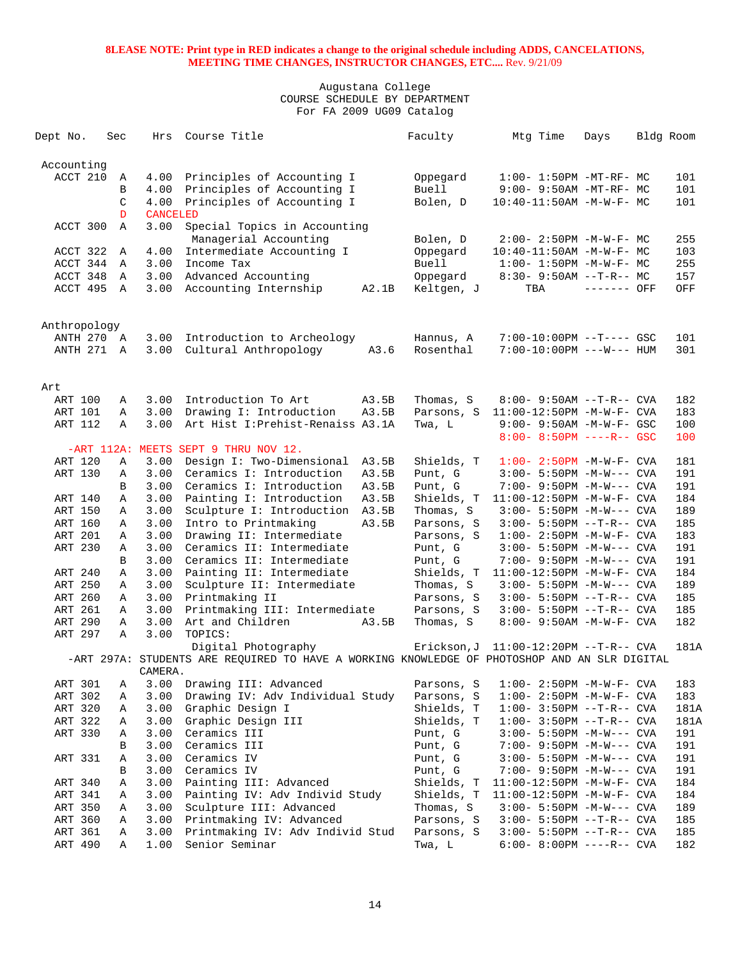| Dept No.     | Sec          | Hrs             | Course Title                                                                                 |       | Faculty            | Mtg Time                                                | Days        | Bldg Room |      |
|--------------|--------------|-----------------|----------------------------------------------------------------------------------------------|-------|--------------------|---------------------------------------------------------|-------------|-----------|------|
| Accounting   |              |                 |                                                                                              |       |                    |                                                         |             |           |      |
| ACCT 210     | Α            | 4.00            | Principles of Accounting I                                                                   |       | Oppegard           | $1:00-1:50PM -MT-RF-MC$                                 |             |           | 101  |
|              | B            | 4.00            | Principles of Accounting I                                                                   |       | Buell              | $9:00 - 9:50AM - MT - RF - MC$                          |             |           | 101  |
|              | C            | 4.00            | Principles of Accounting I                                                                   |       | Bolen, D           | $10:40-11:50AM - M-W-F-MC$                              |             |           | 101  |
|              | D            | <b>CANCELED</b> |                                                                                              |       |                    |                                                         |             |           |      |
| ACCT 300     | $\mathbb{A}$ | 3.00            | Special Topics in Accounting<br>Managerial Accounting                                        |       | Bolen, D           | $2:00 - 2:50PM -M-W-F - MC$                             |             |           | 255  |
| ACCT 322     | Α            | 4.00            | Intermediate Accounting I                                                                    |       | Oppegard           | $10:40-11:50AM$ -M-W-F- MC                              |             |           | 103  |
| ACCT 344     | Α            | 3.00            | Income Tax                                                                                   |       | <b>Buell</b>       | $1:00-1:50PM -M-W-F-MC$                                 |             |           | 255  |
| ACCT 348     | Α            | 3.00            | Advanced Accounting                                                                          |       | Oppegard           | $8:30 - 9:50AM -T-R - M$                                |             |           | 157  |
| ACCT 495     | Α            | 3.00            | Accounting Internship                                                                        | A2.1B | Keltgen, J         | TBA                                                     | ------- OFF |           | OFF  |
|              |              |                 |                                                                                              |       |                    |                                                         |             |           |      |
| Anthropology |              |                 |                                                                                              |       |                    |                                                         |             |           |      |
| ANTH 270     | A            | 3.00            | Introduction to Archeology                                                                   |       | Hannus, A          | $7:00-10:00PM$ --T---- GSC                              |             |           | 101  |
| ANTH 271     | A            | 3.00            | Cultural Anthropology                                                                        | A3.6  | Rosenthal          | $7:00-10:00PM$ ---W--- HUM                              |             |           | 301  |
| Art          |              |                 |                                                                                              |       |                    |                                                         |             |           |      |
| ART 100      | Α            | 3.00            | Introduction To Art                                                                          | A3.5B | Thomas, S          | $8:00 - 9:50AM -T-R--CVA$                               |             |           | 182  |
| ART 101      | Α            | 3.00            | Drawing I: Introduction                                                                      | A3.5B | Parsons, S         | $11:00-12:50PM -M-W-F-CVA$                              |             |           | 183  |
| ART 112      | $\mathbb{A}$ | 3.00            | Art Hist I: Prehist-Renaiss A3.1A                                                            |       | Twa, L             | $9:00 - 9:50AM - M - W - F - GSC$                       |             |           | 100  |
|              |              |                 |                                                                                              |       |                    | $8:00 - 8:50PM$ ----R-- GSC                             |             |           | 100  |
|              |              |                 | -ART 112A: MEETS SEPT 9 THRU NOV 12.                                                         |       |                    |                                                         |             |           |      |
| ART 120      | Α            | 3.00            | Design I: Two-Dimensional                                                                    | A3.5B | Shields, T         | $1:00 - 2:50PM - M - W - F - CVA$                       |             |           | 181  |
| ART 130      | Α            | 3.00            | Ceramics I: Introduction                                                                     | A3.5B | Punt, G            | $3:00 - 5:50PM -M-W---$ CVA                             |             |           | 191  |
|              | B            | 3.00            | Ceramics I: Introduction                                                                     | A3.5B | Punt, G            | 7:00- 9:50PM -M-W--- CVA                                |             |           | 191  |
| ART 140      | Α            | 3.00            | Painting I: Introduction                                                                     | A3.5B | Shields, T         | $11:00-12:50PM -M-W-F-CVA$                              |             |           | 184  |
| ART 150      | Α            | 3.00            | Sculpture I: Introduction                                                                    | A3.5B | Thomas, S          | $3:00 - 5:50PM -M-W---$ CVA                             |             |           | 189  |
| ART 160      | Α            | 3.00            | Intro to Printmaking                                                                         | A3.5B | Parsons, S         | $3:00 - 5:50PM -T-R--CVA$                               |             |           | 185  |
| ART 201      | Α            | 3.00            | Drawing II: Intermediate                                                                     |       | Parsons, S         | $1:00 - 2:50PM -M-W-F - CVA$                            |             |           | 183  |
| ART 230      | Α            | 3.00            | Ceramics II: Intermediate                                                                    |       | Punt, G            | $3:00 - 5:50PM -M-W---$ CVA                             |             |           | 191  |
|              | B            | 3.00            | Ceramics II: Intermediate                                                                    |       | Punt, G            | 7:00- 9:50PM -M-W--- CVA                                |             |           | 191  |
| ART 240      | Α            | 3.00            | Painting II: Intermediate                                                                    |       | Shields, T         | $11:00-12:50PM -M-W-F-CVA$                              |             |           | 184  |
| ART 250      | Α            | 3.00            | Sculpture II: Intermediate                                                                   |       | Thomas, S          | $3:00 - 5:50PM -M-W---$ CVA                             |             |           | 189  |
| ART 260      | Α            | 3.00            | Printmaking II                                                                               |       | Parsons, S         | $3:00 - 5:50PM -T-R--CVA$                               |             |           | 185  |
| ART 261      | Α            | 3.00            | Printmaking III: Intermediate                                                                |       | Parsons, S         | $3:00 - 5:50PM -T-R--CVA$                               |             |           | 185  |
| ART 290      | Α            | 3.00            | Art and Children                                                                             | A3.5B | Thomas, S          | 8:00- 9:50AM -M-W-F- CVA                                |             |           | 182  |
| ART 297      | Α            | 3.00            | TOPICS:                                                                                      |       |                    |                                                         |             |           |      |
|              |              |                 | Digital Photography                                                                          |       | Erickson,J         | $11:00-12:20PM -T-R--CVA$                               |             |           | 181A |
|              |              |                 | -ART 297A: STUDENTS ARE REQUIRED TO HAVE A WORKING KNOWLEDGE OF PHOTOSHOP AND AN SLR DIGITAL |       |                    |                                                         |             |           |      |
| ART 301      | А            | CAMERA.<br>3.00 | Drawing III: Advanced                                                                        |       | Parsons, S         | $1:00-2:50PM -M-W-F-CVA$                                |             |           | 183  |
| ART 302      | Α            | 3.00            | Drawing IV: Adv Individual Study                                                             |       | Parsons, S         | $1:00 - 2:50PM -M-W-F - CVA$                            |             |           | 183  |
| ART 320      | Α            | 3.00            | Graphic Design I                                                                             |       | Shields, T         | $1:00-3:50PM -T-R--CVA$                                 |             |           | 181A |
| ART 322      | Α            | 3.00            | Graphic Design III                                                                           |       | Shields, T         | $1:00-3:50PM -T-R--CVA$                                 |             |           | 181A |
| ART 330      | Α            | 3.00            | Ceramics III                                                                                 |       | Punt, G            | $3:00 - 5:50PM -M-W---$ CVA                             |             |           | 191  |
|              | В            | 3.00            | Ceramics III                                                                                 |       |                    |                                                         |             |           | 191  |
|              |              |                 | Ceramics IV                                                                                  |       | Punt, G<br>Punt, G | 7:00- 9:50PM -M-W--- CVA<br>$3:00 - 5:50PM -M-W---$ CVA |             |           | 191  |
| ART 331      | Α            | 3.00<br>3.00    | Ceramics IV                                                                                  |       |                    |                                                         |             |           |      |
|              | В            |                 |                                                                                              |       | Punt, G            | 7:00- 9:50PM -M-W--- CVA                                |             |           | 191  |
| ART 340      | Α            | 3.00            | Painting III: Advanced                                                                       |       | Shields, T         | $11:00-12:50PM$ -M-W-F- CVA                             |             |           | 184  |
| ART 341      | Α            | 3.00            | Painting IV: Adv Individ Study                                                               |       | Shields, T         | 11:00-12:50PM -M-W-F- CVA                               |             |           | 184  |
| ART 350      | Α            | 3.00            | Sculpture III: Advanced                                                                      |       | Thomas, S          | $3:00 - 5:50PM -M-W---$ CVA                             |             |           | 189  |
| ART 360      | А            | 3.00            | Printmaking IV: Advanced                                                                     |       | Parsons, S         | $3:00 - 5:50PM -T-R--CVA$                               |             |           | 185  |
| ART 361      | Α            | 3.00            | Printmaking IV: Adv Individ Stud                                                             |       | Parsons, S         | $3:00 - 5:50PM -T-R--CVA$                               |             |           | 185  |
| ART 490      | Α            | 1.00            | Senior Seminar                                                                               |       | Twa, L             | $6:00-8:00PM$ ----R-- CVA                               |             |           | 182  |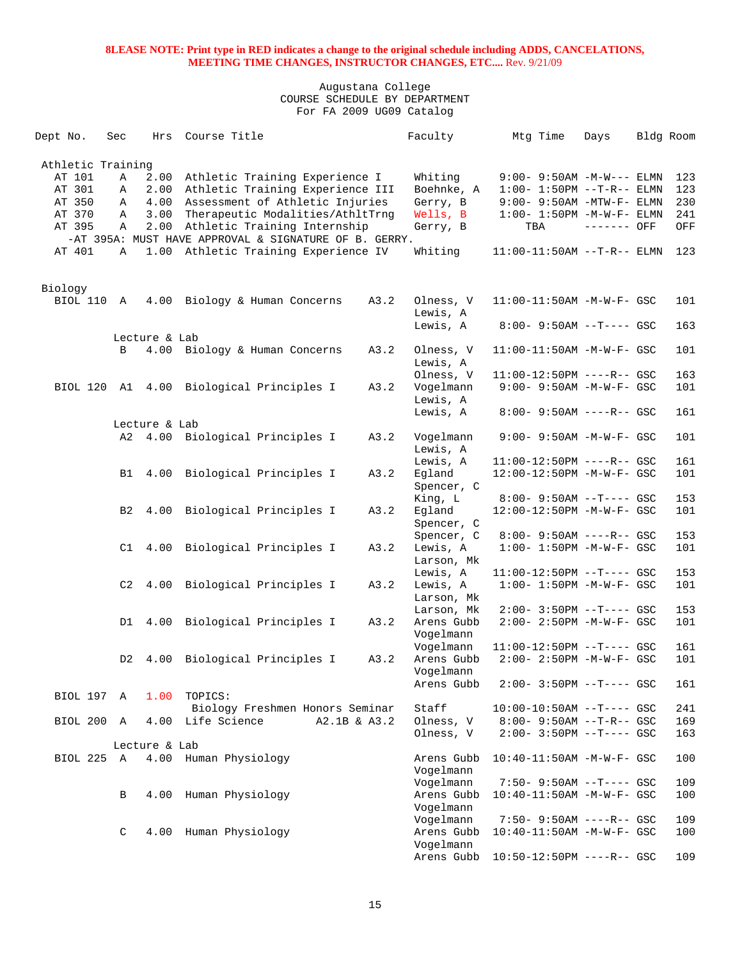| Dept No.            | Sec            | Hrs           | Course Title                                          |      | Faculty    | Mtg Time                          | Days        | Bldg Room |     |
|---------------------|----------------|---------------|-------------------------------------------------------|------|------------|-----------------------------------|-------------|-----------|-----|
| Athletic Training   |                |               |                                                       |      |            |                                   |             |           |     |
| AT 101              | Α              | 2.00          | Athletic Training Experience I                        |      | Whiting    | $9:00 - 9:50AM - M-W---$ ELMN     |             |           | 123 |
| AT 301              | Α              | 2.00          | Athletic Training Experience III                      |      | Boehnke, A | $1:00 - 1:50PM -T-R-- ELMN$       |             |           | 123 |
| AT 350              | Α              | 4.00          | Assessment of Athletic Injuries                       |      | Gerry, B   | $9:00-9:50AM -MTW-F-ELMN$         |             |           | 230 |
| AT 370              | Α              | 3.00          | Therapeutic Modalities/AthltTrng                      |      | Wells, B   | $1:00-1:50PM -M-W-F-ELMN$         |             |           | 241 |
| AT 395              | Α              | 2.00          | Athletic Training Internship                          |      | Gerry, B   | TBA                               | ------- OFF |           | OFF |
|                     |                |               | -AT 395A: MUST HAVE APPROVAL & SIGNATURE OF B. GERRY. |      |            |                                   |             |           |     |
|                     |                |               |                                                       |      |            |                                   |             |           |     |
| AT 401              | Α              |               | 1.00 Athletic Training Experience IV                  |      | Whiting    | $11:00-11:50AM$ --T-R-- ELMN      |             |           | 123 |
|                     |                |               |                                                       |      |            |                                   |             |           |     |
| Biology<br>BIOL 110 |                |               |                                                       |      |            |                                   |             |           |     |
|                     | A              |               | 4.00 Biology & Human Concerns                         | A3.2 | Olness, V  | 11:00-11:50AM -M-W-F- GSC         |             |           | 101 |
|                     |                |               |                                                       |      | Lewis, A   |                                   |             |           |     |
|                     |                |               |                                                       |      | Lewis, A   | 8:00- 9:50AM --T---- GSC          |             |           | 163 |
|                     |                | Lecture & Lab |                                                       |      |            |                                   |             |           |     |
|                     | B              |               | 4.00 Biology & Human Concerns                         | A3.2 | Olness, V  | $11:00-11:50AM$ -M-W-F- GSC       |             |           | 101 |
|                     |                |               |                                                       |      | Lewis, A   |                                   |             |           |     |
|                     |                |               |                                                       |      | Olness, V  | 11:00-12:50PM ----R-- GSC         |             |           | 163 |
|                     |                |               | BIOL 120 A1 4.00 Biological Principles I              | A3.2 | Vogelmann  | 9:00- 9:50AM -M-W-F- GSC          |             |           | 101 |
|                     |                |               |                                                       |      | Lewis, A   |                                   |             |           |     |
|                     |                |               |                                                       |      | Lewis, A   | 8:00- 9:50AM ----R-- GSC          |             |           | 161 |
|                     |                | Lecture & Lab |                                                       |      |            |                                   |             |           |     |
|                     |                |               | A2 4.00 Biological Principles I                       | A3.2 | Vogelmann  | 9:00- 9:50AM -M-W-F- GSC          |             |           | 101 |
|                     |                |               |                                                       |      | Lewis, A   |                                   |             |           |     |
|                     |                |               |                                                       |      | Lewis, A   | $11:00-12:50PM$ ----R-- GSC       |             |           | 161 |
|                     | B1             |               | 4.00 Biological Principles I                          | A3.2 | Egland     | 12:00-12:50PM -M-W-F- GSC         |             |           | 101 |
|                     |                |               |                                                       |      | Spencer, C |                                   |             |           |     |
|                     |                |               |                                                       |      | King, L    | 8:00- 9:50AM --T---- GSC          |             |           | 153 |
|                     | B <sub>2</sub> | 4.00          | Biological Principles I                               | A3.2 | Egland     | 12:00-12:50PM -M-W-F- GSC         |             |           | 101 |
|                     |                |               |                                                       |      | Spencer, C |                                   |             |           |     |
|                     |                |               |                                                       |      | Spencer, C | 8:00- 9:50AM ----R-- GSC          |             |           | 153 |
|                     | C1             |               | 4.00 Biological Principles I                          | A3.2 | Lewis, A   | $1:00 - 1:50PM - M - W - F - GSC$ |             |           | 101 |
|                     |                |               |                                                       |      |            |                                   |             |           |     |
|                     |                |               |                                                       |      | Larson, Mk |                                   |             |           | 153 |
|                     |                |               |                                                       |      | Lewis, A   | 11:00-12:50PM --T---- GSC         |             |           |     |
|                     | C <sub>2</sub> | 4.00          | Biological Principles I                               | A3.2 | Lewis, A   | $1:00 - 1:50PM - M - W - F - GSC$ |             |           | 101 |
|                     |                |               |                                                       |      | Larson, Mk |                                   |             |           |     |
|                     |                |               |                                                       |      | Larson, Mk | $2:00 - 3:50PM -T--- GSC$         |             |           | 153 |
|                     |                | D1 4.00       | Biological Principles I                               | A3.2 | Arens Gubb | 2:00- 2:50PM -M-W-F- GSC          |             |           | 101 |
|                     |                |               |                                                       |      | Vogelmann  |                                   |             |           |     |
|                     |                |               |                                                       |      | Vogelmann  | 11:00-12:50PM --T---- GSC         |             |           | 161 |
|                     | D2             | 4.00          | Biological Principles I                               | A3.2 | Arens Gubb | 2:00- 2:50PM -M-W-F- GSC          |             |           | 101 |
|                     |                |               |                                                       |      | Vogelmann  |                                   |             |           |     |
|                     |                |               |                                                       |      | Arens Gubb | $2:00 - 3:50PM -T--- GSC$         |             |           | 161 |
| BIOL 197 A          |                |               | 1.00 TOPICS:                                          |      |            |                                   |             |           |     |
|                     |                |               | Biology Freshmen Honors Seminar                       |      | Staff      | $10:00-10:50AM$ --T---- GSC       |             |           | 241 |
| BIOL 200 A          |                |               | 4.00 Life Science<br>A2.1B & A3.2                     |      | Olness, V  | $8:00 - 9:50AM -T-R--GSC$         |             |           | 169 |
|                     |                |               |                                                       |      | Olness, V  | $2:00 - 3:50PM -T--- GSC$         |             |           | 163 |
|                     |                | Lecture & Lab |                                                       |      |            |                                   |             |           |     |
| BIOL 225 A          |                |               | 4.00 Human Physiology                                 |      | Arens Gubb | 10:40-11:50AM -M-W-F- GSC         |             |           | 100 |
|                     |                |               |                                                       |      | Vogelmann  |                                   |             |           |     |
|                     |                |               |                                                       |      | Vogelmann  | 7:50- 9:50AM --T---- GSC          |             |           | 109 |
|                     |                |               |                                                       |      |            |                                   |             |           |     |
|                     | В              | 4.00          | Human Physiology                                      |      | Arens Gubb | 10:40-11:50AM -M-W-F- GSC         |             |           | 100 |
|                     |                |               |                                                       |      | Vogelmann  |                                   |             |           |     |
|                     |                |               |                                                       |      | Vogelmann  | $7:50 - 9:50AM$ ----R-- GSC       |             |           | 109 |
|                     | C              | 4.00          | Human Physiology                                      |      | Arens Gubb | $10:40-11:50AM$ -M-W-F- GSC       |             |           | 100 |
|                     |                |               |                                                       |      | Vogelmann  |                                   |             |           |     |
|                     |                |               |                                                       |      | Arens Gubb | 10:50-12:50PM ----R-- GSC         |             |           | 109 |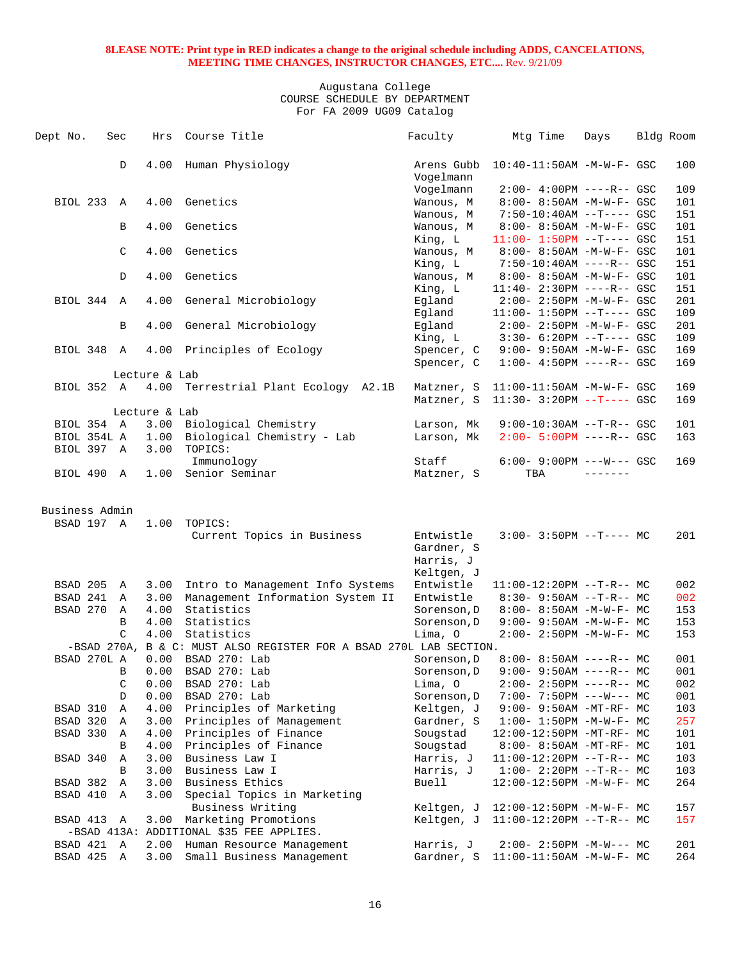| Dept No.       | Sec           | Hrs           | Course Title                                                       | Faculty                 | Mtg Time                                                        | Days            | Bldg Room  |
|----------------|---------------|---------------|--------------------------------------------------------------------|-------------------------|-----------------------------------------------------------------|-----------------|------------|
|                | D             | 4.00          | Human Physiology                                                   | Arens Gubb<br>Vogelmann | $10:40-11:50AM$ -M-W-F- GSC                                     |                 | 100        |
|                |               |               |                                                                    | Vogelmann               | $2:00-4:00PM$ ----R-- GSC                                       |                 | 109        |
| BIOL 233 A     |               | 4.00          | Genetics                                                           | Wanous, M               | $8:00 - 8:50AM - M - W - F - GSC$                               |                 | 101        |
|                |               |               |                                                                    | Wanous, M               | $7:50-10:40AM$ --T---- GSC                                      |                 | 151        |
|                | B             | 4.00          | Genetics                                                           | Wanous, M               | $8:00 - 8:50AM - M - W - F - GSC$                               |                 | 101        |
|                |               |               |                                                                    | King, L                 | $11:00 - 1:50PM -T--- GSC$                                      |                 | 151        |
|                | C             | 4.00          | Genetics                                                           | Wanous, M               | 8:00- 8:50AM -M-W-F- GSC                                        |                 | 101        |
|                |               |               |                                                                    | King, L                 | 7:50-10:40AM ----R-- GSC                                        |                 | 151        |
|                | D             | 4.00          | Genetics                                                           | Wanous, M               | $8:00 - 8:50AM - M - W - F - GSC$                               |                 | 101        |
|                |               | 4.00          |                                                                    | King, L                 | $11:40 - 2:30PM$ ----R-- GSC                                    |                 | 151        |
| BIOL 344 A     |               |               | General Microbiology                                               | Eqland<br>Eqland        | $2:00 - 2:50PM - M - W - F - GSC$<br>$11:00 - 1:50PM -T--- GSC$ |                 | 201<br>109 |
|                | В             | 4.00          | General Microbiology                                               | Egland                  | 2:00- 2:50PM -M-W-F- GSC                                        |                 | 201        |
|                |               |               |                                                                    | King, L                 | $3:30-6:20PM -T---GSC$                                          |                 | 109        |
| BIOL 348 A     |               |               | 4.00 Principles of Ecology                                         | Spencer, C              | 9:00- 9:50AM -M-W-F- GSC                                        |                 | 169        |
|                |               |               |                                                                    | Spencer, C              | $1:00-4:50PM$ ----R-- GSC                                       |                 | 169        |
|                |               | Lecture & Lab |                                                                    |                         |                                                                 |                 |            |
| BIOL 352 A     |               | 4.00          | Terrestrial Plant Ecology A2.1B                                    |                         | Matzner, S 11:00-11:50AM -M-W-F- GSC                            |                 | 169        |
|                |               |               |                                                                    |                         | Matzner, S 11:30- 3:20PM --T---- GSC                            |                 | 169        |
|                |               | Lecture & Lab |                                                                    |                         |                                                                 |                 |            |
| BIOL 354 A     |               |               | 3.00 Biological Chemistry                                          | Larson, Mk              | $9:00-10:30AM$ --T-R-- GSC                                      |                 | 101        |
| BIOL 354L A    |               |               | 1.00 Biological Chemistry - Lab                                    | Larson, Mk              | $2:00 - 5:00PM$ ----R-- GSC                                     |                 | 163        |
| BIOL 397 A     |               | 3.00          | TOPICS:                                                            |                         |                                                                 |                 |            |
|                |               |               | Immunology                                                         | Staff                   | $6:00 - 9:00PM$ ---W--- GSC                                     |                 | 169        |
| BIOL 490 A     |               |               | 1.00 Senior Seminar                                                | Matzner, S              | TBA                                                             | $- - - - - - -$ |            |
|                |               |               |                                                                    |                         |                                                                 |                 |            |
| Business Admin |               |               |                                                                    |                         |                                                                 |                 |            |
| BSAD 197 A     |               | 1.00          | TOPICS:                                                            |                         |                                                                 |                 |            |
|                |               |               | Current Topics in Business                                         | Entwistle               | $3:00-3:50PM -T--- MC$                                          |                 | 201        |
|                |               |               |                                                                    | Gardner, S              |                                                                 |                 |            |
|                |               |               |                                                                    | Harris, J               |                                                                 |                 |            |
|                |               |               |                                                                    | Keltgen, J              |                                                                 |                 |            |
| BSAD 205       | A             | 3.00          | Intro to Management Info Systems                                   | Entwistle               | $11:00-12:20PM$ --T-R-- MC                                      |                 | 002        |
| BSAD 241 A     |               |               | 3.00 Management Information System II                              | Entwistle               | 8:30- 9:50AM --T-R-- MC                                         |                 | 002        |
| BSAD 270       | A             | 4.00          | Statistics                                                         | Sorenson, D             | 8:00- 8:50AM -M-W-F- MC                                         |                 | 153        |
|                | B             | 4.00          | Statistics                                                         | Sorenson, D             | $9:00 - 9:50AM - M - W - F - MC$                                |                 | 153        |
|                | $\mathcal{C}$ | 4.00          | Statistics                                                         | Lima, O                 | $2:00 - 2:50PM -M-W-F-MC$                                       |                 | 153        |
|                |               |               | -BSAD 270A, B & C: MUST ALSO REGISTER FOR A BSAD 270L LAB SECTION. |                         |                                                                 |                 |            |
| BSAD 270L A    |               | 0.00          | BSAD 270: Lab                                                      | Sorenson, D             | $8:00 - 8:50AM$ ----R-- MC                                      |                 | 001        |
|                | B             | 0.00          | BSAD 270: Lab                                                      | Sorenson, D             | $9:00 - 9:50AM$ ----R-- MC                                      |                 | 001        |
|                | $\mathsf C$   | 0.00          | BSAD 270: Lab                                                      | Lima, O                 | $2:00-2:50PM$ ----R-- MC                                        |                 | 002        |
|                | D             | 0.00          | BSAD 270: Lab                                                      | Sorenson, D             | $7:00 - 7:50PM$ ---W--- MC                                      |                 | 001        |
| BSAD 310       | Α             | 4.00          | Principles of Marketing                                            | Keltgen, J              | 9:00- 9:50AM -MT-RF- MC                                         |                 | 103        |
| BSAD 320       | Α             | 3.00          | Principles of Management                                           | Gardner, S              | $1:00-1:50PM -M-W-F-MC$                                         |                 | 257        |
| BSAD 330       | A             | 4.00          | Principles of Finance                                              | Sougstad                | $12:00-12:50PM -MT-RF- MC$                                      |                 | 101        |
|                | В             | 4.00          | Principles of Finance                                              | Sougstad                | $8:00 - 8:50AM - MT - RF - MC$                                  |                 | 101        |
| BSAD 340       | Α             | 3.00          | Business Law I                                                     | Harris, J               | $11:00-12:20PM$ --T-R-- MC                                      |                 | 103        |
|                | B             | 3.00          | Business Law I                                                     | Harris, J               | $1:00-2:20PM -T-R--MC$                                          |                 | 103        |
| BSAD 382       | Α             | 3.00          | Business Ethics                                                    | <b>Buell</b>            | 12:00-12:50PM -M-W-F- MC                                        |                 | 264        |
| BSAD 410       | Α             | 3.00          | Special Topics in Marketing                                        |                         |                                                                 |                 |            |
|                |               |               | Business Writing                                                   | Keltgen, J              | 12:00-12:50PM -M-W-F- MC                                        |                 | 157        |
| BSAD 413       | Α             | 3.00          | Marketing Promotions                                               | Keltgen, J              | $11:00-12:20PM$ --T-R-- MC                                      |                 | 157        |
|                |               |               | -BSAD 413A: ADDITIONAL \$35 FEE APPLIES.                           |                         |                                                                 |                 |            |
| BSAD 421       | A             | 2.00          | Human Resource Management                                          | Harris, J               | $2:00-2:50PM -M-W--- MC$                                        |                 | 201        |
| BSAD 425       | Α             | 3.00          | Small Business Management                                          | Gardner, S              | $11:00-11:50AM$ -M-W-F- MC                                      |                 | 264        |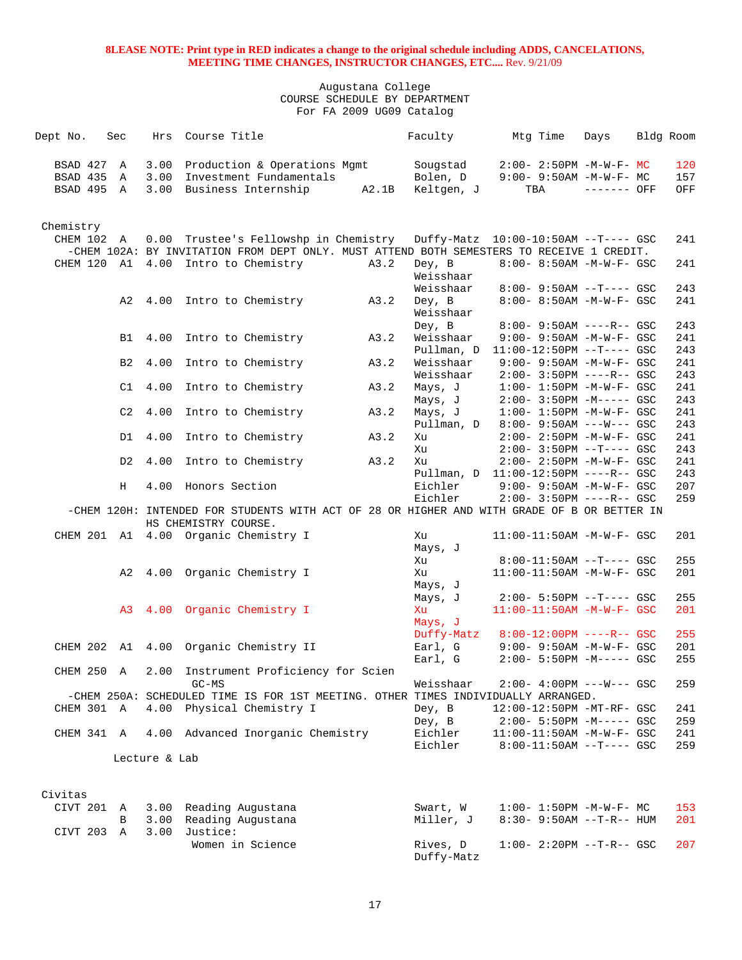| Dept No.                 | Sec            | Hrs           | Course Title                                                                                                                       |      | Faculty                | Mtg Time                                                    | Days         | Bldg Room |            |
|--------------------------|----------------|---------------|------------------------------------------------------------------------------------------------------------------------------------|------|------------------------|-------------------------------------------------------------|--------------|-----------|------------|
| BSAD 427 A<br>BSAD 435 A |                |               | 3.00 Production & Operations Mgmt<br>3.00 Investment Fundamentals                                                                  |      | Sougstad<br>Bolen, D   | $2:00-2:50PM -M-W-F-MC$<br>$9:00 - 9:50AM - M - W - F - MC$ |              |           | 120<br>157 |
| BSAD 495 A               |                |               | 3.00 Business Internship A2.1B                                                                                                     |      | Keltgen, J             | TBA                                                         | $------$ OFF |           | OFF        |
| Chemistry                |                |               |                                                                                                                                    |      |                        |                                                             |              |           |            |
| CHEM 102 A               |                |               | 0.00 Trustee's Fellowshp in Chemistry<br>-CHEM 102A: BY INVITATION FROM DEPT ONLY. MUST ATTEND BOTH SEMESTERS TO RECEIVE 1 CREDIT. |      |                        | Duffy-Matz  10:00-10:50AM --T---- GSC                       |              |           | 241        |
|                          |                |               | CHEM 120 A1 4.00 Intro to Chemistry                                                                                                | A3.2 | Dey, B<br>Weisshaar    | 8:00- 8:50AM -M-W-F- GSC                                    |              |           | 241        |
|                          |                |               | A2 4.00 Intro to Chemistry                                                                                                         | A3.2 | Weisshaar<br>Dey, B    | $8:00 - 9:50AM -T--- GSC$<br>8:00- 8:50AM -M-W-F- GSC       |              |           | 243<br>241 |
|                          |                |               |                                                                                                                                    |      | Weisshaar<br>Dey, B    | 8:00- 9:50AM ----R-- GSC                                    |              |           | 243        |
|                          |                |               | B1 4.00 Intro to Chemistry                                                                                                         | A3.2 | Weisshaar              | $9:00 - 9:50AM - M - W - F - GSC$                           |              |           | 241        |
|                          |                |               |                                                                                                                                    |      | Pullman, D             | 11:00-12:50PM --T---- GSC                                   |              |           | 243        |
|                          | B <sub>2</sub> | 4.00          | Intro to Chemistry                                                                                                                 | A3.2 | Weisshaar<br>Weisshaar | 9:00- 9:50AM -M-W-F- GSC<br>$2:00 - 3:50PM$ ----R-- GSC     |              |           | 241<br>243 |
|                          | C1             | 4.00          | Intro to Chemistry                                                                                                                 | A3.2 | Mays, J                | $1:00 - 1:50PM - M - W - F - GSC$                           |              |           | 241        |
|                          |                |               |                                                                                                                                    |      | Mays, J                | $2:00-3:50PM -M---GSC$                                      |              |           | 243        |
|                          | C2             | 4.00          | Intro to Chemistry                                                                                                                 | A3.2 | Mays, J                | $1:00 - 1:50PM - M - W - F - GSC$                           |              |           | 241        |
|                          | D1             | 4.00          | Intro to Chemistry                                                                                                                 | A3.2 | Pullman, D<br>Xu       | $8:00 - 9:50AM$ ---W--- GSC<br>$2:00 - 2:50PM -M-W-F - GSC$ |              |           | 243<br>241 |
|                          |                |               |                                                                                                                                    |      | Xu                     | $2:00 - 3:50PM -T--- GSC$                                   |              |           | 243        |
|                          | D <sub>2</sub> |               | 4.00 Intro to Chemistry                                                                                                            | A3.2 | Xu                     | $2:00 - 2:50PM -M-W-F- GSC$                                 |              |           | 241        |
|                          |                |               |                                                                                                                                    |      |                        | Pullman, D 11:00-12:50PM ----R-- GSC                        |              |           | 243        |
|                          | H              |               | 4.00 Honors Section                                                                                                                |      | Eichler                | 9:00- 9:50AM -M-W-F- GSC                                    |              |           | 207        |
|                          |                |               | -CHEM 120H: INTENDED FOR STUDENTS WITH ACT OF 28 OR HIGHER AND WITH GRADE OF B OR BETTER IN                                        |      | Eichler                | $2:00 - 3:50PM$ ----R-- GSC                                 |              |           | 259        |
|                          |                |               | HS CHEMISTRY COURSE.<br>CHEM 201 A1 4.00 Organic Chemistry I                                                                       |      | Xu                     | 11:00-11:50AM -M-W-F- GSC                                   |              |           | 201        |
|                          |                |               |                                                                                                                                    |      | Mays, J<br>Xu          | $8:00-11:50AM$ --T---- GSC                                  |              |           | 255        |
|                          |                |               | A2 4.00 Organic Chemistry I                                                                                                        |      | Xu                     | 11:00-11:50AM -M-W-F- GSC                                   |              |           | 201        |
|                          |                |               |                                                                                                                                    |      | Mays, J                |                                                             |              |           |            |
|                          |                |               |                                                                                                                                    |      | Mays, J                | $2:00 - 5:50PM -T--- GSC$                                   |              |           | 255        |
|                          |                |               | A3 4.00 Organic Chemistry I                                                                                                        |      | Xu<br>Mays, J          | 11:00-11:50AM -M-W-F- GSC                                   |              |           | 201        |
|                          |                |               |                                                                                                                                    |      | Duffy-Matz             | $8:00-12:00PM$ ----R-- GSC                                  |              |           | 255        |
|                          |                |               | CHEM 202 A1 4.00 Organic Chemistry II                                                                                              |      | Earl, G<br>Earl, G     | 9:00- 9:50AM -M-W-F- GSC<br>$2:00 - 5:50PM -M--- GSC$       |              |           | 201<br>255 |
|                          |                |               | CHEM 250 A 2.00 Instrument Proficiency for Scien                                                                                   |      |                        |                                                             |              |           |            |
|                          |                |               | $GC-MS$                                                                                                                            |      | Weisshaar              | $2:00-4:00PM$ ---W--- GSC                                   |              |           | 259        |
|                          |                |               | -CHEM 250A: SCHEDULED TIME IS FOR 1ST MEETING. OTHER TIMES INDIVIDUALLY ARRANGED.                                                  |      |                        |                                                             |              |           |            |
| CHEM 301 A               |                |               | 4.00 Physical Chemistry I                                                                                                          |      | Dey, B                 | 12:00-12:50PM -MT-RF- GSC                                   |              |           | 241        |
|                          |                |               |                                                                                                                                    |      | Dey, B                 | $2:00 - 5:50PM -M--- GSC$                                   |              |           | 259        |
| CHEM 341 A               |                |               | 4.00 Advanced Inorganic Chemistry                                                                                                  |      | Eichler<br>Eichler     | 11:00-11:50AM -M-W-F- GSC<br>$8:00-11:50AM$ --T---- GSC     |              |           | 241<br>259 |
|                          |                | Lecture & Lab |                                                                                                                                    |      |                        |                                                             |              |           |            |
|                          |                |               |                                                                                                                                    |      |                        |                                                             |              |           |            |
| Civitas                  |                |               |                                                                                                                                    |      |                        |                                                             |              |           |            |
| CIVT 201                 | A<br>B         |               | 3.00 Reading Augustana<br>3.00 Reading Augustana                                                                                   |      | Swart, W<br>Miller, J  | $1:00 - 1:50PM -M-W-F - MC$<br>$8:30 - 9:50AM -T-R-- HUM$   |              |           | 153<br>201 |
| CIVT 203 A               |                | 3.00          | Justice:                                                                                                                           |      |                        |                                                             |              |           |            |
|                          |                |               | Women in Science                                                                                                                   |      | Rives, D<br>Duffy-Matz | $1:00 - 2:20PM -T-R--$ GSC                                  |              |           | 207        |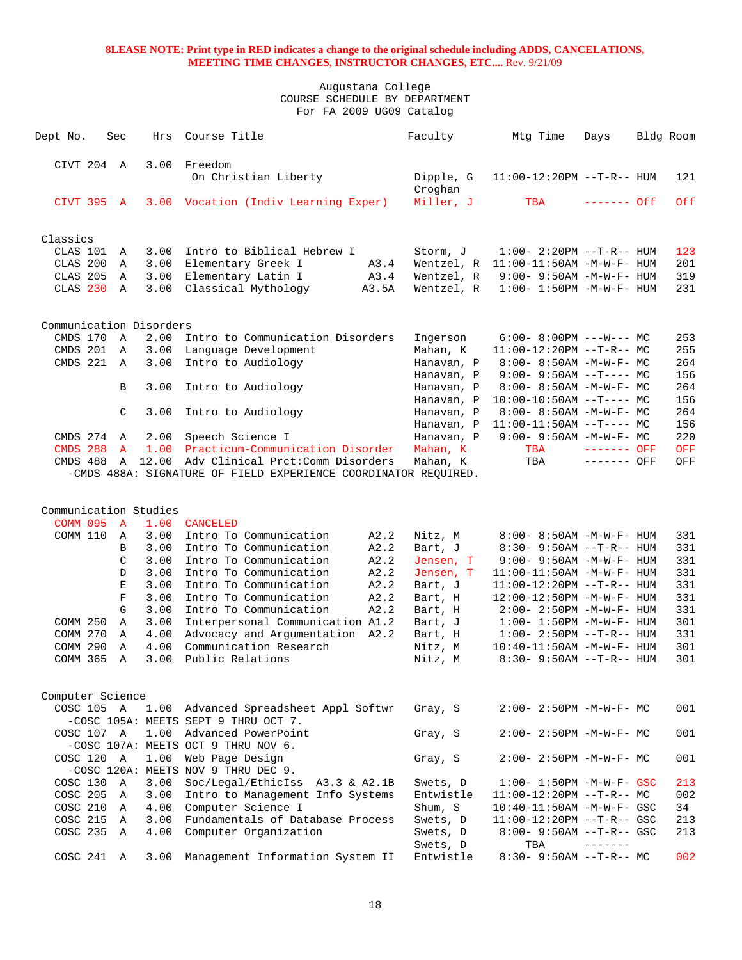| CIVT 204 A<br>3.00<br>Freedom<br>On Christian Liberty<br>Dipple, G<br>$11:00-12:20PM$ --T-R-- HUM<br>121<br>Croghan<br>Miller, J<br>0ff<br>CIVT 395 A<br>Vocation (Indiv Learning Exper)<br>TBA<br>$------$ Off<br>3.00<br>Classics<br>CLAS 101<br>3.00<br>Intro to Biblical Hebrew I<br>Storm, J<br>$1:00 - 2:20PM -T-R--HUM$<br>123<br>Α<br>CLAS 200<br>3.00<br>Elementary Greek I<br>A3.4<br>Wentzel, R<br>$11:00-11:50AM$ -M-W-F- HUM<br>201<br>Α<br>CLAS 205<br>A3.4<br>319<br>3.00<br>Elementary Latin I<br>Wentzel, R<br>$9:00 - 9:50AM - M - W - F - HUM$<br>A<br>CLAS <sub>230</sub><br>3.00<br>Classical Mythology<br>231<br>A<br>A3.5A<br>Wentzel, R<br>$1:00 - 1:50PM -M -W -F - HUM$<br>Communication Disorders<br>CMDS 170<br>2.00<br>Intro to Communication Disorders<br>A<br>$6:00-8:00PM$ ---W--- MC<br>253<br>Ingerson<br>CMDS 201<br>Language Development<br>255<br>3.00<br>Mahan, K<br>$11:00-12:20PM$ --T-R-- MC<br>Α<br>CMDS 221<br>3.00<br>Intro to Audiology<br>264<br>$\mathbb{A}$<br>Hanavan, P<br>$8:00 - 8:50AM - M - W - F - MC$<br>$9:00 - 9:50AM -T--- MC$<br>156<br>Hanavan, P<br>3.00<br>Intro to Audiology<br>264<br>В<br>Hanavan, P<br>$8:00-8:50AM$ -M-W-F- MC<br>156<br>Hanavan, P<br>$10:00-10:50AM$ --T---- MC<br>3.00<br>264<br>C<br>Intro to Audiology<br>Hanavan, P<br>$8:00-8:50AM$ -M-W-F- MC<br>156<br>Hanavan, P<br>$11:00-11:50AM$ --T---- MC<br>CMDS 274<br>$\mathbb A$<br>2.00<br>Speech Science I<br>Hanavan, P<br>$9:00 - 9:50AM - M-W-F - MC$<br>220<br><b>CMDS 288</b><br>1.00<br>Practicum-Communication Disorder<br>TBA<br>$\mathbf{A}$<br>Mahan, K<br><b>OFF</b><br>------- OFF<br>12.00<br>Adv Clinical Prct: Comm Disorders<br>TBA<br>CMDS 488<br>Mahan, K<br>OFF<br>$\mathbb A$<br>------- OFF<br>-CMDS 488A: SIGNATURE OF FIELD EXPERIENCE COORDINATOR REQUIRED.<br>Communication Studies<br><b>COMM 095</b><br>1.00<br><b>CANCELED</b><br>$\overline{A}$<br>COMM 110<br>3.00<br>Intro To Communication<br>A2.2<br>Nitz, M<br>$8:00 - 8:50AM - M - W - F - HUM$<br>331<br>A<br>A2.2<br>B<br>3.00<br>Intro To Communication<br>Bart, J<br>$8:30 - 9:50AM -T-R-- HUM$<br>331<br>C<br>Intro To Communication<br>A2.2<br>3.00<br>Jensen, T<br>$9:00 - 9:50AM - M - W - F - HUM$<br>331<br>$\mathbb D$<br>3.00<br>Intro To Communication<br>A2.2<br>331<br>Jensen, T<br>$11:00-11:50AM$ -M-W-F- HUM<br>E<br>3.00<br>Intro To Communication<br>A2.2<br>331<br>Bart, J<br>$11:00-12:20PM -T-R--HUM$<br>$\mathbf F$<br>3.00<br>Intro To Communication<br>A2.2<br>331<br>Bart, H<br>12:00-12:50PM -M-W-F- HUM<br>G<br>Intro To Communication<br>331<br>3.00<br>A2.2<br>$2:00 - 2:50PM -M-W-F - HUM$<br>Bart, H<br>Interpersonal Communication A1.2<br>301<br>COMM 250<br>$\mathbb A$<br>3.00<br>Bart, J<br>$1:00 - 1:50PM - M - W - F - HUM$<br>COMM 270<br>4.00<br>Advocacy and Argumentation<br>331<br>$\mathbb A$<br>A2.2<br>Bart, H<br>$1:00 - 2:50PM -T-R-- HUM$<br>COMM 290<br>4.00<br>Communication Research<br>301<br>Α<br>Nitz, M<br>$10:40 - 11:50AM$ -M-W-F- HUM<br>COMM 365<br>3.00<br>Public Relations<br>301<br>Α<br>Nitz, M<br>$8:30 - 9:50AM -T-R-- HUM$<br>Computer Science<br>Gray, S<br>001<br>COSC 105 A<br>1.00<br>Advanced Spreadsheet Appl Softwr<br>$2:00 - 2:50PM -M-W-F - MC$<br>-COSC 105A: MEETS SEPT 9 THRU OCT 7.<br>1.00 Advanced PowerPoint<br>Gray, S<br>COSC 107 A<br>$2:00 - 2:50PM -M-W-F-MC$<br>001<br>-COSC 107A: MEETS OCT 9 THRU NOV 6.<br>Web Page Design<br>COSC 120 A<br>1.00<br>Gray, S<br>$2:00 - 2:50PM -M-W-F - MC$<br>001<br>-COSC 120A: MEETS NOV 9 THRU DEC 9.<br>COSC 130 A<br>3.00<br>Soc/Legal/EthicIss A3.3 & A2.1B<br>Swets, D<br>$1:00 - 1:50PM - M - W - F - GSC$<br>213 | Dept No. | Sec | Hrs | Course Title | Faculty | Mtg Time | Days | Bldg Room |
|--------------------------------------------------------------------------------------------------------------------------------------------------------------------------------------------------------------------------------------------------------------------------------------------------------------------------------------------------------------------------------------------------------------------------------------------------------------------------------------------------------------------------------------------------------------------------------------------------------------------------------------------------------------------------------------------------------------------------------------------------------------------------------------------------------------------------------------------------------------------------------------------------------------------------------------------------------------------------------------------------------------------------------------------------------------------------------------------------------------------------------------------------------------------------------------------------------------------------------------------------------------------------------------------------------------------------------------------------------------------------------------------------------------------------------------------------------------------------------------------------------------------------------------------------------------------------------------------------------------------------------------------------------------------------------------------------------------------------------------------------------------------------------------------------------------------------------------------------------------------------------------------------------------------------------------------------------------------------------------------------------------------------------------------------------------------------------------------------------------------------------------------------------------------------------------------------------------------------------------------------------------------------------------------------------------------------------------------------------------------------------------------------------------------------------------------------------------------------------------------------------------------------------------------------------------------------------------------------------------------------------------------------------------------------------------------------------------------------------------------------------------------------------------------------------------------------------------------------------------------------------------------------------------------------------------------------------------------------------------------------------------------------------------------------------------------------------------------------------------------------------------------------------------------------------------------------------------------------------------------------------------------------------------------------------------------------------------------------------------------------------------------------------------------------------------------------------------------------------------------------------------------------------------------------------------------------------------------------------------------------------------------------------------------------------------|----------|-----|-----|--------------|---------|----------|------|-----------|
|                                                                                                                                                                                                                                                                                                                                                                                                                                                                                                                                                                                                                                                                                                                                                                                                                                                                                                                                                                                                                                                                                                                                                                                                                                                                                                                                                                                                                                                                                                                                                                                                                                                                                                                                                                                                                                                                                                                                                                                                                                                                                                                                                                                                                                                                                                                                                                                                                                                                                                                                                                                                                                                                                                                                                                                                                                                                                                                                                                                                                                                                                                                                                                                                                                                                                                                                                                                                                                                                                                                                                                                                                                                                                      |          |     |     |              |         |          |      |           |
|                                                                                                                                                                                                                                                                                                                                                                                                                                                                                                                                                                                                                                                                                                                                                                                                                                                                                                                                                                                                                                                                                                                                                                                                                                                                                                                                                                                                                                                                                                                                                                                                                                                                                                                                                                                                                                                                                                                                                                                                                                                                                                                                                                                                                                                                                                                                                                                                                                                                                                                                                                                                                                                                                                                                                                                                                                                                                                                                                                                                                                                                                                                                                                                                                                                                                                                                                                                                                                                                                                                                                                                                                                                                                      |          |     |     |              |         |          |      |           |
|                                                                                                                                                                                                                                                                                                                                                                                                                                                                                                                                                                                                                                                                                                                                                                                                                                                                                                                                                                                                                                                                                                                                                                                                                                                                                                                                                                                                                                                                                                                                                                                                                                                                                                                                                                                                                                                                                                                                                                                                                                                                                                                                                                                                                                                                                                                                                                                                                                                                                                                                                                                                                                                                                                                                                                                                                                                                                                                                                                                                                                                                                                                                                                                                                                                                                                                                                                                                                                                                                                                                                                                                                                                                                      |          |     |     |              |         |          |      |           |
|                                                                                                                                                                                                                                                                                                                                                                                                                                                                                                                                                                                                                                                                                                                                                                                                                                                                                                                                                                                                                                                                                                                                                                                                                                                                                                                                                                                                                                                                                                                                                                                                                                                                                                                                                                                                                                                                                                                                                                                                                                                                                                                                                                                                                                                                                                                                                                                                                                                                                                                                                                                                                                                                                                                                                                                                                                                                                                                                                                                                                                                                                                                                                                                                                                                                                                                                                                                                                                                                                                                                                                                                                                                                                      |          |     |     |              |         |          |      |           |
|                                                                                                                                                                                                                                                                                                                                                                                                                                                                                                                                                                                                                                                                                                                                                                                                                                                                                                                                                                                                                                                                                                                                                                                                                                                                                                                                                                                                                                                                                                                                                                                                                                                                                                                                                                                                                                                                                                                                                                                                                                                                                                                                                                                                                                                                                                                                                                                                                                                                                                                                                                                                                                                                                                                                                                                                                                                                                                                                                                                                                                                                                                                                                                                                                                                                                                                                                                                                                                                                                                                                                                                                                                                                                      |          |     |     |              |         |          |      |           |
|                                                                                                                                                                                                                                                                                                                                                                                                                                                                                                                                                                                                                                                                                                                                                                                                                                                                                                                                                                                                                                                                                                                                                                                                                                                                                                                                                                                                                                                                                                                                                                                                                                                                                                                                                                                                                                                                                                                                                                                                                                                                                                                                                                                                                                                                                                                                                                                                                                                                                                                                                                                                                                                                                                                                                                                                                                                                                                                                                                                                                                                                                                                                                                                                                                                                                                                                                                                                                                                                                                                                                                                                                                                                                      |          |     |     |              |         |          |      |           |
|                                                                                                                                                                                                                                                                                                                                                                                                                                                                                                                                                                                                                                                                                                                                                                                                                                                                                                                                                                                                                                                                                                                                                                                                                                                                                                                                                                                                                                                                                                                                                                                                                                                                                                                                                                                                                                                                                                                                                                                                                                                                                                                                                                                                                                                                                                                                                                                                                                                                                                                                                                                                                                                                                                                                                                                                                                                                                                                                                                                                                                                                                                                                                                                                                                                                                                                                                                                                                                                                                                                                                                                                                                                                                      |          |     |     |              |         |          |      |           |
|                                                                                                                                                                                                                                                                                                                                                                                                                                                                                                                                                                                                                                                                                                                                                                                                                                                                                                                                                                                                                                                                                                                                                                                                                                                                                                                                                                                                                                                                                                                                                                                                                                                                                                                                                                                                                                                                                                                                                                                                                                                                                                                                                                                                                                                                                                                                                                                                                                                                                                                                                                                                                                                                                                                                                                                                                                                                                                                                                                                                                                                                                                                                                                                                                                                                                                                                                                                                                                                                                                                                                                                                                                                                                      |          |     |     |              |         |          |      |           |
|                                                                                                                                                                                                                                                                                                                                                                                                                                                                                                                                                                                                                                                                                                                                                                                                                                                                                                                                                                                                                                                                                                                                                                                                                                                                                                                                                                                                                                                                                                                                                                                                                                                                                                                                                                                                                                                                                                                                                                                                                                                                                                                                                                                                                                                                                                                                                                                                                                                                                                                                                                                                                                                                                                                                                                                                                                                                                                                                                                                                                                                                                                                                                                                                                                                                                                                                                                                                                                                                                                                                                                                                                                                                                      |          |     |     |              |         |          |      |           |
|                                                                                                                                                                                                                                                                                                                                                                                                                                                                                                                                                                                                                                                                                                                                                                                                                                                                                                                                                                                                                                                                                                                                                                                                                                                                                                                                                                                                                                                                                                                                                                                                                                                                                                                                                                                                                                                                                                                                                                                                                                                                                                                                                                                                                                                                                                                                                                                                                                                                                                                                                                                                                                                                                                                                                                                                                                                                                                                                                                                                                                                                                                                                                                                                                                                                                                                                                                                                                                                                                                                                                                                                                                                                                      |          |     |     |              |         |          |      |           |
|                                                                                                                                                                                                                                                                                                                                                                                                                                                                                                                                                                                                                                                                                                                                                                                                                                                                                                                                                                                                                                                                                                                                                                                                                                                                                                                                                                                                                                                                                                                                                                                                                                                                                                                                                                                                                                                                                                                                                                                                                                                                                                                                                                                                                                                                                                                                                                                                                                                                                                                                                                                                                                                                                                                                                                                                                                                                                                                                                                                                                                                                                                                                                                                                                                                                                                                                                                                                                                                                                                                                                                                                                                                                                      |          |     |     |              |         |          |      |           |
|                                                                                                                                                                                                                                                                                                                                                                                                                                                                                                                                                                                                                                                                                                                                                                                                                                                                                                                                                                                                                                                                                                                                                                                                                                                                                                                                                                                                                                                                                                                                                                                                                                                                                                                                                                                                                                                                                                                                                                                                                                                                                                                                                                                                                                                                                                                                                                                                                                                                                                                                                                                                                                                                                                                                                                                                                                                                                                                                                                                                                                                                                                                                                                                                                                                                                                                                                                                                                                                                                                                                                                                                                                                                                      |          |     |     |              |         |          |      |           |
|                                                                                                                                                                                                                                                                                                                                                                                                                                                                                                                                                                                                                                                                                                                                                                                                                                                                                                                                                                                                                                                                                                                                                                                                                                                                                                                                                                                                                                                                                                                                                                                                                                                                                                                                                                                                                                                                                                                                                                                                                                                                                                                                                                                                                                                                                                                                                                                                                                                                                                                                                                                                                                                                                                                                                                                                                                                                                                                                                                                                                                                                                                                                                                                                                                                                                                                                                                                                                                                                                                                                                                                                                                                                                      |          |     |     |              |         |          |      |           |
|                                                                                                                                                                                                                                                                                                                                                                                                                                                                                                                                                                                                                                                                                                                                                                                                                                                                                                                                                                                                                                                                                                                                                                                                                                                                                                                                                                                                                                                                                                                                                                                                                                                                                                                                                                                                                                                                                                                                                                                                                                                                                                                                                                                                                                                                                                                                                                                                                                                                                                                                                                                                                                                                                                                                                                                                                                                                                                                                                                                                                                                                                                                                                                                                                                                                                                                                                                                                                                                                                                                                                                                                                                                                                      |          |     |     |              |         |          |      |           |
|                                                                                                                                                                                                                                                                                                                                                                                                                                                                                                                                                                                                                                                                                                                                                                                                                                                                                                                                                                                                                                                                                                                                                                                                                                                                                                                                                                                                                                                                                                                                                                                                                                                                                                                                                                                                                                                                                                                                                                                                                                                                                                                                                                                                                                                                                                                                                                                                                                                                                                                                                                                                                                                                                                                                                                                                                                                                                                                                                                                                                                                                                                                                                                                                                                                                                                                                                                                                                                                                                                                                                                                                                                                                                      |          |     |     |              |         |          |      |           |
|                                                                                                                                                                                                                                                                                                                                                                                                                                                                                                                                                                                                                                                                                                                                                                                                                                                                                                                                                                                                                                                                                                                                                                                                                                                                                                                                                                                                                                                                                                                                                                                                                                                                                                                                                                                                                                                                                                                                                                                                                                                                                                                                                                                                                                                                                                                                                                                                                                                                                                                                                                                                                                                                                                                                                                                                                                                                                                                                                                                                                                                                                                                                                                                                                                                                                                                                                                                                                                                                                                                                                                                                                                                                                      |          |     |     |              |         |          |      |           |
|                                                                                                                                                                                                                                                                                                                                                                                                                                                                                                                                                                                                                                                                                                                                                                                                                                                                                                                                                                                                                                                                                                                                                                                                                                                                                                                                                                                                                                                                                                                                                                                                                                                                                                                                                                                                                                                                                                                                                                                                                                                                                                                                                                                                                                                                                                                                                                                                                                                                                                                                                                                                                                                                                                                                                                                                                                                                                                                                                                                                                                                                                                                                                                                                                                                                                                                                                                                                                                                                                                                                                                                                                                                                                      |          |     |     |              |         |          |      |           |
|                                                                                                                                                                                                                                                                                                                                                                                                                                                                                                                                                                                                                                                                                                                                                                                                                                                                                                                                                                                                                                                                                                                                                                                                                                                                                                                                                                                                                                                                                                                                                                                                                                                                                                                                                                                                                                                                                                                                                                                                                                                                                                                                                                                                                                                                                                                                                                                                                                                                                                                                                                                                                                                                                                                                                                                                                                                                                                                                                                                                                                                                                                                                                                                                                                                                                                                                                                                                                                                                                                                                                                                                                                                                                      |          |     |     |              |         |          |      |           |
|                                                                                                                                                                                                                                                                                                                                                                                                                                                                                                                                                                                                                                                                                                                                                                                                                                                                                                                                                                                                                                                                                                                                                                                                                                                                                                                                                                                                                                                                                                                                                                                                                                                                                                                                                                                                                                                                                                                                                                                                                                                                                                                                                                                                                                                                                                                                                                                                                                                                                                                                                                                                                                                                                                                                                                                                                                                                                                                                                                                                                                                                                                                                                                                                                                                                                                                                                                                                                                                                                                                                                                                                                                                                                      |          |     |     |              |         |          |      |           |
|                                                                                                                                                                                                                                                                                                                                                                                                                                                                                                                                                                                                                                                                                                                                                                                                                                                                                                                                                                                                                                                                                                                                                                                                                                                                                                                                                                                                                                                                                                                                                                                                                                                                                                                                                                                                                                                                                                                                                                                                                                                                                                                                                                                                                                                                                                                                                                                                                                                                                                                                                                                                                                                                                                                                                                                                                                                                                                                                                                                                                                                                                                                                                                                                                                                                                                                                                                                                                                                                                                                                                                                                                                                                                      |          |     |     |              |         |          |      |           |
|                                                                                                                                                                                                                                                                                                                                                                                                                                                                                                                                                                                                                                                                                                                                                                                                                                                                                                                                                                                                                                                                                                                                                                                                                                                                                                                                                                                                                                                                                                                                                                                                                                                                                                                                                                                                                                                                                                                                                                                                                                                                                                                                                                                                                                                                                                                                                                                                                                                                                                                                                                                                                                                                                                                                                                                                                                                                                                                                                                                                                                                                                                                                                                                                                                                                                                                                                                                                                                                                                                                                                                                                                                                                                      |          |     |     |              |         |          |      |           |
|                                                                                                                                                                                                                                                                                                                                                                                                                                                                                                                                                                                                                                                                                                                                                                                                                                                                                                                                                                                                                                                                                                                                                                                                                                                                                                                                                                                                                                                                                                                                                                                                                                                                                                                                                                                                                                                                                                                                                                                                                                                                                                                                                                                                                                                                                                                                                                                                                                                                                                                                                                                                                                                                                                                                                                                                                                                                                                                                                                                                                                                                                                                                                                                                                                                                                                                                                                                                                                                                                                                                                                                                                                                                                      |          |     |     |              |         |          |      |           |
|                                                                                                                                                                                                                                                                                                                                                                                                                                                                                                                                                                                                                                                                                                                                                                                                                                                                                                                                                                                                                                                                                                                                                                                                                                                                                                                                                                                                                                                                                                                                                                                                                                                                                                                                                                                                                                                                                                                                                                                                                                                                                                                                                                                                                                                                                                                                                                                                                                                                                                                                                                                                                                                                                                                                                                                                                                                                                                                                                                                                                                                                                                                                                                                                                                                                                                                                                                                                                                                                                                                                                                                                                                                                                      |          |     |     |              |         |          |      |           |
|                                                                                                                                                                                                                                                                                                                                                                                                                                                                                                                                                                                                                                                                                                                                                                                                                                                                                                                                                                                                                                                                                                                                                                                                                                                                                                                                                                                                                                                                                                                                                                                                                                                                                                                                                                                                                                                                                                                                                                                                                                                                                                                                                                                                                                                                                                                                                                                                                                                                                                                                                                                                                                                                                                                                                                                                                                                                                                                                                                                                                                                                                                                                                                                                                                                                                                                                                                                                                                                                                                                                                                                                                                                                                      |          |     |     |              |         |          |      |           |
|                                                                                                                                                                                                                                                                                                                                                                                                                                                                                                                                                                                                                                                                                                                                                                                                                                                                                                                                                                                                                                                                                                                                                                                                                                                                                                                                                                                                                                                                                                                                                                                                                                                                                                                                                                                                                                                                                                                                                                                                                                                                                                                                                                                                                                                                                                                                                                                                                                                                                                                                                                                                                                                                                                                                                                                                                                                                                                                                                                                                                                                                                                                                                                                                                                                                                                                                                                                                                                                                                                                                                                                                                                                                                      |          |     |     |              |         |          |      |           |
|                                                                                                                                                                                                                                                                                                                                                                                                                                                                                                                                                                                                                                                                                                                                                                                                                                                                                                                                                                                                                                                                                                                                                                                                                                                                                                                                                                                                                                                                                                                                                                                                                                                                                                                                                                                                                                                                                                                                                                                                                                                                                                                                                                                                                                                                                                                                                                                                                                                                                                                                                                                                                                                                                                                                                                                                                                                                                                                                                                                                                                                                                                                                                                                                                                                                                                                                                                                                                                                                                                                                                                                                                                                                                      |          |     |     |              |         |          |      |           |
|                                                                                                                                                                                                                                                                                                                                                                                                                                                                                                                                                                                                                                                                                                                                                                                                                                                                                                                                                                                                                                                                                                                                                                                                                                                                                                                                                                                                                                                                                                                                                                                                                                                                                                                                                                                                                                                                                                                                                                                                                                                                                                                                                                                                                                                                                                                                                                                                                                                                                                                                                                                                                                                                                                                                                                                                                                                                                                                                                                                                                                                                                                                                                                                                                                                                                                                                                                                                                                                                                                                                                                                                                                                                                      |          |     |     |              |         |          |      |           |
|                                                                                                                                                                                                                                                                                                                                                                                                                                                                                                                                                                                                                                                                                                                                                                                                                                                                                                                                                                                                                                                                                                                                                                                                                                                                                                                                                                                                                                                                                                                                                                                                                                                                                                                                                                                                                                                                                                                                                                                                                                                                                                                                                                                                                                                                                                                                                                                                                                                                                                                                                                                                                                                                                                                                                                                                                                                                                                                                                                                                                                                                                                                                                                                                                                                                                                                                                                                                                                                                                                                                                                                                                                                                                      |          |     |     |              |         |          |      |           |
|                                                                                                                                                                                                                                                                                                                                                                                                                                                                                                                                                                                                                                                                                                                                                                                                                                                                                                                                                                                                                                                                                                                                                                                                                                                                                                                                                                                                                                                                                                                                                                                                                                                                                                                                                                                                                                                                                                                                                                                                                                                                                                                                                                                                                                                                                                                                                                                                                                                                                                                                                                                                                                                                                                                                                                                                                                                                                                                                                                                                                                                                                                                                                                                                                                                                                                                                                                                                                                                                                                                                                                                                                                                                                      |          |     |     |              |         |          |      |           |
|                                                                                                                                                                                                                                                                                                                                                                                                                                                                                                                                                                                                                                                                                                                                                                                                                                                                                                                                                                                                                                                                                                                                                                                                                                                                                                                                                                                                                                                                                                                                                                                                                                                                                                                                                                                                                                                                                                                                                                                                                                                                                                                                                                                                                                                                                                                                                                                                                                                                                                                                                                                                                                                                                                                                                                                                                                                                                                                                                                                                                                                                                                                                                                                                                                                                                                                                                                                                                                                                                                                                                                                                                                                                                      |          |     |     |              |         |          |      |           |
|                                                                                                                                                                                                                                                                                                                                                                                                                                                                                                                                                                                                                                                                                                                                                                                                                                                                                                                                                                                                                                                                                                                                                                                                                                                                                                                                                                                                                                                                                                                                                                                                                                                                                                                                                                                                                                                                                                                                                                                                                                                                                                                                                                                                                                                                                                                                                                                                                                                                                                                                                                                                                                                                                                                                                                                                                                                                                                                                                                                                                                                                                                                                                                                                                                                                                                                                                                                                                                                                                                                                                                                                                                                                                      |          |     |     |              |         |          |      |           |
|                                                                                                                                                                                                                                                                                                                                                                                                                                                                                                                                                                                                                                                                                                                                                                                                                                                                                                                                                                                                                                                                                                                                                                                                                                                                                                                                                                                                                                                                                                                                                                                                                                                                                                                                                                                                                                                                                                                                                                                                                                                                                                                                                                                                                                                                                                                                                                                                                                                                                                                                                                                                                                                                                                                                                                                                                                                                                                                                                                                                                                                                                                                                                                                                                                                                                                                                                                                                                                                                                                                                                                                                                                                                                      |          |     |     |              |         |          |      |           |
|                                                                                                                                                                                                                                                                                                                                                                                                                                                                                                                                                                                                                                                                                                                                                                                                                                                                                                                                                                                                                                                                                                                                                                                                                                                                                                                                                                                                                                                                                                                                                                                                                                                                                                                                                                                                                                                                                                                                                                                                                                                                                                                                                                                                                                                                                                                                                                                                                                                                                                                                                                                                                                                                                                                                                                                                                                                                                                                                                                                                                                                                                                                                                                                                                                                                                                                                                                                                                                                                                                                                                                                                                                                                                      |          |     |     |              |         |          |      |           |
|                                                                                                                                                                                                                                                                                                                                                                                                                                                                                                                                                                                                                                                                                                                                                                                                                                                                                                                                                                                                                                                                                                                                                                                                                                                                                                                                                                                                                                                                                                                                                                                                                                                                                                                                                                                                                                                                                                                                                                                                                                                                                                                                                                                                                                                                                                                                                                                                                                                                                                                                                                                                                                                                                                                                                                                                                                                                                                                                                                                                                                                                                                                                                                                                                                                                                                                                                                                                                                                                                                                                                                                                                                                                                      |          |     |     |              |         |          |      |           |
|                                                                                                                                                                                                                                                                                                                                                                                                                                                                                                                                                                                                                                                                                                                                                                                                                                                                                                                                                                                                                                                                                                                                                                                                                                                                                                                                                                                                                                                                                                                                                                                                                                                                                                                                                                                                                                                                                                                                                                                                                                                                                                                                                                                                                                                                                                                                                                                                                                                                                                                                                                                                                                                                                                                                                                                                                                                                                                                                                                                                                                                                                                                                                                                                                                                                                                                                                                                                                                                                                                                                                                                                                                                                                      |          |     |     |              |         |          |      |           |
|                                                                                                                                                                                                                                                                                                                                                                                                                                                                                                                                                                                                                                                                                                                                                                                                                                                                                                                                                                                                                                                                                                                                                                                                                                                                                                                                                                                                                                                                                                                                                                                                                                                                                                                                                                                                                                                                                                                                                                                                                                                                                                                                                                                                                                                                                                                                                                                                                                                                                                                                                                                                                                                                                                                                                                                                                                                                                                                                                                                                                                                                                                                                                                                                                                                                                                                                                                                                                                                                                                                                                                                                                                                                                      |          |     |     |              |         |          |      |           |
|                                                                                                                                                                                                                                                                                                                                                                                                                                                                                                                                                                                                                                                                                                                                                                                                                                                                                                                                                                                                                                                                                                                                                                                                                                                                                                                                                                                                                                                                                                                                                                                                                                                                                                                                                                                                                                                                                                                                                                                                                                                                                                                                                                                                                                                                                                                                                                                                                                                                                                                                                                                                                                                                                                                                                                                                                                                                                                                                                                                                                                                                                                                                                                                                                                                                                                                                                                                                                                                                                                                                                                                                                                                                                      |          |     |     |              |         |          |      |           |
|                                                                                                                                                                                                                                                                                                                                                                                                                                                                                                                                                                                                                                                                                                                                                                                                                                                                                                                                                                                                                                                                                                                                                                                                                                                                                                                                                                                                                                                                                                                                                                                                                                                                                                                                                                                                                                                                                                                                                                                                                                                                                                                                                                                                                                                                                                                                                                                                                                                                                                                                                                                                                                                                                                                                                                                                                                                                                                                                                                                                                                                                                                                                                                                                                                                                                                                                                                                                                                                                                                                                                                                                                                                                                      |          |     |     |              |         |          |      |           |
|                                                                                                                                                                                                                                                                                                                                                                                                                                                                                                                                                                                                                                                                                                                                                                                                                                                                                                                                                                                                                                                                                                                                                                                                                                                                                                                                                                                                                                                                                                                                                                                                                                                                                                                                                                                                                                                                                                                                                                                                                                                                                                                                                                                                                                                                                                                                                                                                                                                                                                                                                                                                                                                                                                                                                                                                                                                                                                                                                                                                                                                                                                                                                                                                                                                                                                                                                                                                                                                                                                                                                                                                                                                                                      |          |     |     |              |         |          |      |           |
|                                                                                                                                                                                                                                                                                                                                                                                                                                                                                                                                                                                                                                                                                                                                                                                                                                                                                                                                                                                                                                                                                                                                                                                                                                                                                                                                                                                                                                                                                                                                                                                                                                                                                                                                                                                                                                                                                                                                                                                                                                                                                                                                                                                                                                                                                                                                                                                                                                                                                                                                                                                                                                                                                                                                                                                                                                                                                                                                                                                                                                                                                                                                                                                                                                                                                                                                                                                                                                                                                                                                                                                                                                                                                      |          |     |     |              |         |          |      |           |
| COSC 205 A<br>Intro to Management Info Systems<br>3.00<br>Entwistle<br>11:00-12:20PM --T-R-- MC<br>002                                                                                                                                                                                                                                                                                                                                                                                                                                                                                                                                                                                                                                                                                                                                                                                                                                                                                                                                                                                                                                                                                                                                                                                                                                                                                                                                                                                                                                                                                                                                                                                                                                                                                                                                                                                                                                                                                                                                                                                                                                                                                                                                                                                                                                                                                                                                                                                                                                                                                                                                                                                                                                                                                                                                                                                                                                                                                                                                                                                                                                                                                                                                                                                                                                                                                                                                                                                                                                                                                                                                                                               |          |     |     |              |         |          |      |           |
| Computer Science I<br>Shum, S<br>34<br>COSC 210 A<br>4.00<br>$10:40 - 11:50AM$ -M-W-F- GSC                                                                                                                                                                                                                                                                                                                                                                                                                                                                                                                                                                                                                                                                                                                                                                                                                                                                                                                                                                                                                                                                                                                                                                                                                                                                                                                                                                                                                                                                                                                                                                                                                                                                                                                                                                                                                                                                                                                                                                                                                                                                                                                                                                                                                                                                                                                                                                                                                                                                                                                                                                                                                                                                                                                                                                                                                                                                                                                                                                                                                                                                                                                                                                                                                                                                                                                                                                                                                                                                                                                                                                                           |          |     |     |              |         |          |      |           |
| COSC 215 A<br>Fundamentals of Database Process<br>3.00<br>Swets, D<br>213<br>$11:00-12:20PM -T-R--GSC$                                                                                                                                                                                                                                                                                                                                                                                                                                                                                                                                                                                                                                                                                                                                                                                                                                                                                                                                                                                                                                                                                                                                                                                                                                                                                                                                                                                                                                                                                                                                                                                                                                                                                                                                                                                                                                                                                                                                                                                                                                                                                                                                                                                                                                                                                                                                                                                                                                                                                                                                                                                                                                                                                                                                                                                                                                                                                                                                                                                                                                                                                                                                                                                                                                                                                                                                                                                                                                                                                                                                                                               |          |     |     |              |         |          |      |           |
| COSC 235 A<br>4.00<br>Computer Organization<br>$8:00 - 9:50AM -T-R - GSC$<br>213<br>Swets, D<br>$- - - - - - -$<br>Swets, D<br>TBA                                                                                                                                                                                                                                                                                                                                                                                                                                                                                                                                                                                                                                                                                                                                                                                                                                                                                                                                                                                                                                                                                                                                                                                                                                                                                                                                                                                                                                                                                                                                                                                                                                                                                                                                                                                                                                                                                                                                                                                                                                                                                                                                                                                                                                                                                                                                                                                                                                                                                                                                                                                                                                                                                                                                                                                                                                                                                                                                                                                                                                                                                                                                                                                                                                                                                                                                                                                                                                                                                                                                                   |          |     |     |              |         |          |      |           |
| Management Information System II<br>COSC 241 A<br>3.00<br>Entwistle<br>$8:30 - 9:50AM -T-R-- MC$<br>002                                                                                                                                                                                                                                                                                                                                                                                                                                                                                                                                                                                                                                                                                                                                                                                                                                                                                                                                                                                                                                                                                                                                                                                                                                                                                                                                                                                                                                                                                                                                                                                                                                                                                                                                                                                                                                                                                                                                                                                                                                                                                                                                                                                                                                                                                                                                                                                                                                                                                                                                                                                                                                                                                                                                                                                                                                                                                                                                                                                                                                                                                                                                                                                                                                                                                                                                                                                                                                                                                                                                                                              |          |     |     |              |         |          |      |           |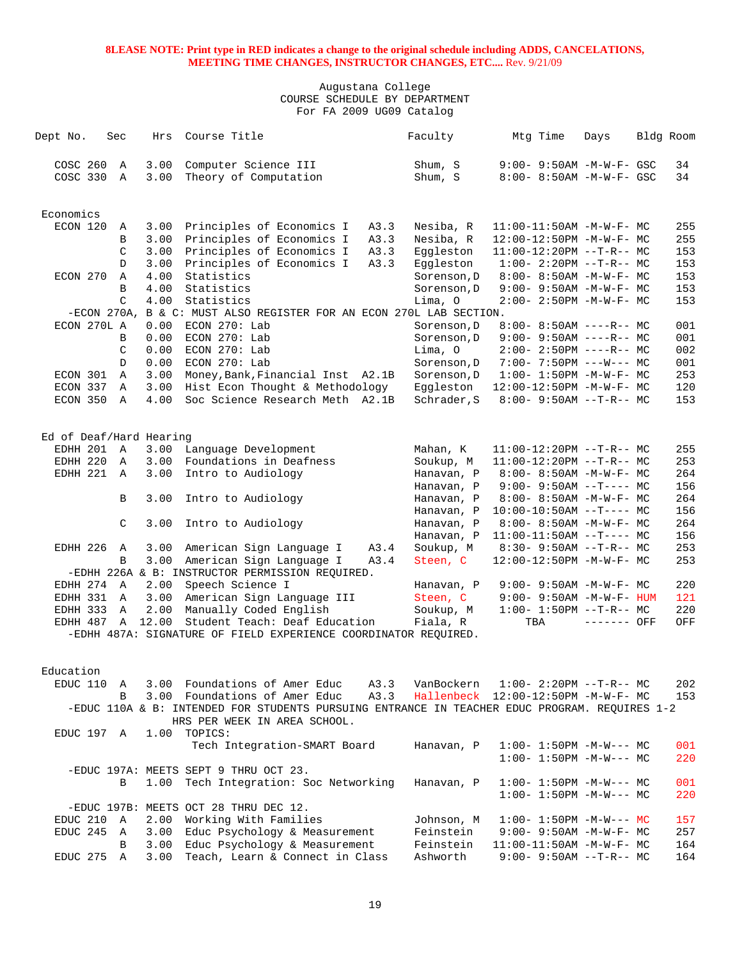| Dept No.                | Sec           | Hrs   | Course Title                                                                                  | Faculty     | Mtg Time                            | Days         | Bldg Room |     |
|-------------------------|---------------|-------|-----------------------------------------------------------------------------------------------|-------------|-------------------------------------|--------------|-----------|-----|
|                         |               |       |                                                                                               |             |                                     |              |           |     |
| COSC 260                | $\mathbb A$   | 3.00  | Computer Science III                                                                          | Shum, S     | $9:00 - 9:50AM - M - W - F - GSC$   |              |           | 34  |
| COSC 330                | A             | 3.00  | Theory of Computation                                                                         | Shum, S     | 8:00- 8:50AM -M-W-F- GSC            |              |           | 34  |
|                         |               |       |                                                                                               |             |                                     |              |           |     |
|                         |               |       |                                                                                               |             |                                     |              |           |     |
| Economics               |               |       |                                                                                               |             |                                     |              |           |     |
| ECON 120                | Α             | 3.00  | Principles of Economics I<br>A3.3                                                             | Nesiba, R   | 11:00-11:50AM -M-W-F- MC            |              |           | 255 |
|                         | B             | 3.00  | Principles of Economics I<br>A3.3                                                             | Nesiba, R   | 12:00-12:50PM -M-W-F- MC            |              |           | 255 |
|                         | C             | 3.00  | Principles of Economics I<br>A3.3                                                             | Eqqleston   | $11:00-12:20PM$ --T-R-- MC          |              |           | 153 |
|                         | D             | 3.00  | Principles of Economics I<br>A3.3                                                             | Eqqleston   | $1:00-2:20PM -T-R--MC$              |              |           | 153 |
| ECON 270                | Α             | 4.00  | Statistics                                                                                    | Sorenson, D | $8:00 - 8:50AM - M - W - F - MC$    |              |           | 153 |
|                         | B             | 4.00  | Statistics                                                                                    | Sorenson, D | 9:00- 9:50AM -M-W-F- MC             |              |           | 153 |
|                         | $\mathcal{C}$ | 4.00  | Statistics                                                                                    | Lima, O     | 2:00- 2:50PM -M-W-F- MC             |              |           | 153 |
|                         | $-ECON$ 270A, |       | B & C: MUST ALSO REGISTER FOR AN ECON 270L LAB SECTION.                                       |             |                                     |              |           |     |
| ECON 270L A             |               | 0.00  | ECON 270: Lab                                                                                 | Sorenson, D | $8:00 - 8:50AM$ ----R-- MC          |              |           | 001 |
|                         | B             | 0.00  | ECON 270: Lab                                                                                 | Sorenson, D | $9:00 - 9:50AM$ ----R-- MC          |              |           | 001 |
|                         | C             | 0.00  | ECON 270: Lab                                                                                 | Lima, O     | $2:00-2:50PM$ ----R-- MC            |              |           | 002 |
|                         | D             | 0.00  | ECON 270: Lab                                                                                 | Sorenson, D | $7:00 - 7:50PM$ ---W--- MC          |              |           | 001 |
| ECON 301                | A             | 3.00  | Money, Bank, Financial Inst A2.1B                                                             | Sorenson, D | $1:00 - 1:50PM -M-W-F - MC$         |              |           | 253 |
| ECON 337                | Α             | 3.00  | Hist Econ Thought & Methodology                                                               | Eqqleston   | 12:00-12:50PM -M-W-F- MC            |              |           | 120 |
| ECON 350 A              |               | 4.00  | Soc Science Research Meth A2.1B                                                               | Schrader, S | $8:00 - 9:50AM -T-R-- MC$           |              |           | 153 |
|                         |               |       |                                                                                               |             |                                     |              |           |     |
|                         |               |       |                                                                                               |             |                                     |              |           |     |
| Ed of Deaf/Hard Hearing |               |       |                                                                                               |             |                                     |              |           |     |
| EDHH 201 A              |               |       | 3.00 Language Development                                                                     | Mahan, K    | $11:00-12:20PM$ --T-R-- MC          |              |           | 255 |
| EDHH 220 A              |               | 3.00  | Foundations in Deafness                                                                       | Soukup, M   | $11:00-12:20PM$ --T-R-- MC          |              |           | 253 |
| EDHH 221 A              |               | 3.00  | Intro to Audiology                                                                            | Hanavan, P  | $8:00 - 8:50AM - M - W - F - MC$    |              |           | 264 |
|                         |               |       |                                                                                               | Hanavan, P  | $9:00 - 9:50AM -T--- MC$            |              |           | 156 |
|                         | B             | 3.00  | Intro to Audiology                                                                            | Hanavan, P  | 8:00- 8:50AM -M-W-F- MC             |              |           | 264 |
|                         |               |       |                                                                                               | Hanavan, P  | $10:00-10:50AM$ --T---- MC          |              |           | 156 |
|                         | C             | 3.00  | Intro to Audiology                                                                            | Hanavan, P  | $8:00 - 8:50AM - M - W - F - MC$    |              |           | 264 |
|                         |               |       |                                                                                               | Hanavan, P  | $11:00-11:50AM$ --T---- MC          |              |           | 156 |
| EDHH 226                | Α             | 3.00  | American Sign Language I<br>A3.4                                                              | Soukup, M   | $8:30 - 9:50AM -T-R-- MC$           |              |           | 253 |
|                         | B             | 3.00  | American Sign Language I<br>A3.4                                                              | Steen, C    | 12:00-12:50PM -M-W-F- MC            |              |           | 253 |
|                         |               |       | -EDHH 226A & B: INSTRUCTOR PERMISSION REQUIRED.                                               |             |                                     |              |           |     |
| EDHH 274 A              |               | 2.00  | Speech Science I                                                                              | Hanavan, P  | $9:00 - 9:50AM - M - W - F - MC$    |              |           | 220 |
| EDHH 331 A              |               | 3.00  | American Sign Language III                                                                    | Steen, C    | $9:00 - 9:50AM - M - W - F - HUM$   |              |           | 121 |
| EDHH 333 A              |               | 2.00  | Manually Coded English                                                                        | Soukup, M   | $1:00-1:50PM -T-R--MC$              |              |           | 220 |
| EDHH 487 A              |               | 12.00 | Student Teach: Deaf Education                                                                 | Fiala, R    | TBA                                 | $------$ OFF |           | OFF |
|                         |               |       | -EDHH 487A: SIGNATURE OF FIELD EXPERIENCE COORDINATOR REQUIRED.                               |             |                                     |              |           |     |
|                         |               |       |                                                                                               |             |                                     |              |           |     |
|                         |               |       |                                                                                               |             |                                     |              |           |     |
| Education               |               |       |                                                                                               |             |                                     |              |           |     |
| EDUC 110                | A             |       | 3.00 Foundations of Amer Educ<br>A3.3                                                         | VanBockern  | $1:00-2:20PM -T-R--MC$              |              |           | 202 |
|                         | B             |       | 3.00 Foundations of Amer Educ<br>A3.3                                                         |             | Hallenbeck 12:00-12:50PM -M-W-F- MC |              |           | 153 |
|                         |               |       | -EDUC 110A & B: INTENDED FOR STUDENTS PURSUING ENTRANCE IN TEACHER EDUC PROGRAM. REQUIRES 1-2 |             |                                     |              |           |     |
|                         |               |       | HRS PER WEEK IN AREA SCHOOL.                                                                  |             |                                     |              |           |     |
| EDUC 197 A              |               |       | 1.00 TOPICS:                                                                                  |             |                                     |              |           |     |
|                         |               |       | Tech Integration-SMART Board                                                                  | Hanavan, P  | $1:00 - 1:50PM -M-W--- MC$          |              |           | 001 |
|                         |               |       |                                                                                               |             | $1:00 - 1:50PM - M-W--- MC$         |              |           | 220 |
|                         |               |       | -EDUC 197A: MEETS SEPT 9 THRU OCT 23.                                                         |             |                                     |              |           |     |
|                         | B             |       | 1.00 Tech Integration: Soc Networking                                                         | Hanavan, P  | $1:00 - 1:50PM - M-W--- MC$         |              |           | 001 |
|                         |               |       |                                                                                               |             | $1:00 - 1:50PM - M-W--- MC$         |              |           | 220 |
|                         |               |       | -EDUC 197B: MEETS OCT 28 THRU DEC 12.                                                         |             |                                     |              |           |     |
| EDUC 210 A              |               |       | 2.00 Working With Families                                                                    | Johnson, M  | $1:00 - 1:50PM - M-W--- MC$         |              |           | 157 |
| EDUC 245 A              |               | 3.00  | Educ Psychology & Measurement                                                                 | Feinstein   | $9:00 - 9:50AM - M - W - F - MC$    |              |           | 257 |
|                         | В             | 3.00  | Educ Psychology & Measurement                                                                 | Feinstein   | $11:00-11:50AM$ -M-W-F- MC          |              |           | 164 |
| EDUC 275 A              |               | 3.00  | Teach, Learn & Connect in Class                                                               | Ashworth    | $9:00 - 9:50AM -T-R-- MC$           |              |           | 164 |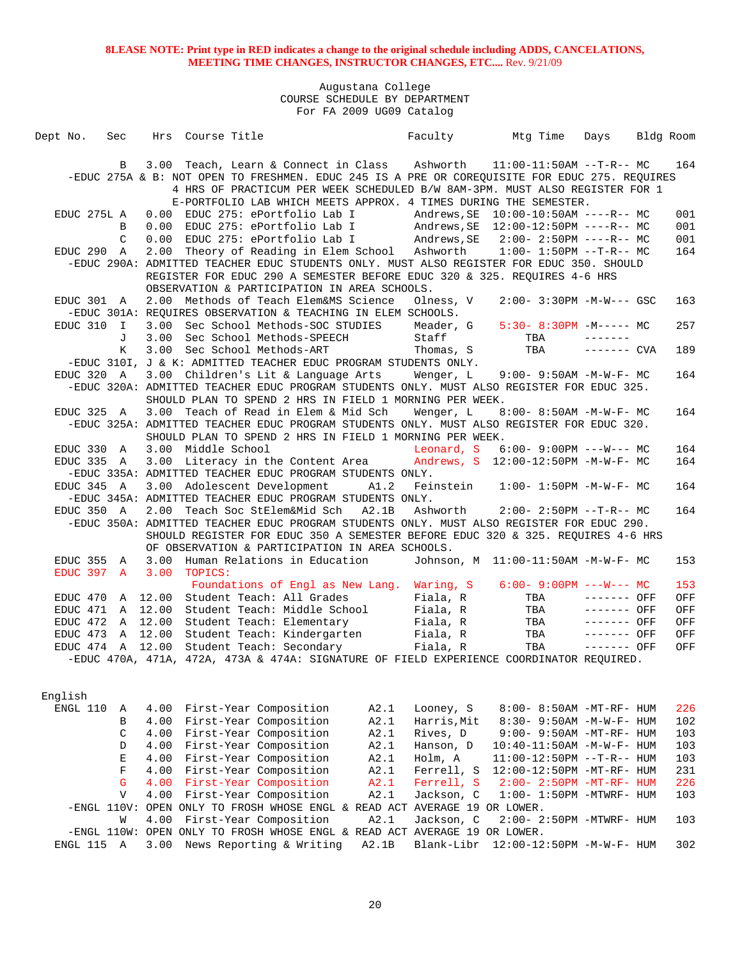| Dept No.         | Sec          |         | Hrs Course Title   |                                                                                                                                                                              |       | Faculty     | Mtg Time                                     | Days         | Bldg Room |
|------------------|--------------|---------|--------------------|------------------------------------------------------------------------------------------------------------------------------------------------------------------------------|-------|-------------|----------------------------------------------|--------------|-----------|
|                  |              |         |                    |                                                                                                                                                                              |       |             |                                              |              |           |
|                  | B            |         |                    | 3.00 Teach, Learn & Connect in Class Ashworth 11:00-11:50AM --T-R-- MC                                                                                                       |       |             |                                              |              | 164       |
|                  |              |         |                    | -EDUC 275A & B: NOT OPEN TO FRESHMEN. EDUC 245 IS A PRE OR COREQUISITE FOR EDUC 275. REQUIRES                                                                                |       |             |                                              |              |           |
|                  |              |         |                    | 4 HRS OF PRACTICUM PER WEEK SCHEDULED B/W 8AM-3PM. MUST ALSO REGISTER FOR 1                                                                                                  |       |             |                                              |              |           |
|                  |              |         |                    | E-PORTFOLIO LAB WHICH MEETS APPROX. 4 TIMES DURING THE SEMESTER.                                                                                                             |       |             |                                              |              |           |
| EDUC 275L A      |              | 0.00    |                    | EDUC 275: ePortfolio Lab I                                                                                                                                                   |       |             |                                              |              | 001       |
|                  | B            | 0.00    |                    | EDUC 275: ePortfolio Lab I Andrews, SE 12:00-12:50PM ----R-- MC                                                                                                              |       |             |                                              |              | 001       |
|                  | C            |         |                    | 0.00 EDUC 275: ePortfolio Lab I                                                                                                                                              |       |             | Andrews, SE 2:00- 2:50PM ----R-- MC          |              | 001       |
| EDUC 290 A       |              |         |                    | 2.00 Theory of Reading in Elem School Ashworth                                                                                                                               |       |             | $1:00-1:50PM -T-R--MC$                       |              | 164       |
|                  |              |         |                    | -EDUC 290A: ADMITTED TEACHER EDUC STUDENTS ONLY. MUST ALSO REGISTER FOR EDUC 350. SHOULD                                                                                     |       |             |                                              |              |           |
|                  |              |         |                    | REGISTER FOR EDUC 290 A SEMESTER BEFORE EDUC 320 & 325. REQUIRES 4-6 HRS                                                                                                     |       |             |                                              |              |           |
|                  |              |         |                    | OBSERVATION & PARTICIPATION IN AREA SCHOOLS.                                                                                                                                 |       |             |                                              |              |           |
| EDUC 301 A       |              |         |                    | 2.00 Methods of Teach Elem&MS Science                                                                                                                                        |       | Olness, V   | $2:00 - 3:30PM -M-W--- GSC$                  |              | 163       |
|                  |              |         |                    | -EDUC 301A: REQUIRES OBSERVATION & TEACHING IN ELEM SCHOOLS.                                                                                                                 |       |             |                                              |              |           |
| EDUC 310         | $\mathbb{I}$ | 3.00    |                    | Sec School Methods-SOC STUDIES                                                                                                                                               |       |             | Meader, G 5:30-8:30PM -M----- MC             |              | 257       |
|                  | J            | 3.00    |                    | Sec School Methods-SPEECH                                                                                                                                                    |       | Staff       | TBA                                          |              |           |
|                  | K            | 3.00    |                    | Sec School Methods-ART                                                                                                                                                       |       | Thomas, S   | TBA                                          | $------$ CVA | 189       |
|                  |              |         |                    | -EDUC 310I, J & K: ADMITTED TEACHER EDUC PROGRAM STUDENTS ONLY.                                                                                                              |       |             |                                              |              |           |
| EDUC 320 A       |              |         |                    | 3.00 Children's Lit & Language Arts                                                                                                                                          |       |             | Wenger, $L = 9:00 - 9:50AM - M - W - F - MC$ |              | 164       |
|                  |              |         |                    | -EDUC 320A: ADMITTED TEACHER EDUC PROGRAM STUDENTS ONLY. MUST ALSO REGISTER FOR EDUC 325.                                                                                    |       |             |                                              |              |           |
|                  |              |         |                    | SHOULD PLAN TO SPEND 2 HRS IN FIELD 1 MORNING PER WEEK.                                                                                                                      |       |             |                                              |              |           |
| EDUC 325 A       |              |         |                    | 3.00 Teach of Read in Elem & Mid Sch                                                                                                                                         |       | Wenger, L   | 8:00- 8:50AM -M-W-F- MC                      |              | 164       |
|                  |              |         |                    | -EDUC 325A: ADMITTED TEACHER EDUC PROGRAM STUDENTS ONLY. MUST ALSO REGISTER FOR EDUC 320.                                                                                    |       |             |                                              |              |           |
|                  |              |         |                    | SHOULD PLAN TO SPEND 2 HRS IN FIELD 1 MORNING PER WEEK.                                                                                                                      |       |             |                                              |              |           |
| EDUC 330 A       |              |         | 3.00 Middle School | 3.00 Literacy in the Content Area Andrews, S 12:00-12:50PM -M-W-F- MC                                                                                                        |       |             | Leonard, S 6:00-9:00PM ---W--- MC            |              | 164       |
| EDUC 335 A       |              |         |                    |                                                                                                                                                                              |       |             |                                              |              | 164       |
|                  |              |         |                    | -EDUC 335A: ADMITTED TEACHER EDUC PROGRAM STUDENTS ONLY.                                                                                                                     |       |             |                                              |              |           |
| EDUC 345 A       |              |         |                    | 3.00 Adolescent Development                                                                                                                                                  | A1.2  | Feinstein   | $1:00-1:50PM -M-W-F-MC$                      |              | 164       |
|                  |              |         |                    | -EDUC 345A: ADMITTED TEACHER EDUC PROGRAM STUDENTS ONLY.                                                                                                                     |       |             |                                              |              |           |
| EDUC 350 A       |              |         |                    | 2.00 Teach Soc StElem&Mid Sch                                                                                                                                                | A2.1B |             | Ashworth 2:00- 2:50PM --T-R-- MC             |              | 164       |
|                  |              |         |                    | -EDUC 350A: ADMITTED TEACHER EDUC PROGRAM STUDENTS ONLY. MUST ALSO REGISTER FOR EDUC 290.<br>SHOULD REGISTER FOR EDUC 350 A SEMESTER BEFORE EDUC 320 & 325. REQUIRES 4-6 HRS |       |             |                                              |              |           |
|                  |              |         |                    | OF OBSERVATION & PARTICIPATION IN AREA SCHOOLS.                                                                                                                              |       |             |                                              |              |           |
| EDUC 355 A       |              | 3.00    |                    | Human Relations in Education Johnson, M 11:00-11:50AM -M-W-F- MC                                                                                                             |       |             |                                              |              | 153       |
| EDUC 397 A       |              | 3.00    | TOPICS:            |                                                                                                                                                                              |       |             |                                              |              |           |
|                  |              |         |                    | Foundations of Engl as New Lang. Waring, S 6:00-9:00PM ---W--- MC                                                                                                            |       |             |                                              |              | 153       |
| EDUC 470         |              |         |                    | A 12.00 Student Teach: All Grades Fiala, R                                                                                                                                   |       |             | TBA                                          | $------$ OFF | OFF       |
| EDUC 471 A 12.00 |              |         |                    | Student Teach: Middle School                                                                                                                                                 |       | Fiala, R    | TBA                                          | $------$ OFF | OFF       |
| EDUC 472 A 12.00 |              |         |                    | Student Teach: Elementary                                                                                                                                                    |       | Fiala, R    | TBA                                          | ------- OFF  | OFF       |
| EDUC 473         |              | A 12.00 |                    | Student Teach: Kindergarten Fiala, R                                                                                                                                         |       |             | TBA                                          | $------$ OFF | OFF       |
|                  |              |         |                    | EDUC 474 A 12.00 Student Teach: Secondary                                                                                                                                    |       | Fiala, R    | TBA                                          | $------$ OFF | OFF       |
|                  |              |         |                    | -EDUC 470A, 471A, 472A, 473A & 474A: SIGNATURE OF FIELD EXPERIENCE COORDINATOR REQUIRED.                                                                                     |       |             |                                              |              |           |
|                  |              |         |                    |                                                                                                                                                                              |       |             |                                              |              |           |
|                  |              |         |                    |                                                                                                                                                                              |       |             |                                              |              |           |
| English          |              |         |                    |                                                                                                                                                                              |       |             |                                              |              |           |
| ENGL 110         | Α            | 4.00    |                    | First-Year Composition                                                                                                                                                       | A2.1  | Looney, S   | 8:00- 8:50AM -MT-RF- HUM                     |              | 226       |
|                  | B            | 4.00    |                    | First-Year Composition                                                                                                                                                       | A2.1  | Harris, Mit | 8:30- 9:50AM -M-W-F- HUM                     |              | 102       |
|                  | $\mathsf C$  | 4.00    |                    | First-Year Composition                                                                                                                                                       | A2.1  | Rives, D    | 9:00- 9:50AM -MT-RF- HUM                     |              | 103       |
|                  | D            | 4.00    |                    | First-Year Composition                                                                                                                                                       | A2.1  | Hanson, D   | 10:40-11:50AM -M-W-F- HUM                    |              | 103       |
|                  | $\mathbf E$  | 4.00    |                    | First-Year Composition                                                                                                                                                       | A2.1  | Holm, A     | 11:00-12:50PM --T-R-- HUM                    |              | 103       |
|                  | $\mathbf F$  | 4.00    |                    | First-Year Composition                                                                                                                                                       | A2.1  | Ferrell, S  | 12:00-12:50PM -MT-RF- HUM                    |              | 231       |
|                  | $\mathsf{G}$ | 4.00    |                    | First-Year Composition                                                                                                                                                       | A2.1  | Ferrell, S  | $2:00 - 2:50PM - MT - RF - HUM$              |              | 226       |
|                  | $\mathbf{V}$ | 4.00    |                    | First-Year Composition                                                                                                                                                       | A2.1  | Jackson, C  | $1:00-1:50PM -MTWRF-HUM$                     |              | 103       |
|                  |              |         |                    | -ENGL 110V: OPEN ONLY TO FROSH WHOSE ENGL & READ ACT AVERAGE 19 OR LOWER.                                                                                                    |       |             |                                              |              |           |
|                  | W            | 4.00    |                    | First-Year Composition                                                                                                                                                       | A2.1  | Jackson, C  | 2:00- 2:50PM -MTWRF- HUM                     |              | 103       |
|                  |              |         |                    | -ENGL 110W: OPEN ONLY TO FROSH WHOSE ENGL & READ ACT AVERAGE 19 OR LOWER.                                                                                                    |       |             |                                              |              |           |
| ENGL 115 A       |              | 3.00    |                    | News Reporting & Writing                                                                                                                                                     | A2.1B | Blank-Libr  | 12:00-12:50PM -M-W-F- HUM                    |              | 302       |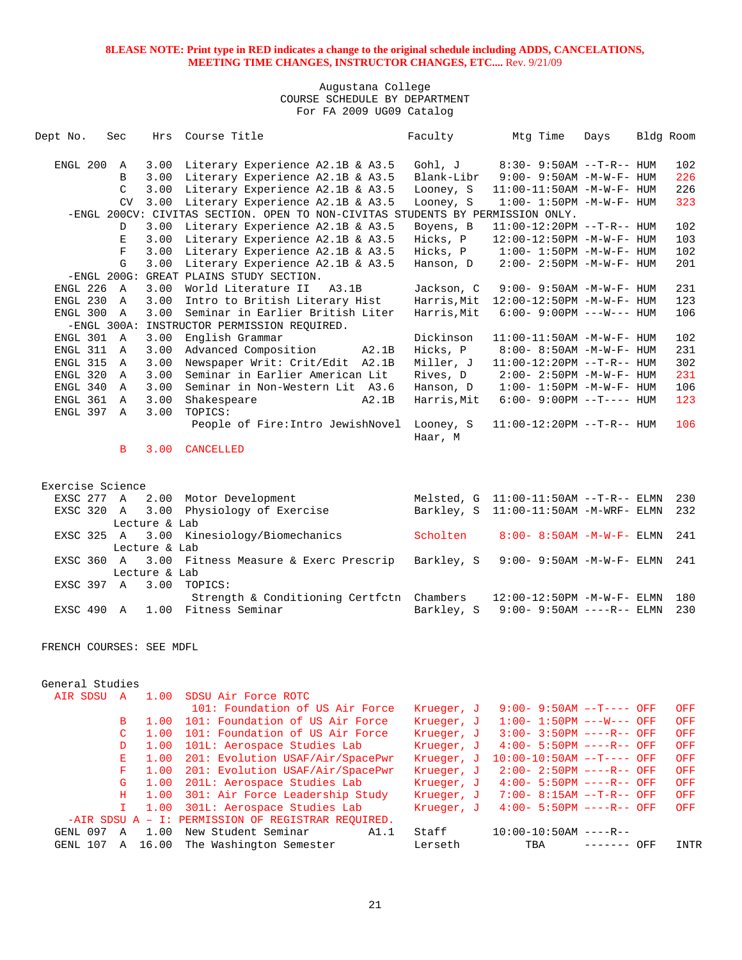## Augustana College COURSE SCHEDULE BY DEPARTMENT For FA 2009 UG09 Catalog

| Dept No.      | Sec          | Hrs   | Course Title                                                                   | Faculty              | Mtg Time                          | Days | Bldg Room |     |
|---------------|--------------|-------|--------------------------------------------------------------------------------|----------------------|-----------------------------------|------|-----------|-----|
| ENGL 200      | A            | 3.00  | Literary Experience A2.1B & A3.5                                               | Gohl, J              | 8:30- 9:50AM --T-R-- HUM          |      |           | 102 |
|               | <sub>R</sub> | 3.00  | Literary Experience A2.1B & A3.5                                               | Blank-Libr           | $9:00 - 9:50AM - M - W - F - HUM$ |      |           | 226 |
|               | C            | 3.00  | Literary Experience A2.1B & A3.5                                               | Looney, S            | 11:00-11:50AM -M-W-F- HUM         |      |           | 226 |
|               | <b>CV</b>    | 3.00  | Literary Experience A2.1B & A3.5                                               | Looney, S            | $1:00 - 1:50PM -M-W-F - HUM$      |      |           | 323 |
|               |              |       | -ENGL 200CV: CIVITAS SECTION. OPEN TO NON-CIVITAS STUDENTS BY PERMISSION ONLY. |                      |                                   |      |           |     |
|               | <sup>D</sup> | 3.00  | Literary Experience A2.1B & A3.5                                               | Boyens, B            | $11:00-12:20PM --T-R--HUM$        |      |           | 102 |
|               | E            | 3.00  | Literary Experience A2.1B & A3.5                                               | Hicks, P             | 12:00-12:50PM -M-W-F- HUM         |      |           | 103 |
|               | F            | 3.00  | Literary Experience A2.1B & A3.5                                               | Hicks, P             | $1:00 - 1:50PM -M-W-F - HUM$      |      |           | 102 |
|               | G            | 3.00  | Literary Experience A2.1B & A3.5                                               | Hanson, D            | $2:00 - 2:50PM -M-W-F- HUM$       |      |           | 201 |
| $-ENGL$ 200G: |              | GREAT | PLAINS STUDY SECTION.                                                          |                      |                                   |      |           |     |
| ENGL 226      | $\mathbb{A}$ | 3.00  | World Literature II<br>A3.1B                                                   | Jackson, C           | $9:00 - 9:50AM - M - W - F - HUM$ |      |           | 231 |
| ENGL 230      | $\mathbb{A}$ | 3.00  | Intro to British Literary Hist                                                 | Harris, Mit          | 12:00-12:50PM -M-W-F- HUM         |      |           | 123 |
| ENGL 300      | $\mathbb{A}$ | 3.00  | Seminar in Earlier British Liter                                               | Harris, Mit          | $6:00 - 9:00PM$ ---W--- HUM       |      |           | 106 |
| $-ENGL$ 300A: |              |       | INSTRUCTOR PERMISSION REQUIRED.                                                |                      |                                   |      |           |     |
| ENGL 301      | $\mathbf{A}$ | 3.00  | English Grammar                                                                | Dickinson            | $11:00-11:50AM$ -M-W-F- HUM       |      |           | 102 |
| ENGL 311      | $\mathbb{A}$ | 3.00  | Advanced Composition<br>A2.1B                                                  | Hicks, P             | 8:00- 8:50AM -M-W-F- HUM          |      |           | 231 |
| ENGL 315      | $\mathbb{A}$ | 3.00  | Newspaper Writ: Crit/Edit<br>A2.1B                                             | Miller, J            | $11:00-12:20PM --T-R--HUM$        |      |           | 302 |
| ENGL 320      | $\mathbf{A}$ | 3.00  | Seminar in Earlier American Lit                                                | Rives, D             | $2:00 - 2:50PM -M-W-F - HUM$      |      |           | 231 |
| ENGL 340      | $\mathbb{A}$ | 3.00  | Seminar in Non-Western Lit A3.6                                                | Hanson, D            | $1:00 - 1:50PM -M-W-F - HUM$      |      |           | 106 |
| ENGL 361      | $\mathbb{A}$ | 3.00  | Shakespeare<br>A2.1B                                                           | Harris, Mit          | $6:00-9:00PM --T---HUM$           |      |           | 123 |
| ENGL 397      | $\mathbf{A}$ | 3.00  | TOPICS:                                                                        |                      |                                   |      |           |     |
|               |              |       | People of Fire: Intro JewishNovel                                              | Looney, S<br>Haar, M | $11:00-12:20PM$ --T-R-- HUM       |      |           | 106 |

B 3.00 CANCELLED

| Exercise Science |   |               |                                                  |          |                                                |
|------------------|---|---------------|--------------------------------------------------|----------|------------------------------------------------|
|                  |   |               | EXSC 277 A 2.00 Motor Development                |          | Melsted, $G$ 11:00-11:50AM --T-R-- ELMN<br>230 |
|                  |   |               | EXSC 320 A 3.00 Physiology of Exercise           |          | Barkley, S 11:00-11:50AM -M-WRF- ELMN 232      |
|                  |   | Lecture & Lab |                                                  |          |                                                |
|                  |   |               | EXSC 325 A 3.00 Kinesiology/Biomechanics         | Scholten | $8:00 - 8:50$ AM $-M-W-F-$ ELMN<br>241         |
|                  |   | Lecture & Lab |                                                  |          |                                                |
|                  |   |               | EXSC 360 A 3.00 Fitness Measure & Exerc Prescrip |          | Barkley, S 9:00-9:50AM -M-W-F- ELMN<br>241     |
|                  |   | Lecture & Lab |                                                  |          |                                                |
|                  |   |               | EXSC 397 A 3.00 TOPICS:                          |          |                                                |
|                  |   |               | Strength & Conditioning Certfctn Chambers        |          | $12:00-12:50$ PM $-M-W-F-$ ELMN<br>180         |
| <b>EXSC 490</b>  | A |               | 1.00 Fitness Seminar                             |          | Barkley, S 9:00-9:50AM ----R-- ELMN<br>230     |
|                  |   |               |                                                  |          |                                                |

FRENCH COURSES: SEE MDFL

#### General Studies

| <b>AIR SDSU</b> | 1.00  | SDSU Air Force ROTC                                |            |                             |     |      |
|-----------------|-------|----------------------------------------------------|------------|-----------------------------|-----|------|
|                 |       | 101: Foundation of US Air Force                    | Krueger, J | $9:00 - 9:50AM -T---$ OFF   |     | OFF  |
| B               | 1.00  | 101: Foundation of US Air Force                    | Krueger, J | $1:00-1:50PM$ ---W--- OFF   |     | OFF  |
|                 | 1.00  | 101: Foundation of US Air Force                    | Krueger, J | $3:00 - 3:50PM$ ----R-- OFF |     | OFF  |
| D               | 1.00  | 101L: Aerospace Studies Lab                        | Krueger, J | $4:00 - 5:50PM$ ----R-- OFF |     | OFF  |
| E.              | 1.00  | 201: Evolution USAF/Air/SpacePwr                   | Krueger, J | $10:00-10:50AM$ --T---- OFF |     | OFF  |
| F.              | 1.00  | 201: Evolution USAF/Air/SpacePwr                   | Krueger, J | $2:00 - 2:50PM$ ----R-- OFF |     | OFF  |
| G.              | 1.00  | 201L: Aerospace Studies Lab                        | Krueger, J | $4:00 - 5:50PM$ ----R-- OFF |     | OFF  |
| H.              | 1.00  | 301: Air Force Leadership Study                    | Krueger, J | $7:00 - 8:15AM -T-R-7$ OFF  |     | OFF  |
| $\mathbf{T}$    | 1.00  | 301L: Aerospace Studies Lab                        | Krueger, J | $4:00 - 5:50PM$ ----R-- OFF |     | OFF  |
|                 |       | -AIR SDSU A - I: PERMISSION OF REGISTRAR REOUIRED. |            |                             |     |      |
| GENL 097<br>A   | 1.00  | New Student Seminar<br>A1.1                        | Staff      | $10:00-10:50AM$ ----R--     |     |      |
| GENL 107<br>A   | 16.00 | The Washington Semester                            | Lerseth    | TBA                         | OFF | INTR |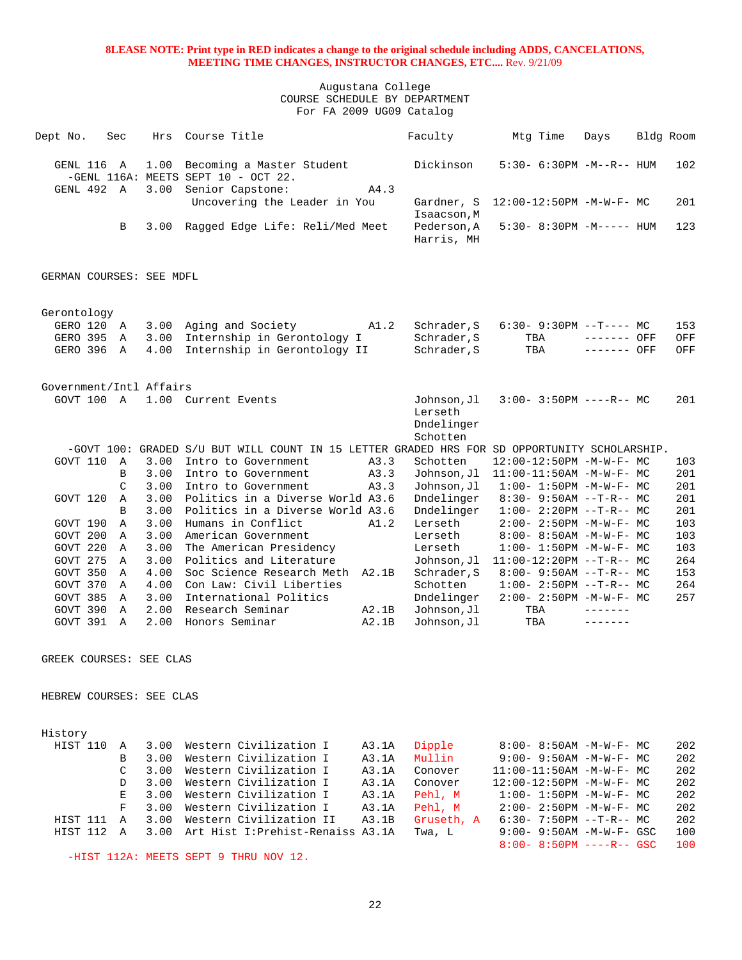#### Augustana College COURSE SCHEDULE BY DEPARTMENT For FA 2009 UG09 Catalog

| Dept No.                 | Sec            | Hrs          | Course Title                                                                                 |       | Faculty                                          | Mtg Time                         | Days        | Bldg Room |     |
|--------------------------|----------------|--------------|----------------------------------------------------------------------------------------------|-------|--------------------------------------------------|----------------------------------|-------------|-----------|-----|
| GENL 116 A<br>GENL 492 A |                | 1.00<br>3.00 | Becoming a Master Student<br>-GENL 116A: MEETS SEPT 10 - OCT 22.<br>Senior Capstone:         | A4.3  | Dickinson                                        | $5:30-6:30PM -M--R--HUM$         |             |           | 102 |
|                          |                |              | Uncovering the Leader in You                                                                 |       | Gardner, S<br>Isaacson, M                        | 12:00-12:50PM -M-W-F- MC         |             |           | 201 |
|                          | B              |              | 3.00 Ragged Edge Life: Reli/Med Meet                                                         |       | Pederson, A<br>Harris, MH                        | $5:30-8:30PM -M-----$ HUM        |             |           | 123 |
| GERMAN COURSES: SEE MDFL |                |              |                                                                                              |       |                                                  |                                  |             |           |     |
| Gerontology              |                |              |                                                                                              |       |                                                  |                                  |             |           |     |
| GERO 120 A               |                |              | 3.00 Aging and Society                                                                       | A1.2  | Schrader, S                                      | $6:30-9:30PM --T---MC$           |             |           | 153 |
| GERO 395                 | A              | 3.00         | Internship in Gerontology I                                                                  |       | Schrader, S                                      | TBA                              | ------- OFF |           | OFF |
| GERO 396 A               |                | 4.00         | Internship in Gerontology II                                                                 |       | Schrader, S                                      | TBA                              | ------- OFF |           | OFF |
| Government/Intl Affairs  |                |              |                                                                                              |       |                                                  |                                  |             |           |     |
| GOVT 100 A               |                |              | 1.00 Current Events                                                                          |       | Johnson, Jl<br>Lerseth<br>Dndelinger<br>Schotten | $3:00-3:50PM$ ----R-- MC         |             |           | 201 |
|                          |                |              | -GOVT 100: GRADED S/U BUT WILL COUNT IN 15 LETTER GRADED HRS FOR SD OPPORTUNITY SCHOLARSHIP. |       |                                                  |                                  |             |           |     |
| GOVT 110                 | A              | 3.00         | Intro to Government                                                                          | A3.3  | Schotten                                         | $12:00-12:50PM -M-W-F-MC$        |             |           | 103 |
|                          | B              | 3.00         | Intro to Government                                                                          | A3.3  | Johnson, Jl                                      | 11:00-11:50AM -M-W-F- MC         |             |           | 201 |
|                          | $\mathcal{C}$  | 3.00         | Intro to Government                                                                          | A3.3  | Johnson, Jl                                      | $1:00-1:50PM -M-W-F-MC$          |             |           | 201 |
| GOVT 120                 | $\mathbb{A}$   | 3.00         | Politics in a Diverse World A3.6                                                             |       | Dndelinger                                       | $8:30 - 9:50AM -T-R-- MC$        |             |           | 201 |
|                          | B              | 3.00         | Politics in a Diverse World A3.6                                                             |       | Dndelinger                                       | $1:00-2:20PM -T-R--MC$           |             |           | 201 |
| GOVT 190                 | Α              | 3.00         | Humans in Conflict                                                                           | A1.2  | Lerseth                                          | $2:00 - 2:50PM -M-W-F-MC$        |             |           | 103 |
| GOVT 200                 | Α              | 3.00         | American Government                                                                          |       | Lerseth                                          | $8:00 - 8:50AM - M - W - F - MC$ |             |           | 103 |
| GOVT 220                 | A              | 3.00         | The American Presidency                                                                      |       | Lerseth                                          | $1:00 - 1:50PM -M-W-F - MC$      |             |           | 103 |
| GOVT 275                 | $\mathbb A$    | 3.00         | Politics and Literature                                                                      |       | Johnson, Jl                                      | $11:00-12:20PM$ --T-R-- MC       |             |           | 264 |
| GOVT 350                 | $\overline{A}$ | 4.00         | Soc Science Research Meth                                                                    | A2.1B | Schrader, S                                      | $8:00 - 9:50AM -T-R-- MC$        |             |           | 153 |
| GOVT 370                 | $\mathbb{A}$   | 4.00         | Con Law: Civil Liberties                                                                     |       | Schotten                                         | $1:00-2:50PM -T-R--MC$           |             |           | 264 |
| GOVT 385                 | Α              | 3.00         | International Politics                                                                       |       | Dndelinger                                       | $2:00 - 2:50PM -M-W-F-MC$        |             |           | 257 |
| GOVT 390                 | $\mathbb{A}$   | 2.00         | Research Seminar                                                                             | A2.1B | Johnson, Jl                                      | TBA                              |             |           |     |
| GOVT 391                 | $\mathbb{A}$   | 2.00         | Honors Seminar                                                                               | A2.1B | Johnson, Jl                                      | TBA                              | -------     |           |     |

GREEK COURSES: SEE CLAS

HEBREW COURSES: SEE CLAS

 History HIST 110 A 3.00 Western Civilization I A3.1A Dipple 8:00-8:50AM -M-W-F- MC 202<br>B 3.00 Western Civilization I A3.1A Mullin 9:00-9:50AM -M-W-F- MC 202 B 3.00 Western Civilization I A3.1A Mullin 9:00-9:50AM -M-W-F- MC 202<br>C 3.00 Western Civilization I A3.1A Conover 11:00-11:50AM -M-W-F- MC 202 A3.1A Conover 11:00-11:50AM -M-W-F- MC 202<br>A3.1A Conover 12:00-12:50PM -M-W-F- MC 202 D 3.00 Western Civilization I A3.1A Conover 12:00-12:50PM -M-W-F- MC 202<br>E 3.00 Western Civilization I A3.1A Pehl, M 1:00-1:50PM -M-W-F- MC 202 E 3.00 Western Civilization I A3.1A Pehl, M 1:00- 1:50PM -M-W-F- MC 202 F 3.00 Western Civilization I A3.1A Pehl, M 2:00- 2:50PM -M-W-F- MC 202 HIST 111 A 3.00 Western Civilization II A3.1B Gruseth, A 6:30- 7:50PM --T-R-- MC 202<br>HIST 112 A 3.00 Art Hist I:Prehist-Renaiss A3.1A Twa, L 9:00- 9:50AM -M-W-F- GSC 100 3.00 Art Hist I:Prehist-Renaiss A3.1A 8:00- 8:50PM ----R-- GSC 100

-HIST 112A: MEETS SEPT 9 THRU NOV 12.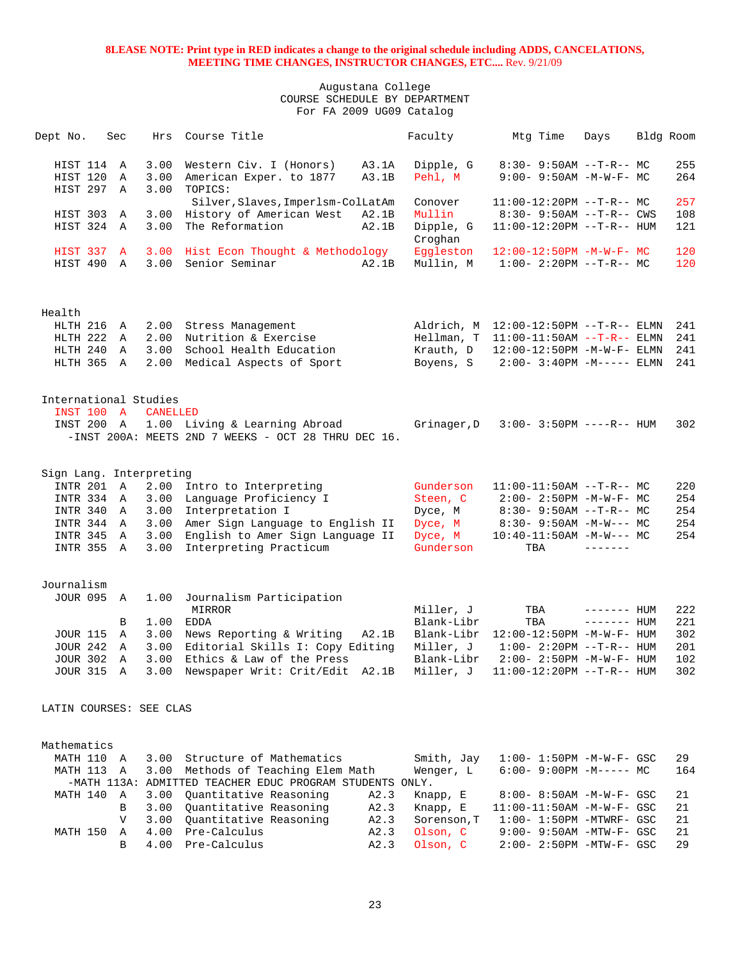| Dept No.                | Sec |                 | Hrs Course Title                                                                        | Faculty              | Mtg Time                                                      | Days              | Bldg Room |            |
|-------------------------|-----|-----------------|-----------------------------------------------------------------------------------------|----------------------|---------------------------------------------------------------|-------------------|-----------|------------|
| HIST 114 A<br>HIST 120  | Α   | 3.00<br>3.00    | A3.1A<br>Western Civ. I (Honors)<br>American Exper. to 1877<br>A3.1B                    | Dipple, G<br>Pehl, M | $8:30 - 9:50AM -T-R-- MC$<br>$9:00 - 9:50AM - M - W - F - MC$ |                   |           | 255<br>264 |
| HIST 297                | Α   | 3.00            | TOPICS:                                                                                 |                      |                                                               |                   |           |            |
|                         |     |                 | Silver, Slaves, Imperlsm-ColLatAm                                                       | Conover              | $11:00-12:20PM$ --T-R-- MC                                    |                   |           | 257        |
| HIST 303                | Α   | 3.00            | History of American West<br>A2.1B                                                       | Mullin               | $8:30 - 9:50AM -T-R--CWS$                                     |                   |           | 108        |
| HIST 324 A              |     | 3.00            | The Reformation<br>A2.1B                                                                | Dipple, G<br>Croghan | 11:00-12:20PM --T-R-- HUM                                     |                   |           | 121        |
| HIST 337 A              |     |                 | 3.00 Hist Econ Thought & Methodology                                                    | Eggleston            | $12:00-12:50PM -M-W-F-MC$                                     |                   |           | 120        |
| HIST 490 A              |     |                 | 3.00 Senior Seminar<br>A2.1B                                                            | Mullin, M            | $1:00-2:20PM -T-R--MC$                                        |                   |           | 120        |
| Health                  |     |                 |                                                                                         |                      |                                                               |                   |           |            |
| HLTH 216 A              |     |                 | 2.00 Stress Management                                                                  |                      | Aldrich, M 12:00-12:50PM --T-R-- ELMN                         |                   |           | 241        |
| HLTH 222 A              |     | 2.00            | Nutrition & Exercise                                                                    | Hellman, T           | $11:00-11:50AM$ --T-R-- ELMN                                  |                   |           | 241        |
| HLTH 240                | Α   | 3.00            | School Health Education                                                                 | Krauth, D            | 12:00-12:50PM -M-W-F- ELMN                                    |                   |           | 241        |
| HLTH 365 A              |     | 2.00            | Medical Aspects of Sport                                                                | Boyens, S            | $2:00 - 3:40PM -M-----$ ELMN                                  |                   |           | 241        |
| International Studies   |     |                 |                                                                                         |                      |                                                               |                   |           |            |
| <b>INST 100 A</b>       |     | <b>CANELLED</b> |                                                                                         |                      |                                                               |                   |           |            |
| INST 200 A              |     |                 | 1.00 Living & Learning Abroad<br>$-$ INST 200A: MEETS 2ND 7 WEEKS - OCT 28 THRU DEC 16. | Grinager, D          | $3:00 - 3:50PM$ ----R-- HUM                                   |                   |           | 302        |
|                         |     |                 |                                                                                         |                      |                                                               |                   |           |            |
| Sign Lang. Interpreting |     |                 |                                                                                         |                      |                                                               |                   |           |            |
| INTR 201 A              |     | 2.00            | Intro to Interpreting                                                                   | Gunderson            | $11:00-11:50AM$ --T-R-- MC                                    |                   |           | 220        |
| INTR 334 A              |     | 3.00            | Language Proficiency I                                                                  | Steen, C             | $2:00 - 2:50PM -M-W-F-MC$                                     |                   |           | 254        |
| INTR 340 A              |     | 3.00            | Interpretation I                                                                        | Dyce, M              | $8:30-9:50AM --T-R--MC$                                       |                   |           | 254        |
| INTR 344 A              |     | 3.00            | Amer Sign Language to English II                                                        | Dyce, M              | $8:30 - 9:50AM - M-W--- MC$                                   |                   |           | 254        |
| INTR 345 A              |     | 3.00            | English to Amer Sign Language II                                                        | Dyce, M              | $10:40-11:50AM -M-W--- MC$                                    |                   |           | 254        |
| INTR 355 A              |     | 3.00            | Interpreting Practicum                                                                  | Gunderson            | TBA                                                           | $- - - - - - - -$ |           |            |
| Journalism              |     |                 |                                                                                         |                      |                                                               |                   |           |            |
| <b>JOUR 095 A</b>       |     | 1.00            | Journalism Participation<br>MIRROR                                                      | Miller, J            | TBA                                                           | $------$ HUM      |           | 222        |
|                         | B   | 1.00            | EDDA                                                                                    | Blank-Libr           | TBA                                                           | $------$ HUM      |           | 221        |
| <b>JOUR 115</b>         | Α   |                 | 3.00 News Reporting & Writing<br>A2.1B                                                  | Blank-Libr           | 12:00-12:50PM -M-W-F- HUM                                     |                   |           | 302        |
| <b>JOUR 242</b>         | A   | 3.00            | Editorial Skills I: Copy Editing                                                        | Miller, J            | $1:00 - 2:20PM -T-R--HUM$                                     |                   |           | 201        |
| JOUR 302 A              |     | 3.00            | Ethics & Law of the Press                                                               | Blank-Libr           | 2:00- 2:50PM -M-W-F- HUM                                      |                   |           | 102        |
|                         |     |                 | JOUR 315 A 3.00 Newspaper Writ: Crit/Edit A2.1B Miller, J 11:00-12:20PM --T-R-- HUM     |                      |                                                               |                   |           | 302        |
| LATIN COURSES: SEE CLAS |     |                 |                                                                                         |                      |                                                               |                   |           |            |
| Mathematics             |     |                 |                                                                                         |                      |                                                               |                   |           |            |
|                         |     |                 |                                                                                         |                      |                                                               |                   |           |            |

|  |  | MATH 110 A 3.00 Structure of Mathematics                 |      | Smith, Jay       | 1:00- 1:50PM -M-W-F- GSC    | 29  |
|--|--|----------------------------------------------------------|------|------------------|-----------------------------|-----|
|  |  | MATH 113 A 3.00 Methods of Teaching Elem Math            |      | Wenger, L        | 6:00- 9:00PM -M----- MC     | 164 |
|  |  | -MATH 113A: ADMITTED TEACHER EDUC PROGRAM STUDENTS ONLY. |      |                  |                             |     |
|  |  | MATH 140 A 3.00 Ouantitative Reasoning                   | A2.3 | Knapp, E         | 8:00- 8:50AM -M-W-F- GSC 21 |     |
|  |  | B 3.00 Ouantitative Reasoning                            | A2.3 | Knapp, E         | 11:00-11:50AM -M-W-F- GSC   | 21  |
|  |  | V 3.00 Ouantitative Reasoning                            |      | A2.3 Sorenson, T | $1:00-1:50$ PM -MTWRF- GSC  | 2.1 |
|  |  | MATH 150 A 4.00 Pre-Calculus                             | A2.3 | Olson, C         | $9:00-9:50$ AM -MTW-F- GSC  | 21  |
|  |  | B 4.00 Pre-Calculus                                      |      | A2.3 Olson, C    | 2:00- 2:50PM -MTW-F- GSC    | 29  |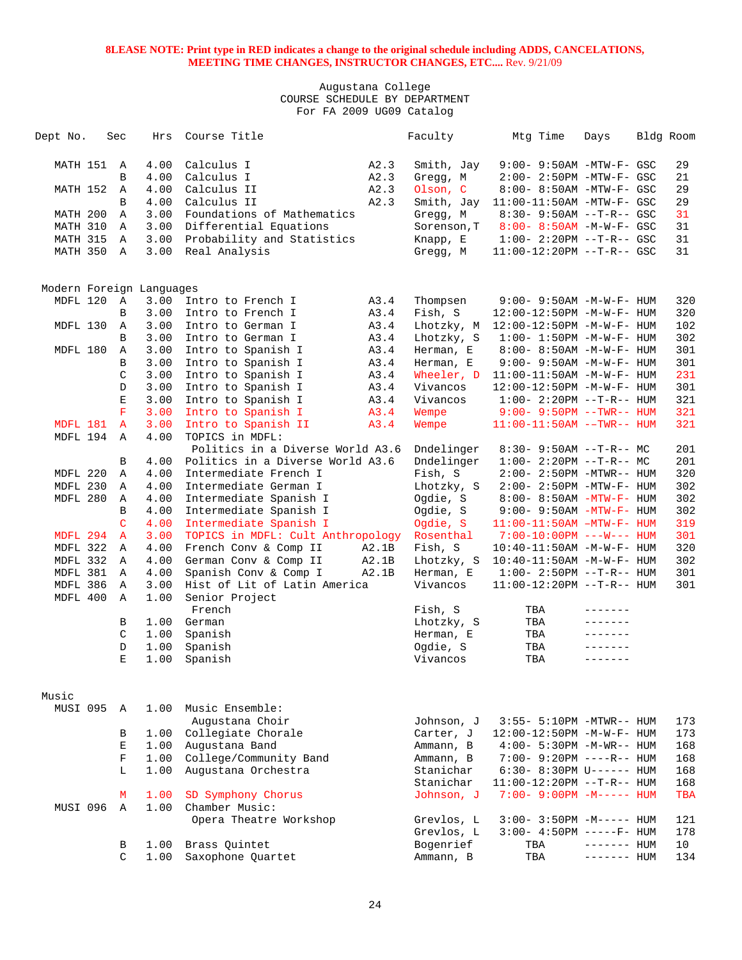| Dept No.                 | Sec               | Hrs          | Course Title                                                |       | Faculty              | Mtg Time                                                  | Days         | Bldg Room       |  |
|--------------------------|-------------------|--------------|-------------------------------------------------------------|-------|----------------------|-----------------------------------------------------------|--------------|-----------------|--|
| MATH 151                 | Α                 | 4.00         | Calculus I                                                  | A2.3  | Smith, Jay           | 9:00- 9:50AM -MTW-F- GSC                                  |              | 29              |  |
|                          | B                 | 4.00         | Calculus I                                                  | A2.3  | Gregg, M             | $2:00-2:50PM -MTW-F-GSC$                                  |              | 21              |  |
| MATH 152                 | Α                 | 4.00         | Calculus II                                                 | A2.3  | Olson, C             | 8:00- 8:50AM -MTW-F- GSC                                  |              | 29              |  |
|                          | B                 | 4.00         | Calculus II                                                 | A2.3  | Smith, Jay           | $11:00-11:50AM$ -MTW-F- GSC                               |              | 29              |  |
| MATH 200                 | $\mathbb A$       | 3.00         | Foundations of Mathematics                                  |       | Gregg, M             | $8:30 - 9:50AM -T-R - GSC$                                |              | 31              |  |
| MATH 310                 | Α                 | 3.00         | Differential Equations                                      |       | Sorenson, T          | $8:00 - 8:50AM$ -M-W-F- GSC                               |              | 31              |  |
| MATH 315                 | Α                 | 3.00         | Probability and Statistics                                  |       | Knapp, E             | $1:00 - 2:20PM -T-R--GSC$                                 |              | 31              |  |
| MATH 350                 | Α                 | 3.00         | Real Analysis                                               |       | Gregg, M             | 11:00-12:20PM --T-R-- GSC                                 |              | 31              |  |
|                          |                   |              |                                                             |       |                      |                                                           |              |                 |  |
| Modern Foreign Languages |                   |              |                                                             |       |                      |                                                           |              |                 |  |
| MDFL 120                 | A                 | 3.00         | Intro to French I                                           | A3.4  | Thompsen             | 9:00- 9:50AM -M-W-F- HUM                                  |              | 320             |  |
|                          | В                 | 3.00         | Intro to French I                                           | A3.4  | Fish, S              | 12:00-12:50PM -M-W-F- HUM                                 |              | 320             |  |
| MDFL 130                 | Α                 | 3.00         | Intro to German I                                           | A3.4  | Lhotzky, M           | 12:00-12:50PM -M-W-F- HUM                                 |              | 102             |  |
|                          | B                 | 3.00         | Intro to German I                                           | A3.4  | Lhotzky, S           | $1:00 - 1:50PM - M - W - F - HUM$                         |              | 302             |  |
| MDFL 180                 | Α                 | 3.00         | Intro to Spanish I                                          | A3.4  | Herman, E            | 8:00- 8:50AM -M-W-F- HUM                                  |              | 301             |  |
|                          | B                 | 3.00         | Intro to Spanish I                                          | A3.4  | Herman, E            | 9:00- 9:50AM -M-W-F- HUM                                  |              | 301             |  |
|                          | C                 | 3.00         | Intro to Spanish I                                          | A3.4  | Wheeler, D           | $11:00-11:50AM$ -M-W-F- HUM                               |              | 231             |  |
|                          | $\mathbb D$       | 3.00         | Intro to Spanish I                                          | A3.4  | Vivancos             | 12:00-12:50PM -M-W-F- HUM                                 |              | 301             |  |
|                          | Ε                 | 3.00         | Intro to Spanish I                                          | A3.4  | Vivancos             | $1:00 - 2:20PM -T-R--HUM$                                 |              | 321             |  |
|                          | $\mathbf{F}$      | 3.00         | Intro to Spanish I                                          | A3.4  | Wempe                | $9:00 - 9:50PM -TWR--HUM$                                 |              | 321             |  |
| MDFL 181                 | $\mathbf{A}$      | 3.00         | Intro to Spanish II                                         | A3.4  | Wempe                | $11:00-11:50AM$ --TWR-- HUM                               |              | 321             |  |
| MDFL 194                 | $\mathbf{A}$      | 4.00         | TOPICS in MDFL:                                             |       |                      |                                                           |              |                 |  |
|                          |                   |              | Politics in a Diverse World A3.6                            |       | Dndelinger           | $8:30 - 9:50AM -T-R-- MC$                                 |              | 201             |  |
|                          | B                 | 4.00         | Politics in a Diverse World A3.6                            |       | Dndelinger           | $1:00-2:20PM -T-R--MC$                                    |              | 201             |  |
| MDFL 220                 | Α                 | 4.00         | Intermediate French I                                       |       | Fish, S              | $2:00 - 2:50PM - MTWR - - HUM$                            |              | 320             |  |
| MDFL 230                 | Α                 | 4.00         | Intermediate German I                                       |       | Lhotzky, S           | $2:00 - 2:50PM - MTW - F - HUM$                           |              | 302             |  |
| MDFL 280                 | $\mathbf{A}$      | 4.00         | Intermediate Spanish I                                      |       | Ogdie, S             | $8:00 - 8:50AM - MTW - F - HUM$                           |              | 302             |  |
|                          | B<br>C            | 4.00         | Intermediate Spanish I                                      |       | Ogdie, S             | $9:00 - 9:50AM - MTW - F - HUM$                           |              | 302             |  |
| MDFL 294                 | $\mathbf{A}$      | 4.00<br>3.00 | Intermediate Spanish I<br>TOPICS in MDFL: Cult Anthropology |       | Ogdie, S             | $11:00-11:50AM$ -MTW-F- HUM<br>$7:00-10:00PM$ ---W--- HUM |              | 319<br>301      |  |
| MDFL 322                 | Α                 | 4.00         | French Conv & Comp II                                       | A2.1B | Rosenthal<br>Fish, S | $10:40 - 11:50$ AM $-M-W-F-$ HUM                          |              | 320             |  |
| MDFL 332                 | Α                 | 4.00         | German Conv & Comp II                                       | A2.1B | Lhotzky, S           | $10:40 - 11:50AM$ -M-W-F- HUM                             |              | 302             |  |
| MDFL 381                 | Α                 | 4.00         | Spanish Conv & Comp I                                       | A2.1B | Herman, E            | $1:00 - 2:50PM -T-R-- HUM$                                |              | 301             |  |
| MDFL 386                 | Α                 | 3.00         | Hist of Lit of Latin America                                |       | Vivancos             | $11:00-12:20PM -T-R--HUM$                                 |              | 301             |  |
| MDFL 400                 | $\mathbb A$       | 1.00         | Senior Project                                              |       |                      |                                                           |              |                 |  |
|                          |                   |              | French                                                      |       | Fish, S              | TBA                                                       |              |                 |  |
|                          | В                 | 1.00         | German                                                      |       | Lhotzky, S           | TBA                                                       |              |                 |  |
|                          | C                 | 1.00         | Spanish                                                     |       | Herman, E            | TBA                                                       |              |                 |  |
|                          | D                 | 1.00         | Spanish                                                     |       | Ogdie, S             | TBA                                                       |              |                 |  |
|                          | E                 | 1.00         | Spanish                                                     |       | Vivancos             | TBA                                                       | -------      |                 |  |
|                          |                   |              |                                                             |       |                      |                                                           |              |                 |  |
| Music                    |                   |              |                                                             |       |                      |                                                           |              |                 |  |
| MUSI 095                 | A                 | 1.00         | Music Ensemble:                                             |       |                      |                                                           |              |                 |  |
|                          |                   |              | Augustana Choir                                             |       | Johnson, J           | 3:55- 5:10PM -MTWR-- HUM                                  |              | 173             |  |
|                          | В                 | 1.00         | Collegiate Chorale                                          |       | Carter, J            | 12:00-12:50PM -M-W-F- HUM                                 |              | 173             |  |
|                          | E                 | 1.00         | Augustana Band                                              |       | Ammann, B            | $4:00 - 5:30PM -M-WR-- HUM$                               |              | 168             |  |
|                          | $\mathbf F$       | 1.00         | College/Community Band                                      |       | Ammann, B            | 7:00- 9:20PM ----R-- HUM                                  |              | 168             |  |
|                          | L                 | 1.00         | Augustana Orchestra                                         |       | Stanichar            | 6:30- 8:30PM U------ HUM                                  |              | 168             |  |
|                          |                   |              |                                                             |       | Stanichar            | 11:00-12:20PM --T-R-- HUM                                 |              | 168             |  |
|                          | М<br>$\mathbb{A}$ | 1.00         | SD Symphony Chorus<br>Chamber Music:                        |       | Johnson, J           | $7:00 - 9:00PM -M--- HUM$                                 |              | TBA             |  |
| MUSI 096                 |                   | 1.00         | Opera Theatre Workshop                                      |       | Grevlos, L           | $3:00 - 3:50PM -M---$ HUM                                 |              | 121             |  |
|                          |                   |              |                                                             |       | Grevlos, L           | $3:00-4:50PM$ -----F- HUM                                 |              | 178             |  |
|                          | В                 | 1.00         | Brass Quintet                                               |       | Bogenrief            | TBA                                                       | $------$ HUM | 10 <sup>°</sup> |  |
|                          | C                 | 1.00         | Saxophone Quartet                                           |       | Ammann, B            | TBA                                                       | $------$ HUM | 134             |  |
|                          |                   |              |                                                             |       |                      |                                                           |              |                 |  |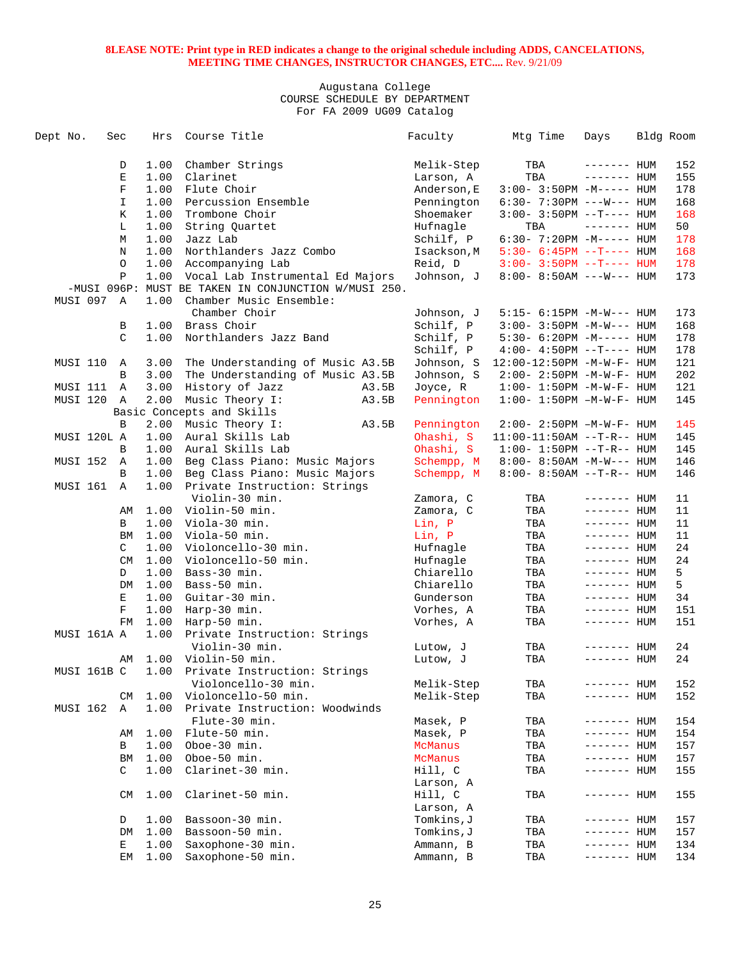| Dept No. | Sec         |              | Hrs  | Course Title                                         | Faculty                | Mtg Time                          | Days                         | Bldg Room |
|----------|-------------|--------------|------|------------------------------------------------------|------------------------|-----------------------------------|------------------------------|-----------|
|          |             | D            | 1.00 | Chamber Strings                                      | Melik-Step             | TBA                               | $------$ HUM                 | 152       |
|          |             | E            | 1.00 | Clarinet                                             | Larson, A              | TBA                               | $------$ HUM                 | 155       |
|          |             | $\mathbf F$  | 1.00 | Flute Choir                                          | Anderson, E            | $3:00-3:50PM -M-----$ HUM         |                              | 178       |
|          |             | I            | 1.00 | Percussion Ensemble                                  | Pennington             | $6:30 - 7:30PM$ ---W--- HUM       |                              | 168       |
|          |             | К            | 1.00 | Trombone Choir                                       | Shoemaker              | $3:00-3:50PM -T--- HUM$           |                              | 168       |
|          |             | L            | 1.00 | String Quartet                                       | Hufnagle               | TBA                               | $------$ HUM                 | 50        |
|          |             | М            | 1.00 | Jazz Lab                                             | Schilf, P              | $6:30-7:20PM -M-----$ HUM         |                              | 178       |
|          |             | N            | 1.00 | Northlanders Jazz Combo                              | Isackson, M            | $5:30 - 6:45PM -T--- HUM$         |                              | 168       |
|          |             | О            | 1.00 | Accompanying Lab                                     | Reid, D                | $3:00 - 3:50PM -T--- HUM$         |                              | 178       |
|          |             | $\, {\bf P}$ | 1.00 | Vocal Lab Instrumental Ed Majors                     | Johnson, J             | $8:00 - 8:50AM$ ---W--- HUM       |                              | 173       |
|          |             |              |      | -MUSI 096P: MUST BE TAKEN IN CONJUNCTION W/MUSI 250. |                        |                                   |                              |           |
| MUSI 097 |             | A            | 1.00 | Chamber Music Ensemble:                              |                        |                                   |                              |           |
|          |             |              |      | Chamber Choir                                        | Johnson, J             | $5:15- 6:15PM -M-W--- HUM$        |                              | 173       |
|          |             | B            | 1.00 | Brass Choir                                          | Schilf, P              | $3:00 - 3:50PM -M-W---$ HUM       |                              | 168       |
|          |             | C            | 1.00 | Northlanders Jazz Band                               | Schilf, P              | $5:30-6:20PM -M--- HUM$           |                              | 178       |
|          |             |              |      |                                                      | Schilf, P              | $4:00-4:50PM -T--- HUM$           |                              | 178       |
| MUSI 110 |             | A            | 3.00 | The Understanding of Music A3.5B                     | Johnson, S             | 12:00-12:50PM -M-W-F- HUM         |                              | 121       |
|          |             | B            | 3.00 | The Understanding of Music A3.5B                     | Johnson, S             | $2:00 - 2:50PM -M-W-F - HUM$      |                              | 202       |
| MUSI 111 |             | A            | 3.00 | History of Jazz<br>A3.5B                             | Joyce, R               | $1:00 - 1:50PM - M - W - F - HUM$ |                              | 121       |
| MUSI 120 |             | A            | 2.00 | Music Theory I:<br>A3.5B                             | Pennington             | $1:00 - 1:50PM -M-W-F - HUM$      |                              | 145       |
|          |             |              |      | Basic Concepts and Skills                            |                        |                                   |                              |           |
|          |             | B            | 2.00 | Music Theory I:<br>A3.5B                             | Pennington             | $2:00 - 2:50PM -M-W-F - HUM$      |                              | 145       |
|          | MUSI 120L A |              | 1.00 | Aural Skills Lab                                     | Ohashi, S              | $11:00-11:50AM$ --T-R-- HUM       |                              | 145       |
|          |             | B            | 1.00 | Aural Skills Lab                                     | Ohashi, S              | $1:00 - 1:50PM -T-R-- HUM$        |                              | 145       |
| MUSI 152 |             | Α            | 1.00 | Beg Class Piano: Music Majors                        | Schempp, M             | $8:00 - 8:50AM - M-W---$ HUM      |                              | 146       |
|          |             | B            | 1.00 | Beg Class Piano: Music Majors                        | Schempp, M             | $8:00 - 8:50AM -T-R-- HUM$        |                              | 146       |
| MUSI 161 |             | $\mathbb{A}$ | 1.00 | Private Instruction: Strings                         |                        |                                   |                              |           |
|          |             |              |      | Violin-30 min.                                       |                        | TBA                               |                              | 11        |
|          |             |              | 1.00 | Violin-50 min.                                       | Zamora, C<br>Zamora, C | TBA                               | $------$ HUM                 | 11        |
|          |             | AΜ           |      |                                                      |                        |                                   | $------$ HUM<br>$------$ HUM |           |
|          |             | B            | 1.00 | Viola-30 min.                                        | Lin, P                 | TBA                               |                              | 11        |
|          |             | ΒM           | 1.00 | Viola-50 min.                                        | Lin, P                 | TBA                               | ------- HUM                  | 11        |
|          |             | C            | 1.00 | Violoncello-30 min.                                  | Hufnagle               | TBA                               | ------- HUM                  | 24        |
|          |             | CM           | 1.00 | Violoncello-50 min.                                  | Hufnagle               | TBA                               | $------$ HUM                 | 24        |
|          |             | D            | 1.00 | Bass-30 min.                                         | Chiarello              | TBA                               | $------$ HUM                 | 5         |
|          |             | DM           | 1.00 | Bass-50 min.                                         | Chiarello              | TBA                               | $------$ HUM                 | 5         |
|          |             | Е            | 1.00 | Guitar-30 min.                                       | Gunderson              | TBA                               | $------$ HUM                 | 34        |
|          |             | F            | 1.00 | Harp-30 min.                                         | Vorhes, A              | TBA                               | $------$ HUM                 | 151       |
|          |             | FM           | 1.00 | Harp-50 min.                                         | Vorhes, A              | TBA                               | ------- HUM                  | 151       |
|          | MUSI 161A A |              | 1.00 | Private Instruction: Strings                         |                        |                                   |                              |           |
|          |             |              |      | Violin-30 min.                                       | Lutow, J               | TBA                               | ––––––– HUM                  | 24        |
|          |             | AΜ           | 1.00 | Violin-50 min.                                       | Lutow, J               | TBA                               | ------- HUM                  | 24        |
|          | MUSI 161B C |              | 1.00 | Private Instruction: Strings                         |                        |                                   |                              |           |
|          |             |              |      | Violoncello-30 min.                                  | Melik-Step             | TBA                               | ------- HUM                  | 152       |
|          |             | CM           | 1.00 | Violoncello-50 min.                                  | Melik-Step             | TBA                               | ------- HUM                  | 152       |
| MUSI 162 |             | Α            | 1.00 | Private Instruction: Woodwinds                       |                        |                                   |                              |           |
|          |             |              |      | Flute-30 min.                                        | Masek, P               | TBA                               | ------- HUM                  | 154       |
|          |             | AΜ           | 1.00 | Flute-50 min.                                        | Masek, P               | TBA                               | ------- HUM                  | 154       |
|          |             | В            | 1.00 | Oboe-30 min.                                         | McManus                | TBA                               | ------- HUM                  | 157       |
|          |             | BM           | 1.00 | Oboe-50 min.                                         | McManus                | TBA                               | ------- HUM                  | 157       |
|          |             | C            | 1.00 | Clarinet-30 min.                                     | Hill, C                | TBA                               | ------- HUM                  | 155       |
|          |             |              |      |                                                      | Larson, A              |                                   |                              |           |
|          |             | CM           | 1.00 | Clarinet-50 min.                                     | Hill, C                | TBA                               | ------- HUM                  | 155       |
|          |             |              |      |                                                      | Larson, A              |                                   |                              |           |
|          |             | D            | 1.00 | Bassoon-30 min.                                      | Tomkins, J             | TBA                               | ------- HUM                  | 157       |
|          |             | DM           | 1.00 | Bassoon-50 min.                                      | Tomkins, J             | TBA                               | ------- HUM                  | 157       |
|          |             | Е            | 1.00 | Saxophone-30 min.                                    | Ammann, B              | TBA                               | ------- HUM                  | 134       |
|          |             | EМ           | 1.00 | Saxophone-50 min.                                    | Ammann, B              | TBA                               | ------- HUM                  | 134       |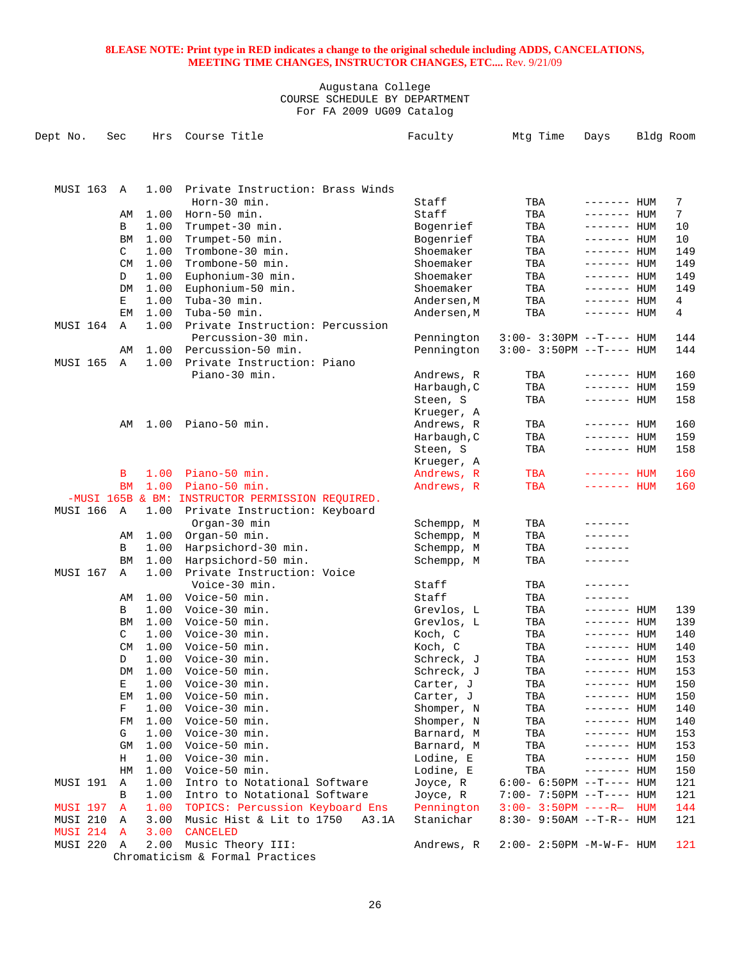| Dept No.        | Sec       | Hrs  | Course Title                                     | Faculty                 | Mtg Time                     | Days                       | Bldg Room       |
|-----------------|-----------|------|--------------------------------------------------|-------------------------|------------------------------|----------------------------|-----------------|
|                 |           |      |                                                  |                         |                              |                            |                 |
| <b>MUSI 163</b> | A         | 1.00 | Private Instruction: Brass Winds                 |                         |                              |                            |                 |
|                 |           |      | Horn-30 min.                                     | Staff                   | TBA                          | $------$ HUM               | 7               |
|                 | AΜ        | 1.00 | Horn-50 min.                                     | Staff                   | TBA                          | $------$ HUM               | $7\phantom{.0}$ |
|                 | B         | 1.00 | Trumpet-30 min.                                  | Bogenrief               | TBA                          | ------- HUM                | 10              |
|                 | BM        | 1.00 | Trumpet-50 min.                                  | Bogenrief               | TBA                          | ------- HUM                | 10              |
|                 | C         | 1.00 | Trombone-30 min.                                 | Shoemaker               | TBA                          | $------$ HUM               | 149             |
|                 | <b>CM</b> | 1.00 | Trombone-50 min.                                 | Shoemaker               | TBA                          | $------$ HUM               | 149             |
|                 | D         | 1.00 | Euphonium-30 min.                                | Shoemaker               | TBA                          | ------- HUM                | 149             |
|                 | DM        | 1.00 | Euphonium-50 min.                                | Shoemaker               | TBA                          | $------$ HUM               | 149             |
|                 | Е         | 1.00 | Tuba-30 min.                                     | Andersen, M             | TBA                          | ------- HUM                | 4               |
|                 | EM        | 1.00 | Tuba-50 min.                                     | Andersen, M             | TBA                          | ------- HUM                | 4               |
| MUSI 164        | Α         | 1.00 | Private Instruction: Percussion                  |                         |                              |                            |                 |
|                 |           |      | Percussion-30 min.                               | Pennington              | $3:00-3:30PM -T--- HUM$      |                            | 144             |
|                 | AΜ        | 1.00 | Percussion-50 min.                               | Pennington              | $3:00-3:50PM -T--- HUM$      |                            | 144             |
| <b>MUSI 165</b> | Α         | 1.00 | Private Instruction: Piano                       |                         |                              |                            |                 |
|                 |           |      | Piano-30 min.                                    | Andrews, R              | TBA                          | $------$ HUM               | 160             |
|                 |           |      |                                                  | Harbaugh, C             | TBA                          | $------$ HUM               | 159             |
|                 |           |      |                                                  | Steen, S                | TBA                          | ------- HUM                | 158             |
|                 |           |      | Piano-50 min.                                    | Krueger, A              |                              |                            |                 |
|                 | AΜ        | 1.00 |                                                  | Andrews, R              | TBA                          | ------- HUM<br>------- HUM | 160             |
|                 |           |      |                                                  | Harbaugh, C<br>Steen, S | TBA<br>TBA                   | ------- HUM                | 159<br>158      |
|                 |           |      |                                                  | Krueger, A              |                              |                            |                 |
|                 | в         | 1.00 | Piano-50 min.                                    | Andrews, R              | TBA                          | ------- HUM                | 160             |
|                 | <b>BM</b> | 1.00 | Piano-50 min.                                    | Andrews, R              | TBA                          | ------- HUM                | 160             |
|                 |           |      | -MUSI 165B & BM: INSTRUCTOR PERMISSION REQUIRED. |                         |                              |                            |                 |
| MUSI 166        | A         | 1.00 | Private Instruction: Keyboard                    |                         |                              |                            |                 |
|                 |           |      | Organ-30 min                                     | Schempp, M              | TBA                          | .                          |                 |
|                 | AΜ        | 1.00 | Organ-50 min.                                    | Schempp, M              | TBA                          |                            |                 |
|                 | B         | 1.00 | Harpsichord-30 min.                              | Schempp, M              | TBA                          |                            |                 |
|                 | <b>BM</b> | 1.00 | Harpsichord-50 min.                              | Schempp, M              | TBA                          | .                          |                 |
| <b>MUSI 167</b> | Α         | 1.00 | Private Instruction: Voice                       |                         |                              |                            |                 |
|                 |           |      | Voice-30 min.                                    | Staff                   | TBA                          | .                          |                 |
|                 | AΜ        | 1.00 | Voice-50 min.                                    | Staff                   | TBA                          |                            |                 |
|                 | B         | 1.00 | Voice-30 min.                                    | Grevlos, L              | TBA                          | ------- HUM                | 139             |
|                 | BM        | 1.00 | Voice-50 min.                                    | Grevlos, L              | TBA                          | ------- HUM                | 139             |
|                 | C         | 1.00 | Voice-30 min.                                    | Koch, C                 | TBA                          | ------- HUM                | 140             |
|                 | CM        | 1.00 | Voice-50 min.                                    | Koch, C                 | TBA                          | ------- <b>HUM</b>         | 140             |
|                 | D         | 1.00 | Voice-30 min.                                    | Schreck, J              | TBA                          | ------- HUM                | 153             |
|                 | DM        | 1.00 | Voice-50 min.                                    | Schreck, J              | TBA                          | ------- HUM                | 153             |
|                 | Ε         | 1.00 | Voice-30 min.                                    | Carter, J               | TBA                          | ------- <b>HUM</b>         | 150             |
|                 | ЕM        | 1.00 | Voice-50 min.                                    | Carter, J               | TBA                          | ------- HUM                | 150             |
|                 | F         | 1.00 | Voice-30 min.                                    | Shomper, N              | TBA                          | ------- HUM                | 140             |
|                 | FM        | 1.00 | Voice-50 min.                                    | Shomper, N              | TBA                          | ------- HUM                | 140             |
|                 | G         | 1.00 | Voice-30 min.                                    | Barnard, M              | TBA                          | ------- HUM                | 153             |
|                 | GM        | 1.00 | Voice-50 min.                                    | Barnard, M              | TBA                          | ------- <b>HUM</b>         | 153             |
|                 | Η         | 1.00 | Voice-30 min.                                    | Lodine, E               | TBA                          | ------- HUM                | 150             |
|                 | HM        | 1.00 | Voice-50 min.                                    | Lodine, E               | TBA                          | $------$ HUM               | 150             |
| MUSI 191        | Α         | 1.00 | Intro to Notational Software                     | Joyce, R                | 6:00- 6:50PM --T---- HUM     |                            | 121             |
|                 | В         | 1.00 | Intro to Notational Software                     | Joyce, R                | 7:00- 7:50PM --T---- HUM     |                            | 121             |
| <b>MUSI 197</b> | A         | 1.00 | TOPICS: Percussion Keyboard Ens                  | Pennington              | $3:00 - 3:50PM$ ----R- HUM   |                            | 144             |
| MUSI 210        | Α         | 3.00 | Music Hist & Lit to 1750<br>A3.1A                | Stanichar               | 8:30- 9:50AM --T-R-- HUM     |                            | 121             |
| MUSI 214        | A         | 3.00 | <b>CANCELED</b>                                  |                         |                              |                            |                 |
| MUSI 220        | Α         | 2.00 | Music Theory III:                                | Andrews, R              | $2:00 - 2:50PM -M-W-F - HUM$ |                            | 121             |
|                 |           |      | Chromaticism & Formal Practices                  |                         |                              |                            |                 |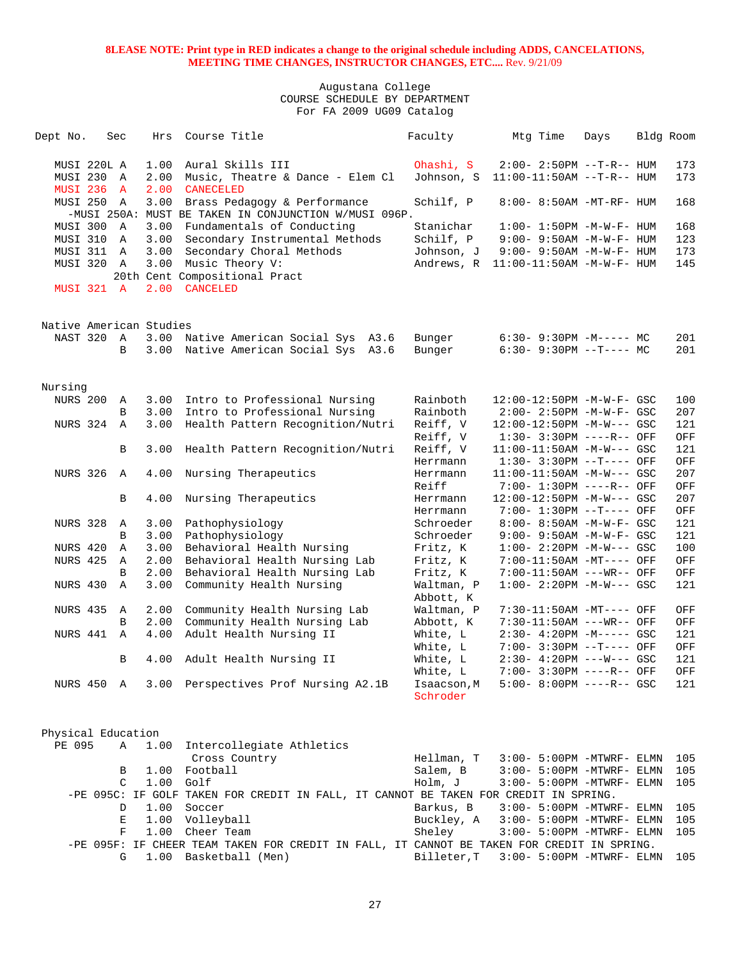| Dept No.                | Sec               | Hrs          | Course Title                                                   | Faculty                 | Mtg Time                                             | Days | Bldg Room |                             |
|-------------------------|-------------------|--------------|----------------------------------------------------------------|-------------------------|------------------------------------------------------|------|-----------|-----------------------------|
| MUSI 220L A             |                   | 1.00         | Aural Skills III                                               | Ohashi, S               | $2:00 - 2:50PM -T-R--HUM$                            |      |           | 173                         |
| MUSI 230                | A                 | 2.00         | Music, Theatre & Dance - Elem Cl                               | Johnson, S              | 11:00-11:50AM --T-R-- HUM                            |      |           | 173                         |
| <b>MUSI 236 A</b>       |                   | 2.00         | <b>CANECELED</b>                                               |                         |                                                      |      |           |                             |
| MUSI 250                | A                 | 3.00         | Brass Pedagogy & Performance                                   | Schilf, P               | 8:00- 8:50AM -MT-RF- HUM                             |      |           | 168                         |
|                         |                   |              | -MUSI 250A: MUST BE TAKEN IN CONJUNCTION W/MUSI 096P.          |                         |                                                      |      |           |                             |
| MUSI 300 A              |                   | 3.00         | Fundamentals of Conducting                                     | Stanichar               | $1:00 - 1:50PM - M - W - F - HUM$                    |      |           | 168                         |
| MUSI 310                | Α                 | 3.00         | Secondary Instrumental Methods                                 | Schilf, P               | $9:00 - 9:50AM - M - W - F - HUM$                    |      |           | 123                         |
| MUSI 311 A              |                   | 3.00         | Secondary Choral Methods                                       | Johnson, J              | $9:00 - 9:50AM - M - W - F - HUM$                    |      |           | 173                         |
| MUSI 320 A              |                   | 3.00         | Music Theory V:                                                | Andrews, R              | $11:00-11:50AM$ -M-W-F- HUM                          |      |           | 145                         |
|                         |                   |              | 20th Cent Compositional Pract                                  |                         |                                                      |      |           |                             |
| MUSI 321 A              |                   | 2.00         | <b>CANCELED</b>                                                |                         |                                                      |      |           |                             |
| Native American Studies |                   |              |                                                                |                         |                                                      |      |           |                             |
| NAST 320 A              |                   |              | 3.00 Native American Social Sys A3.6                           | Bunger                  | $6:30 - 9:30PM -M--- M$                              |      |           | 201                         |
|                         | B                 | 3.00         | Native American Social Sys A3.6                                | Bunger                  | $6:30-9:30PM --T---MC$                               |      |           | 201                         |
|                         |                   |              |                                                                |                         |                                                      |      |           |                             |
| Nursing                 |                   |              |                                                                |                         |                                                      |      |           |                             |
| <b>NURS 200</b>         | A                 | 3.00         | Intro to Professional Nursing                                  | Rainboth                | 12:00-12:50PM -M-W-F- GSC                            |      |           | 100                         |
|                         | B                 | 3.00         | Intro to Professional Nursing                                  | Rainboth                | $2:00 - 2:50PM - M - W - F - GSC$                    |      |           | 207                         |
| NURS 324                | $\mathbf{A}$      | 3.00         | Health Pattern Recognition/Nutri                               | Reiff, V                | 12:00-12:50PM -M-W--- GSC                            |      |           | 121                         |
|                         |                   |              |                                                                | Reiff, V                | $1:30 - 3:30PM$ ----R-- OFF                          |      |           | OFF                         |
|                         | В                 | 3.00         | Health Pattern Recognition/Nutri                               | Reiff, V                | $11:00-11:50AM$ -M-W--- GSC                          |      |           | 121                         |
|                         |                   |              |                                                                | Herrmann                | $1:30-3:30PM --T---$ OFF                             |      |           | OFF                         |
| NURS 326 A              |                   | 4.00         | Nursing Therapeutics                                           | Herrmann                | $11:00-11:50AM$ -M-W--- GSC                          |      |           | 207                         |
|                         |                   |              |                                                                | Reiff                   | 7:00- 1:30PM ----R-- OFF                             |      |           | OFF                         |
|                         | B                 | 4.00         | Nursing Therapeutics                                           | Herrmann                | 12:00-12:50PM -M-W--- GSC                            |      |           | 207                         |
|                         |                   |              |                                                                | Herrmann                | 7:00- 1:30PM --T---- OFF                             |      |           | OFF                         |
| NURS 328                | Α                 | 3.00         | Pathophysiology                                                | Schroeder               | 8:00- 8:50AM -M-W-F- GSC                             |      |           | 121                         |
|                         | B<br>$\mathbb{A}$ | 3.00         | Pathophysiology                                                | Schroeder               | 9:00- 9:50AM -M-W-F- GSC                             |      |           | 121                         |
| NURS 420                |                   | 3.00         | Behavioral Health Nursing                                      | Fritz, K                | $1:00 - 2:20PM -M-W--- GSC$                          |      |           | 100                         |
| <b>NURS 425</b>         | Α<br>B            | 2.00<br>2.00 | Behavioral Health Nursing Lab<br>Behavioral Health Nursing Lab | Fritz, K<br>Fritz, K    | 7:00-11:50AM -MT---- OFF<br>7:00-11:50AM ---WR-- OFF |      |           | OFF<br>OFF                  |
| NURS 430                | A                 | 3.00         | Community Health Nursing                                       | Waltman, P              | $1:00 - 2:20PM -M-W--- GSC$                          |      |           | 121                         |
|                         |                   |              |                                                                | Abbott, K               |                                                      |      |           |                             |
| NURS 435                | $\mathbb A$       | 2.00         | Community Health Nursing Lab                                   | Waltman, P              | 7:30-11:50AM -MT---- OFF                             |      |           | OFF                         |
|                         | B                 | 2.00         | Community Health Nursing Lab                                   | Abbott, K               | 7:30-11:50AM ---WR-- OFF                             |      |           | OFF                         |
| NURS 441                | $\mathbf{A}$      | 4.00         | Adult Health Nursing II                                        | White, L                | $2:30-4:20PM -M---GSC$                               |      |           | 121                         |
|                         |                   |              |                                                                | White, L                | 7:00- 3:30PM --T---- OFF                             |      |           | OFF                         |
|                         | B                 | 4.00         | Adult Health Nursing II                                        | White, L                | $2:30-4:20PM$ ---W--- GSC                            |      |           | 121                         |
|                         |                   |              |                                                                | White, L                | 7:00- 3:30PM ----R-- OFF                             |      |           | $\mathop{\rm OFF}\nolimits$ |
| NURS 450 A              |                   |              | 3.00 Perspectives Prof Nursing A2.1B                           | Isaacson, M<br>Schroder | 5:00- 8:00PM ----R-- GSC                             |      |           | 121                         |
|                         |                   |              |                                                                |                         |                                                      |      |           |                             |
| Physical Education      |                   |              |                                                                |                         |                                                      |      |           |                             |
| PE 095                  | Α                 | 1.00         | Intercollegiate Athletics                                      |                         |                                                      |      |           |                             |
|                         |                   |              | Cross Country                                                  | Hellman, T              | 3:00- 5:00PM -MTWRF- ELMN                            |      |           | 105                         |
|                         | В                 | 1.00         | Football                                                       | Salem, B                | $3:00-5:00PM -MTWRF-ELMN$                            |      |           | 105                         |

|  | $C1.00$ Golf  |                                                                                            |  | Holm, J 3:00- 5:00PM -MTWRF- ELMN 105     |  |  |
|--|---------------|--------------------------------------------------------------------------------------------|--|-------------------------------------------|--|--|
|  |               | -PE 095C: IF GOLF TAKEN FOR CREDIT IN FALL, IT CANNOT BE TAKEN FOR CREDIT IN SPRING.       |  |                                           |  |  |
|  | D 1.00 Soccer |                                                                                            |  | Barkus, B 3:00- 5:00PM - MTWRF- ELMN 105  |  |  |
|  |               | E 1.00 Volleyball                                                                          |  | Buckley, A 3:00- 5:00PM -MTWRF- ELMN 105  |  |  |
|  |               | F 1.00 Cheer Team                                                                          |  | Sheley 3:00- 5:00PM -MTWRF- ELMN 105      |  |  |
|  |               | -PE 095F: IF CHEER TEAM TAKEN FOR CREDIT IN FALL, IT CANNOT BE TAKEN FOR CREDIT IN SPRING. |  |                                           |  |  |
|  |               | G 1.00 Basketball (Men)                                                                    |  | Billeter, T 3:00- 5:00PM -MTWRF- ELMN 105 |  |  |
|  |               |                                                                                            |  |                                           |  |  |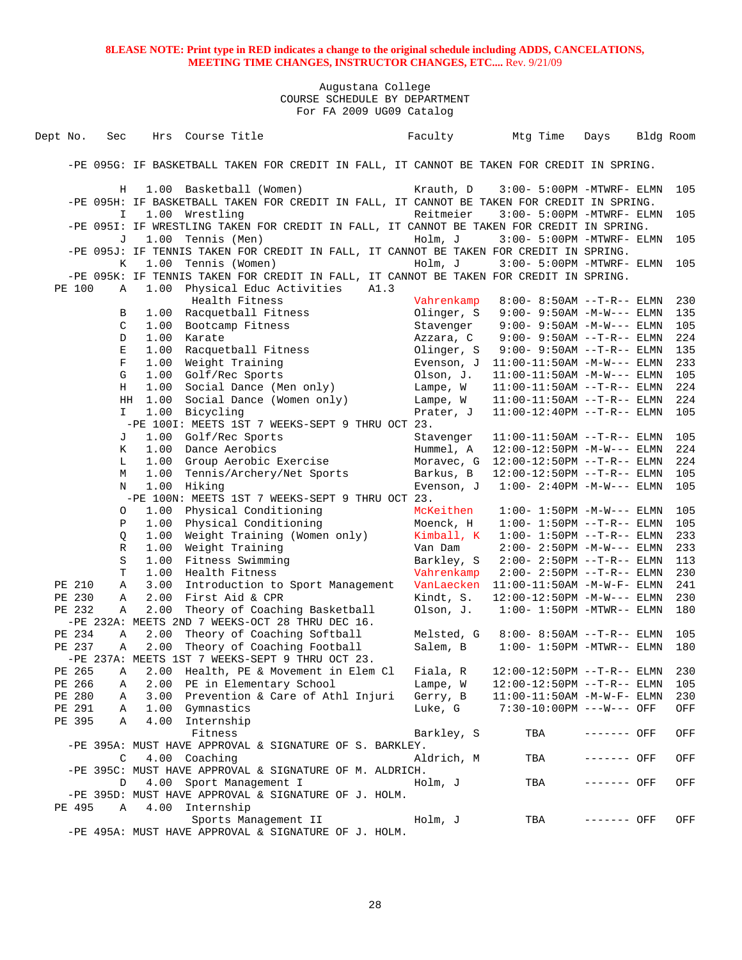| Dept No. | Sec          |      | Hrs Course Title                                                                                             |      | Faculty    | Mtg Time                      | Days        | Bldg Room |
|----------|--------------|------|--------------------------------------------------------------------------------------------------------------|------|------------|-------------------------------|-------------|-----------|
|          |              |      |                                                                                                              |      |            |                               |             |           |
|          |              |      | -PE 095G: IF BASKETBALL TAKEN FOR CREDIT IN FALL, IT CANNOT BE TAKEN FOR CREDIT IN SPRING.                   |      |            |                               |             |           |
|          | Н            |      | 1.00 Basketball (Women)                                                                                      |      | Krauth, D  | 3:00- 5:00PM -MTWRF- ELMN     |             | 105       |
|          | $\mathbb{I}$ |      | -PE 095H: IF BASKETBALL TAKEN FOR CREDIT IN FALL, IT CANNOT BE TAKEN FOR CREDIT IN SPRING.<br>1.00 Wrestling |      | Reitmeier  | $3:00-5:00PM -MTWRF-ELMN$     |             | 105       |
|          |              |      | -PE 095I: IF WRESTLING TAKEN FOR CREDIT IN FALL, IT CANNOT BE TAKEN FOR CREDIT IN SPRING.                    |      |            |                               |             |           |
|          | J            | 1.00 | Tennis (Men)<br>-PE 095J: IF TENNIS TAKEN FOR CREDIT IN FALL, IT CANNOT BE TAKEN FOR CREDIT IN SPRING.       |      | Holm, J    | $3:00 - 5:00$ PM -MTWRF- ELMN |             | 105       |
|          | Κ            | 1.00 | Tennis (Women)                                                                                               |      | Holm, J    | $3:00-5:00PM -MTWRF-ELMN$     |             | 105       |
| PE 100   | Α            | 1.00 | -PE 095K: IF TENNIS TAKEN FOR CREDIT IN FALL, IT CANNOT BE TAKEN FOR CREDIT IN SPRING.                       | A1.3 |            |                               |             |           |
|          |              |      | Physical Educ Activities<br>Health Fitness                                                                   |      | Vahrenkamp | $8:00 - 8:50AM -T-R--ELMN$    |             | 230       |
|          | В            | 1.00 | Racquetball Fitness                                                                                          |      | Olinger, S | $9:00 - 9:50AM -M-W---$ ELMN  |             | 135       |
|          | C            | 1.00 | Bootcamp Fitness                                                                                             |      | Stavenger  | $9:00 - 9:50AM - M-W---$ ELMN |             | 105       |
|          | D            | 1.00 | Karate                                                                                                       |      | Azzara, C  | $9:00 - 9:50AM -T-R--ELMN$    |             | 224       |
|          | E            | 1.00 | Racquetball Fitness                                                                                          |      | Olinger, S | $9:00 - 9:50AM -T-R--ELMN$    |             | 135       |
|          | $\mathbf F$  | 1.00 | Weight Training                                                                                              |      | Evenson, J | $11:00-11:50AM -M-W---$ ELMN  |             | 233       |
|          | G            | 1.00 | Golf/Rec Sports                                                                                              |      | Olson, J.  | $11:00-11:50AM -M-W---$ ELMN  |             | 105       |
|          | Н            | 1.00 | Social Dance (Men only)                                                                                      |      | Lampe, W   | $11:00-11:50AM$ --T-R-- ELMN  |             | 224       |
|          | HH           | 1.00 | Social Dance (Women only)                                                                                    |      | Lampe, W   | $11:00-11:50AM$ --T-R-- ELMN  |             | 224       |
|          | I.           | 1.00 | Bicycling                                                                                                    |      | Prater, J  | $11:00-12:40PM --T-R-- ELMN$  |             | 105       |
|          |              |      | -PE 100I: MEETS 1ST 7 WEEKS-SEPT 9 THRU OCT 23.                                                              |      |            |                               |             |           |
|          | J            | 1.00 | Golf/Rec Sports                                                                                              |      | Stavenger  | $11:00-11:50AM$ --T-R-- ELMN  |             | 105       |
|          | K            | 1.00 | Dance Aerobics                                                                                               |      | Hummel, A  | $12:00-12:50PM -M-W---$ ELMN  |             | 224       |
|          | L            | 1.00 | Group Aerobic Exercise                                                                                       |      | Moravec, G | $12:00-12:50PM -T-R-- ELMN$   |             | 224       |
|          | М            | 1.00 | Tennis/Archery/Net Sports                                                                                    |      | Barkus, B  | 12:00-12:50PM --T-R-- ELMN    |             | 105       |
|          | N            | 1.00 | Hiking                                                                                                       |      | Evenson, J | $1:00 - 2:40PM -M-W---$ ELMN  |             | 105       |
|          |              |      | -PE 100N: MEETS 1ST 7 WEEKS-SEPT 9 THRU OCT 23.                                                              |      |            |                               |             |           |
|          | 0            | 1.00 | Physical Conditioning                                                                                        |      | McKeithen  | $1:00 - 1:50PM -M-W---$ ELMN  |             | 105       |
|          | Ρ            | 1.00 | Physical Conditioning                                                                                        |      | Moenck, H  | $1:00 - 1:50PM -T-R-- ELMN$   |             | 105       |
|          | Q            | 1.00 | Weight Training (Women only)                                                                                 |      | Kimball, K | $1:00 - 1:50PM -T-R-- ELMN$   |             | 233       |
|          | R            | 1.00 | Weight Training                                                                                              |      | Van Dam    | 2:00- 2:50PM -M-W--- ELMN     |             | 233       |
|          | S            | 1.00 | Fitness Swimming                                                                                             |      | Barkley, S | 2:00- 2:50PM --T-R-- ELMN     |             | 113       |
|          | T            | 1.00 | Health Fitness                                                                                               |      | Vahrenkamp | 2:00- 2:50PM --T-R-- ELMN     |             | 230       |
| PE 210   | Α            | 3.00 | Introduction to Sport Management                                                                             |      | VanLaecken | $11:00-11:50AM$ -M-W-F- ELMN  |             | 241       |
| PE 230   | Α            | 2.00 | First Aid & CPR                                                                                              |      | Kindt, S.  | $12:00-12:50PM -M-W---$ ELMN  |             | 230       |
| PE 232   | Α            | 2.00 | Theory of Coaching Basketball                                                                                |      | Olson, J.  | $1:00-1:50PM -MTWR--ELMN$     |             | 180       |
|          |              |      | -PE 232A: MEETS 2ND 7 WEEKS-OCT 28 THRU DEC 16.                                                              |      |            |                               |             |           |
| PE 234   | Α            | 2.00 | Theory of Coaching Softball                                                                                  |      | Melsted, G | $8:00 - 8:50AM -T-R-- ELMN$   |             | 105       |
| PE 237   | Α            | 2.00 | Theory of Coaching Football                                                                                  |      | Salem, B   | $1:00 - 1:50PM - MTWR-- ELMN$ |             | 180       |
|          |              |      | -PE 237A: MEETS 1ST 7 WEEKS-SEPT 9 THRU OCT 23.                                                              |      |            |                               |             |           |
| PE 265   | Α            | 2.00 | Health, PE & Movement in Elem Cl                                                                             |      | Fiala, R   | 12:00-12:50PM --T-R-- ELMN    |             | 230       |
| PE 266   | А            | 2.00 | PE in Elementary School                                                                                      |      | Lampe, W   | 12:00-12:50PM --T-R-- ELMN    |             | 105       |
| PE 280   | Α            | 3.00 | Prevention & Care of Athl Injuri                                                                             |      | Gerry, B   | $11:00-11:50AM - M-W-F- ELMN$ |             | 230       |
| PE 291   | Α            |      | 1.00 Gymnastics                                                                                              |      | Luke, G    | 7:30-10:00PM ---W--- OFF      |             | OFF       |
| PE 395   | Α            | 4.00 | Internship<br>Fitness                                                                                        |      | Barkley, S | TBA                           | ------- OFF | OFF       |
|          |              |      | -PE 395A: MUST HAVE APPROVAL & SIGNATURE OF S. BARKLEY.                                                      |      |            |                               |             |           |
|          | $\mathsf{C}$ |      | 4.00 Coaching                                                                                                |      | Aldrich, M | TBA                           | ------- OFF | OFF       |
|          |              |      | -PE 395C: MUST HAVE APPROVAL & SIGNATURE OF M. ALDRICH.                                                      |      |            |                               |             |           |
|          | D            |      | 4.00 Sport Management I                                                                                      |      | Holm, J    | TBA                           | ------- OFF | OFF       |
|          |              |      | -PE 395D: MUST HAVE APPROVAL & SIGNATURE OF J. HOLM.                                                         |      |            |                               |             |           |
| PE 495   | Α            |      | 4.00 Internship                                                                                              |      |            |                               |             |           |
|          |              |      | Sports Management II                                                                                         |      | Holm, J    | TBA                           | ------- OFF | OFF       |
|          |              |      | -PE 495A: MUST HAVE APPROVAL & SIGNATURE OF J. HOLM.                                                         |      |            |                               |             |           |
|          |              |      |                                                                                                              |      |            |                               |             |           |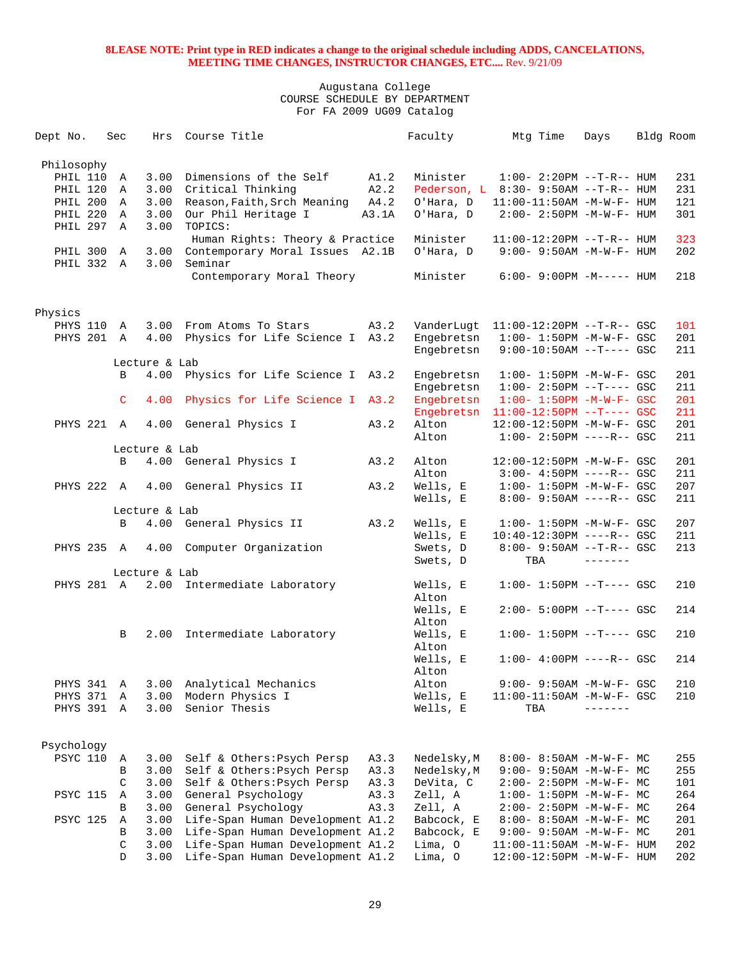| Dept No.        | Sec              | Hrs           | Course Title                                             |              | Faculty                    | Mtg Time                                                    | Days    | Bldg Room |            |
|-----------------|------------------|---------------|----------------------------------------------------------|--------------|----------------------------|-------------------------------------------------------------|---------|-----------|------------|
|                 |                  |               |                                                          |              |                            |                                                             |         |           |            |
| Philosophy      |                  |               |                                                          |              |                            |                                                             |         |           |            |
| PHIL 110 A      |                  | 3.00          | Dimensions of the Self                                   | A1.2         | Minister                   | $1:00-2:20PM -T-R--HUM$                                     |         |           | 231        |
| PHIL 120 A      |                  | 3.00          | Critical Thinking                                        | A2.2         |                            | Pederson, L 8:30- 9:50AM --T-R-- HUM                        |         |           | 231        |
| PHIL 200 A      |                  | 3.00          | Reason, Faith, Srch Meaning                              | A4.2         | O'Hara, D                  | 11:00-11:50AM -M-W-F- HUM                                   |         |           | 121        |
| PHIL 220        | A                | 3.00          | Our Phil Heritage I                                      | A3.1A        | O'Hara, D                  | 2:00- 2:50PM -M-W-F- HUM                                    |         |           | 301        |
| PHIL 297 A      |                  | 3.00          | TOPICS:                                                  |              |                            |                                                             |         |           |            |
|                 |                  |               | Human Rights: Theory & Practice                          |              | Minister                   | $11:00-12:20PM$ --T-R-- HUM                                 |         |           | 323        |
| PHIL 300 A      |                  | 3.00          | Contemporary Moral Issues A2.1B                          |              | O'Hara, D                  | $9:00 - 9:50AM - M - W - F - HUM$                           |         |           | 202        |
| PHIL 332 A      |                  | 3.00          | Seminar                                                  |              |                            |                                                             |         |           |            |
|                 |                  |               | Contemporary Moral Theory                                |              | Minister                   | $6:00-9:00PM -M--- HUM$                                     |         |           | 218        |
|                 |                  |               |                                                          |              |                            |                                                             |         |           |            |
|                 |                  |               |                                                          |              |                            |                                                             |         |           |            |
| Physics         |                  |               |                                                          |              |                            |                                                             |         |           |            |
| PHYS 110 A      |                  |               | 3.00 From Atoms To Stars                                 | A3.2         | VanderLugt                 | $11:00-12:20PM$ --T-R-- GSC                                 |         |           | 101        |
| PHYS 201 A      |                  |               | 4.00 Physics for Life Science I A3.2                     |              | Engebretsn                 | $1:00 - 1:50PM -M-W-F - GSC$                                |         |           | 201        |
|                 |                  |               |                                                          |              | Engebretsn                 | $9:00-10:50AM$ --T---- GSC                                  |         |           | 211        |
|                 |                  | Lecture & Lab |                                                          |              |                            |                                                             |         |           |            |
|                 | B                |               | 4.00 Physics for Life Science I A3.2                     |              | Engebretsn                 | $1:00 - 1:50PM - M - W - F - GSC$                           |         |           | 201        |
|                 |                  |               |                                                          |              | Engebretsn                 | $1:00-2:50PM -T---GSC$                                      |         |           | 211        |
|                 | $\mathsf{C}$     | 4.00          | Physics for Life Science I A3.2                          |              | Engebretsn                 | $1:00 - 1:50PM - M - W - F - GSC$                           |         |           | 201        |
|                 |                  |               |                                                          |              | Engebretsn                 | $11:00-12:50PM$ --T---- GSC                                 |         |           | 211        |
| PHYS 221 A      |                  |               | 4.00 General Physics I                                   | A3.2         | Alton                      | 12:00-12:50PM -M-W-F- GSC                                   |         |           | 201        |
|                 |                  |               |                                                          |              | Alton                      | $1:00 - 2:50PM$ ----R-- GSC                                 |         |           | 211        |
|                 |                  | Lecture & Lab |                                                          |              |                            |                                                             |         |           |            |
|                 | B                |               | 4.00 General Physics I                                   | A3.2         | Alton                      | 12:00-12:50PM -M-W-F- GSC                                   |         |           | 201        |
|                 |                  |               |                                                          |              | Alton                      | $3:00-4:50PM$ ----R-- GSC                                   |         |           | 211        |
| PHYS 222 A      |                  |               | 4.00 General Physics II                                  | A3.2         | Wells, E                   | $1:00 - 1:50PM - M - W - F - GSC$                           |         |           | 207        |
|                 |                  |               |                                                          |              | Wells, E                   | $8:00 - 9:50AM$ ----R-- GSC                                 |         |           | 211        |
|                 |                  | Lecture & Lab |                                                          |              |                            |                                                             |         |           |            |
|                 | B                |               | 4.00 General Physics II                                  | A3.2         | Wells, E                   | $1:00 - 1:50PM - M - W - F - GSC$                           |         |           | 207        |
|                 |                  |               |                                                          |              | Wells, E                   | 10:40-12:30PM ----R-- GSC                                   |         |           | 211        |
| PHYS 235 A      |                  |               | 4.00 Computer Organization                               |              | Swets, D                   | $8:00 - 9:50AM -T-R - GSC$                                  |         |           | 213        |
|                 |                  |               |                                                          |              | Swets, D                   | TBA                                                         |         |           |            |
|                 |                  | Lecture & Lab |                                                          |              |                            |                                                             |         |           |            |
| PHYS 281 A      |                  |               | 2.00 Intermediate Laboratory                             |              | Wells, E                   | $1:00 - 1:50PM -T---$ GSC                                   |         |           | 210        |
|                 |                  |               |                                                          |              | Alton                      |                                                             |         |           |            |
|                 |                  |               |                                                          |              | Wells, E                   | $2:00 - 5:00PM$ --T---- GSC                                 |         |           | 214        |
|                 |                  |               |                                                          |              | Alton                      |                                                             |         |           |            |
|                 | B                |               | 2.00 Intermediate Laboratory                             |              | Wells, E<br>Alton          | $1:00 - 1:50PM -T---$ GSC                                   |         |           | 210        |
|                 |                  |               |                                                          |              |                            |                                                             |         |           | 214        |
|                 |                  |               |                                                          |              | Wells, E                   | $1:00-4:00PM$ ----R-- GSC                                   |         |           |            |
|                 |                  |               |                                                          |              | Alton                      |                                                             |         |           |            |
| PHYS 341        | A                | 3.00          | Analytical Mechanics                                     |              | Alton                      | 9:00- 9:50AM -M-W-F- GSC                                    |         |           | 210        |
| PHYS 371        | A                | 3.00          | Modern Physics I                                         |              | Wells, E                   | $11:00-11:50AM$ -M-W-F- GSC                                 | ------- |           | 210        |
| PHYS 391        | A                | 3.00          | Senior Thesis                                            |              | Wells, E                   | TBA                                                         |         |           |            |
|                 |                  |               |                                                          |              |                            |                                                             |         |           |            |
| Psychology      |                  |               |                                                          |              |                            |                                                             |         |           |            |
|                 |                  |               |                                                          |              |                            |                                                             |         |           |            |
| PSYC 110        | Α<br>B           | 3.00<br>3.00  | Self & Others: Psych Persp<br>Self & Others: Psych Persp | A3.3<br>A3.3 | Nedelsky, M<br>Nedelsky, M | $8:00 - 8:50AM - M - W - F - MC$<br>9:00- 9:50AM -M-W-F- MC |         |           | 255<br>255 |
|                 | C                | 3.00          | Self & Others: Psych Persp                               | A3.3         | DeVita, C                  |                                                             |         |           | 101        |
| <b>PSYC 115</b> |                  | 3.00          | General Psychology                                       | A3.3         | Zell, A                    | $2:00-2:50PM -M-W-F-MC$                                     |         |           | 264        |
|                 | Α<br>B           | 3.00          | General Psychology                                       | A3.3         | Zell, A                    | $1:00 - 1:50PM - M - W - F - MC$                            |         |           | 264        |
| <b>PSYC 125</b> | Α                | 3.00          | Life-Span Human Development A1.2                         |              | Babcock, E                 | 2:00- 2:50PM -M-W-F- MC                                     |         |           |            |
|                 |                  |               | Life-Span Human Development A1.2                         |              | Babcock, E                 | $8:00 - 8:50AM - M - W - F - MC$                            |         |           | 201        |
|                 | В<br>$\mathsf C$ | 3.00<br>3.00  |                                                          |              | Lima, O                    | $9:00-9:50AM -M-W-F-MC$                                     |         |           | 201        |
|                 |                  |               | Life-Span Human Development A1.2                         |              |                            | $11:00-11:50AM$ -M-W-F- HUM                                 |         |           | 202        |
|                 | D                | 3.00          | Life-Span Human Development A1.2                         |              | Lima, O                    | 12:00-12:50PM -M-W-F- HUM                                   |         |           | 202        |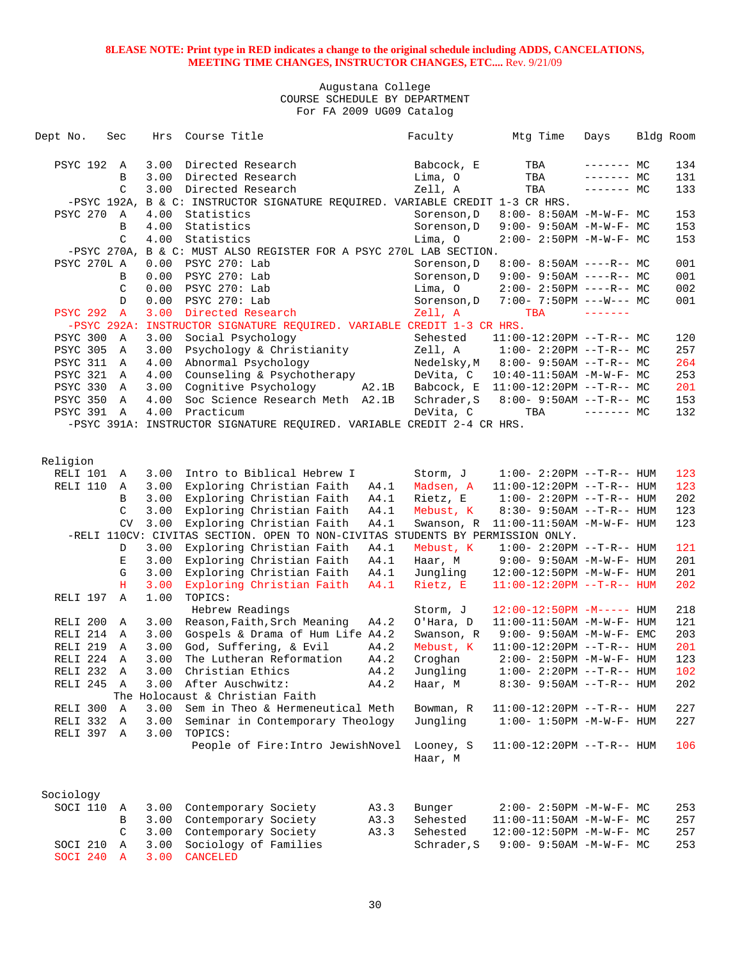| Dept No.               | Sec                     | Hrs          | Course Title                                                                        |                 | Faculty              | Mtg Time                               | Days           | Bldg Room |            |
|------------------------|-------------------------|--------------|-------------------------------------------------------------------------------------|-----------------|----------------------|----------------------------------------|----------------|-----------|------------|
| PSYC 192               | A                       | 3.00         | Directed Research                                                                   |                 | Babcock, E           | TBA                                    | $------$ MC    |           | 134        |
|                        | В                       | 3.00         | Directed Research                                                                   |                 | Lima, O              | TBA                                    | $------MC$     |           | 131        |
|                        | C                       | 3.00         | Directed Research                                                                   |                 | Zell, A              | TBA                                    | $--- - - -$ MC |           | 133        |
| -PSYC 192A,            |                         |              | B & C: INSTRUCTOR SIGNATURE REQUIRED. VARIABLE CREDIT 1-3 CR HRS.                   |                 |                      |                                        |                |           |            |
| PSYC 270               | A                       | 4.00         | Statistics                                                                          |                 | Sorenson, D          | $8:00 - 8:50AM - M - W - F - MC$       |                |           | 153        |
|                        | B                       | 4.00         | Statistics                                                                          |                 | Sorenson, D          | $9:00 - 9:50AM - M - W - F - MC$       |                |           | 153        |
|                        | C                       | 4.00         | Statistics                                                                          |                 | Lima, O              | $2:00 - 2:50PM -M-W-F - MC$            |                |           | 153        |
|                        |                         |              | -PSYC 270A, B & C: MUST ALSO REGISTER FOR A PSYC 270L LAB SECTION.                  |                 |                      |                                        |                |           |            |
| PSYC 270L A            |                         | 0.00         | PSYC 270: Lab                                                                       |                 | Sorenson, D          | $8:00 - 8:50AM$ ----R-- MC             |                |           | 001        |
|                        | B                       | 0.00         | PSYC 270: Lab                                                                       |                 | Sorenson, D          | $9:00 - 9:50AM$ ----R-- MC             |                |           | 001        |
|                        | C                       | 0.00         | PSYC 270: Lab                                                                       |                 | Lima, O              | $2:00-2:50PM$ ----R-- MC               |                |           | 002        |
|                        | D                       | 0.00         | PSYC 270: Lab                                                                       |                 | Sorenson, D          | $7:00 - 7:50PM$ ---W--- MC             |                |           | 001        |
| <b>PSYC 292</b>        | $\overline{\mathbf{A}}$ | 3.00         | Directed Research                                                                   |                 | Zell, A              | <b>TBA</b>                             | --------       |           |            |
| $-$ PSYC 292A:         |                         |              | INSTRUCTOR SIGNATURE REQUIRED. VARIABLE CREDIT 1-3 CR HRS.                          |                 |                      |                                        |                |           |            |
| <b>PSYC 300 A</b>      |                         | 3.00         | Social Psychology                                                                   |                 | Sehested             | $11:00-12:20PM$ --T-R-- MC             |                |           | 120        |
| PSYC 305 A             |                         | 3.00         | Psychology & Christianity                                                           |                 | Zell, A              | $1:00-2:20PM -T-R--MC$                 |                |           | 257        |
| <b>PSYC 311 A</b>      |                         | 4.00         | Abnormal Psychology                                                                 |                 | Nedelsky,M           | $8:00 - 9:50AM -T-R--MC$               |                |           | 264        |
| PSYC 321 A             |                         | 4.00         | Counseling & Psychotherapy                                                          |                 | DeVita, C            | $10:40-11:50AM$ -M-W-F- MC             |                |           | 253        |
| <b>PSYC 330 A</b>      |                         | 3.00         | Cognitive Psychology                                                                | A2.1B           |                      | Babcock, $E = 11:00-12:20PM -T-R-- MC$ |                |           | 201        |
| <b>PSYC 350 A</b>      |                         | 4.00         | Soc Science Research Meth A2.1B                                                     |                 | Schrader, S          | $8:00 - 9:50AM -T-R-- MC$              |                |           | 153        |
| PSYC 391 A             |                         | 4.00         | Practicum<br>-PSYC 391A: INSTRUCTOR SIGNATURE REQUIRED. VARIABLE CREDIT 2-4 CR HRS. |                 | DeVita, C            | TBA                                    | $------$ MC    |           | 132        |
| Religion               |                         |              |                                                                                     |                 |                      |                                        |                |           |            |
| RELI 101 A             |                         | 3.00         | Intro to Biblical Hebrew I                                                          |                 | Storm, J             | $1:00 - 2:20PM -T-R--HUM$              |                |           | 123        |
| RELI 110               | A                       | 3.00         | Exploring Christian Faith                                                           | A4.1            | Madsen, A            | $11:00-12:20PM$ --T-R-- HUM            |                |           | 123        |
|                        | B                       | 3.00         | Exploring Christian Faith                                                           | A4.1            | Rietz, E             | $1:00 - 2:20PM -T-R--HUM$              |                |           | 202        |
|                        | C                       | 3.00         | Exploring Christian Faith                                                           | A4.1            | Mebust, K            | $8:30 - 9:50AM -T-R--HUM$              |                |           | 123        |
|                        | <b>CV</b>               | 3.00         | Exploring Christian Faith                                                           | A4.1            | Swanson, R           | $11:00-11:50AM$ -M-W-F- HUM            |                |           | 123        |
|                        |                         |              | -RELI 110CV: CIVITAS SECTION. OPEN TO NON-CIVITAS STUDENTS BY PERMISSION ONLY.      |                 |                      |                                        |                |           |            |
|                        | D                       | 3.00         | Exploring Christian Faith                                                           | A4.1            | Mebust, K            | $1:00 - 2:20PM -T-R--HUM$              |                |           | 121        |
|                        | Е                       | 3.00         | Exploring Christian Faith                                                           | A4.1            | Haar, M              | $9:00 - 9:50AM - M - W - F - HUM$      |                |           | 201        |
|                        | G<br>н                  | 3.00<br>3.00 | Exploring Christian Faith                                                           | A4.1<br>A4.1    | Jungling             | 12:00-12:50PM -M-W-F- HUM              |                |           | 201<br>202 |
| RELI 197               | A                       | 1.00         | Exploring Christian Faith<br>TOPICS:                                                |                 | Rietz, E             | $11:00-12:20PM$ --T-R-- HUM            |                |           |            |
|                        |                         |              | Hebrew Readings                                                                     |                 | Storm, J             | $12:00-12:50PM -M-----$ HUM            |                |           | 218        |
| RELI 200               | A                       | 3.00         | Reason, Faith, Srch Meaning                                                         | A4.2            | O'Hara, D            | $11:00-11:50AM$ -M-W-F- HUM            |                |           | 121        |
| RELI 214               | A                       | 3.00         | Gospels & Drama of Hum Life A4.2                                                    |                 | Swanson, R           | $9:00 - 9:50AM - M - W - F - EMC$      |                |           | 203        |
| RELI 219               | A                       | 3.00         | God, Suffering, & Evil                                                              | A4.2            | Mebust, K            | $11:00-12:20PM$ --T-R-- HUM            |                |           | 201        |
| RELI 224               | A                       | 3.00         | The Lutheran Reformation                                                            | A4.2            | Croghan              | $2:00 - 2:50PM -M-W-F - HUM$           |                |           | 123        |
| RELI 232 A             |                         |              | 3.00 Christian Ethics                                                               | $\mathtt{A4.2}$ | Jungling             | $1:00-2:20PM -T-R--HUM$                |                |           | 102        |
| RELI 245 A             |                         |              | 3.00 After Auschwitz:                                                               | A4.2            | Haar, M              | 8:30- 9:50AM --T-R-- HUM               |                |           | 202        |
|                        |                         |              | The Holocaust & Christian Faith                                                     |                 |                      |                                        |                |           |            |
| RELI 300 A             |                         | 3.00         | Sem in Theo & Hermeneutical Meth                                                    |                 | Bowman, R            | $11:00-12:20PM$ --T-R-- HUM            |                |           | 227        |
| RELI 332 A             |                         | 3.00         | Seminar in Contemporary Theology                                                    |                 | Jungling             | $1:00 - 1:50PM -M-W-F - HUM$           |                |           | 227        |
| RELI 397 A             |                         | 3.00         | TOPICS:                                                                             |                 |                      |                                        |                |           |            |
|                        |                         |              | People of Fire: Intro JewishNovel                                                   |                 | Looney, S<br>Haar, M | $11:00-12:20PM$ --T-R-- HUM            |                |           | 106        |
|                        |                         |              |                                                                                     |                 |                      |                                        |                |           |            |
| Sociology              |                         |              |                                                                                     |                 |                      |                                        |                |           |            |
| SOCI 110 A             |                         | 3.00         | Contemporary Society                                                                | A3.3            | Bunger               | $2:00-2:50PM -M-W-F-MC$                |                |           | 253        |
|                        | В                       | 3.00         | Contemporary Society                                                                | A3.3            | Sehested             | 11:00-11:50AM -M-W-F- MC               |                |           | 257        |
|                        | C                       | 3.00         | Contemporary Society                                                                | A3.3            | Sehested             | 12:00-12:50PM -M-W-F- MC               |                |           | 257        |
| SOCI 210<br>SOCI 240 A | A                       | 3.00<br>3.00 | Sociology of Families<br><b>CANCELED</b>                                            |                 | Schrader, S          | 9:00- 9:50AM -M-W-F- MC                |                |           | 253        |
|                        |                         |              |                                                                                     |                 |                      |                                        |                |           |            |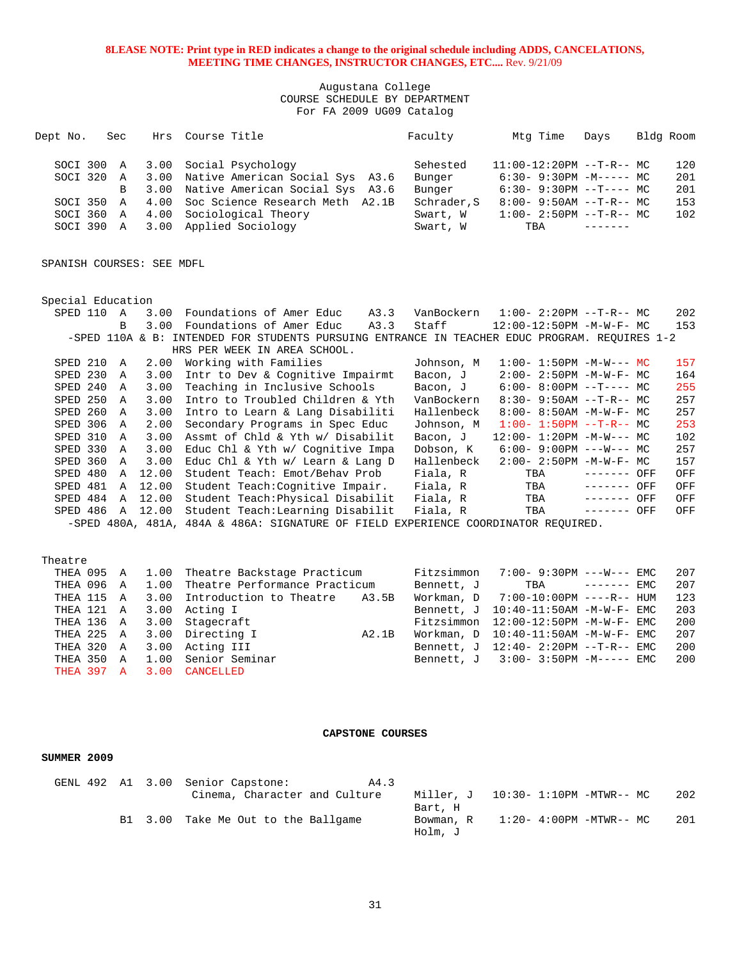## Augustana College COURSE SCHEDULE BY DEPARTMENT For FA 2009 UG09 Catalog

| Dept No.   | Sec | Hrs Course Title                     | Faculty     | Mtg Time                   | Davs | Bldg Room |
|------------|-----|--------------------------------------|-------------|----------------------------|------|-----------|
| SOCI 300 A |     | 3.00 Social Psychology               | Sehested    | $11:00-12:20PM$ --T-R-- MC |      | 120       |
| SOCI 320 A |     | 3.00 Native American Social Sys A3.6 | Bunger      | $6:30-9:30PM -M--- MC$     |      | 201       |
|            | B.  | 3.00 Native American Social Sys A3.6 | Bunger      | $6:30-9:30PM -T--- MC$     |      | 201       |
| SOCI 350 A |     | 4.00 Soc Science Research Meth A2.1B | Schrader, S | $8:00 - 9:50AM -T-R--MC$   |      | 153       |
| SOCI 360 A |     | 4.00 Sociological Theory             | Swart, W    | $1:00-2:50PM -T-R--MC$     |      | 102       |
| SOCI 390 A |     | 3.00 Applied Sociology               | Swart, W    | TBA                        |      |           |

SPANISH COURSES: SEE MDFL

| Special Education                  |                                                                                               |            |                                  |                 |     |  |  |  |  |
|------------------------------------|-----------------------------------------------------------------------------------------------|------------|----------------------------------|-----------------|-----|--|--|--|--|
| 3.00<br>SPED 110<br>$\overline{A}$ | Foundations of Amer Educ<br>A3.3                                                              | VanBockern | $1:00-2:20$ PM --T-R-- MC        |                 | 202 |  |  |  |  |
| 3.00<br><sub>R</sub>               | Foundations of Amer Educ<br>A3.3                                                              | Staff      | $12:00-12:50PM -M-W-F-MC$        |                 | 153 |  |  |  |  |
|                                    | -SPED 110A & B: INTENDED FOR STUDENTS PURSUING ENTRANCE IN TEACHER EDUC PROGRAM. REOUIRES 1-2 |            |                                  |                 |     |  |  |  |  |
|                                    | HRS PER WEEK IN AREA SCHOOL.                                                                  |            |                                  |                 |     |  |  |  |  |
| SPED 210<br>2.00<br>A              | Working with Families                                                                         | Johnson, M | $1:00 - 1:50PM -M-W--- MC$       |                 | 157 |  |  |  |  |
| SPED 230<br>3.00<br><b>A</b>       | Intr to Dev & Cognitive Impairmt                                                              | Bacon, J   | $2:00 - 2:50PM -M-W-F - MC$      |                 | 164 |  |  |  |  |
| SPED 240<br>3.00<br>A              | Teaching in Inclusive Schools                                                                 | Bacon, J   | $6:00-8:00PM -T--- MC$           |                 | 255 |  |  |  |  |
| SPED 250<br>3.00<br>A              | Intro to Troubled Children & Yth                                                              | VanBockern | $8:30 - 9:50AM -T-R--MC$         |                 | 257 |  |  |  |  |
| SPED 260<br>3.00<br>$\mathbf{A}$   | Intro to Learn & Lang Disabiliti                                                              | Hallenbeck | $8:00 - 8:50AM - M - W - F - MC$ |                 | 257 |  |  |  |  |
| SPED 306<br>2.00<br>A              | Secondary Programs in Spec Educ                                                               | Johnson, M | $1:00-1:50PM --T-R--MC$          |                 | 253 |  |  |  |  |
| SPED 310<br>3.00<br>A              | Assmt of Chld & Yth w/ Disabilit                                                              | Bacon, J   | $12:00 - 1:20PM - M-W--- MC$     |                 | 102 |  |  |  |  |
| SPED 330<br>3.00<br>A              | Educ Chl & Yth w/ Cognitive Impa                                                              | Dobson, K  | $6:00 - 9:00PM$ ---W--- MC       |                 | 257 |  |  |  |  |
| SPED 360<br>3.00<br>$\mathbf{A}$   | Educ Chl & Yth w/ Learn & Lang D                                                              | Hallenbeck | $2:00 - 2:50PM -M-W-F - MC$      |                 | 157 |  |  |  |  |
| SPED 480<br>12.00<br>A             | Student Teach: Emot/Behav Prob                                                                | Fiala, R   | TBA                              | OFF<br>-------- | OFF |  |  |  |  |
| SPED 481<br>12.00<br>A             | Student Teach: Cognitive Impair.                                                              | Fiala, R   | TBA                              | ------- OFF     | OFF |  |  |  |  |
| SPED 484<br>12.00<br>A             | Student Teach: Physical Disabilit                                                             | Fiala, R   | TBA                              | ------- OFF     | OFF |  |  |  |  |
| SPED 486<br>12.00<br>A             | Student Teach: Learning Disabilit                                                             | Fiala, R   | TBA                              | ------- OFF     | OFF |  |  |  |  |
|                                    | -SPED 480A, 481A, 484A & 486A: SIGNATURE OF FIELD                                             | EXPERIENCE | COORDINATOR REOUIRED.            |                 |     |  |  |  |  |

|  | THEA 095 A 1.00 Theatre Backstage Practicum   |       | $Fitzsimmon$ 7:00- 9:30PM --- $W$ --- EMC |  | 207 |
|--|-----------------------------------------------|-------|-------------------------------------------|--|-----|
|  | THEA 096 A 1.00 Theatre Performance Practicum |       | Bennett, J TBA ------- EMC                |  | 207 |
|  | THEA 115 A 3.00 Introduction to Theatre A3.5B |       | Workman, $D = 7:00-10:00PM$ ----R-- HUM   |  | 123 |
|  | THEA 121 A 3.00 Acting I                      |       | Bennett, J 10:40-11:50AM -M-W-F- EMC      |  | 203 |
|  | THEA 136 A 3.00 Stagecraft                    |       | $Fitzsimmon$ 12:00-12:50PM $-M-W-F-$ EMC  |  | 200 |
|  | THEA 225 A 3.00 Directing I                   | A2.1B | Workman, $D = 10:40-11:50AM -M-W-F-EMC$   |  | 207 |
|  | THEA 320 A 3.00 Acting III                    |       | Bennett, J 12:40- 2:20PM --T-R-- EMC      |  | 200 |
|  | THEA 350 A 1.00 Senior Seminar                |       | Bennett, J 3:00- 3:50PM -M----- EMC       |  | 200 |
|  | THEA 397 A 3.00 CANCELLED                     |       |                                           |  |     |

#### **CAPSTONE COURSES**

#### **SUMMER 2009**

|  |  | GENL 492 A1 3.00 Senior Capstone:   | A4.3 |           |                          |                         |     |
|--|--|-------------------------------------|------|-----------|--------------------------|-------------------------|-----|
|  |  | Cinema, Character and Culture       |      | Miller. J | 10:30- 1:10PM -MTWR-- MC |                         | 202 |
|  |  |                                     |      | Bart, H   |                          |                         |     |
|  |  | B1 3.00 Take Me Out to the Ballgame |      | Bowman, R |                          | 1:20- 4:00PM -MTWR-- MC | 201 |
|  |  |                                     |      | Holm, J   |                          |                         |     |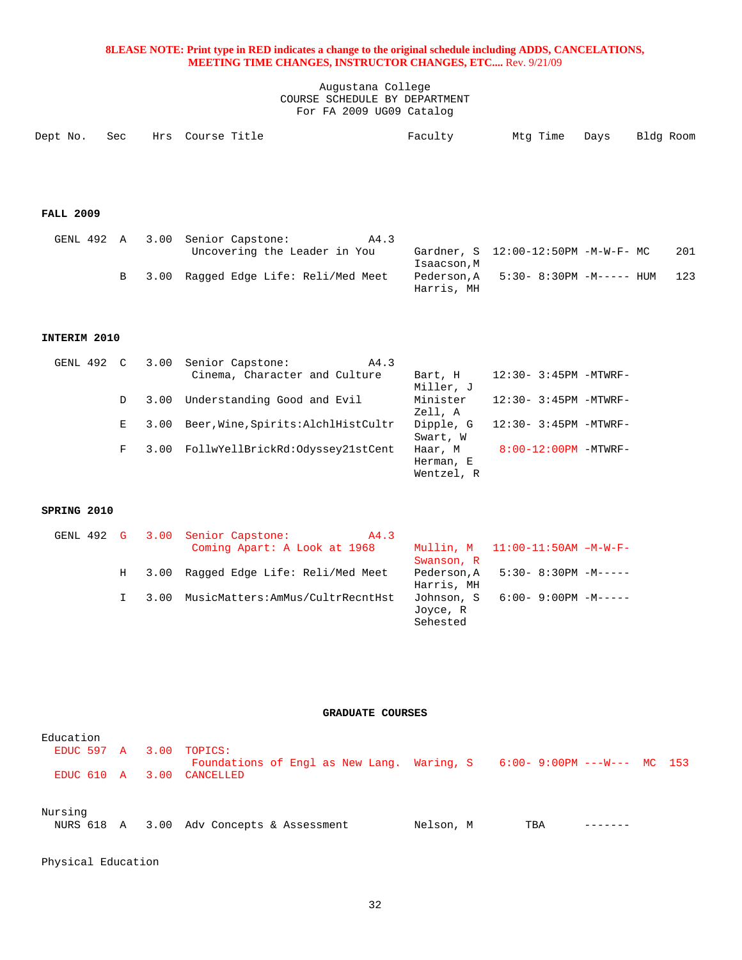Augustana College COURSE SCHEDULE BY DEPARTMENT For FA 2009 UG09 Catalog

|  | Dept No. Sec Hrs Course Title | Faculty |  | Mtg Time Days Bldg Room |
|--|-------------------------------|---------|--|-------------------------|
|  |                               |         |  |                         |

# **FALL 2009**

|  | GENL 492 A 3.00 Senior Capstone:       | A4.3 |             |                                     |     |
|--|----------------------------------------|------|-------------|-------------------------------------|-----|
|  | Uncovering the Leader in You           |      |             | Gardner, S 12:00-12:50PM -M-W-F- MC | 201 |
|  |                                        |      | Isaacson, M |                                     |     |
|  | B 3.00 Ragged Edge Life: Reli/Med Meet |      | Harris, MH  | Pederson, A 5:30-8:30PM -M----- HUM | 123 |

## **INTERIM 2010**

|   |      | A4.3                          |                                                                                                                                 |                            |
|---|------|-------------------------------|---------------------------------------------------------------------------------------------------------------------------------|----------------------------|
|   |      | Cinema, Character and Culture | Bart, H                                                                                                                         | $12:30 - 3:45PM - MTWRF -$ |
|   |      |                               | Miller, J                                                                                                                       |                            |
| D | 3.00 |                               | Minister                                                                                                                        | $12:30 - 3:45PM - MTWRF -$ |
|   |      |                               | Zell, A                                                                                                                         |                            |
| Е | 3.00 |                               | Dipple, G                                                                                                                       | $12:30 - 3:45PM - MTWRF -$ |
|   |      |                               | Swart, W                                                                                                                        |                            |
| F |      |                               | Haar, M                                                                                                                         | $8:00-12:00PM -MTWRF-$     |
|   |      |                               | Herman, E                                                                                                                       |                            |
|   |      |                               | Wentzel, R                                                                                                                      |                            |
|   |      | GENL 492 C 3.00               | Senior Capstone:<br>Understanding Good and Evil<br>Beer, Wine, Spirits: AlchlHistCultr<br>3.00 FollwYellBrickRd:Odyssey21stCent |                            |

## **SPRING 2010**

|   |      | GENL 492 G 3.00 Senior Capstone:<br>A4.3 |            |                                     |
|---|------|------------------------------------------|------------|-------------------------------------|
|   |      | Coming Apart: A Look at 1968             |            | Mullin, $M = 11:00-11:50AM -M-W-F-$ |
|   |      |                                          | Swanson, R |                                     |
| H | 3.00 | Raqqed Edge Life: Reli/Med Meet          | Pederson.A | $5:30-8:30PM -M---$                 |
|   |      |                                          | Harris, MH |                                     |
|   | 3.00 | MusicMatters:AmMus/CultrRecntHst         | Johnson, S | 6:00- 9:00PM -M-----                |
|   |      |                                          | Joyce, R   |                                     |
|   |      |                                          | Sehested   |                                     |

## **GRADUATE COURSES**

| Education               |  |                                                                             |           |     |  |  |
|-------------------------|--|-----------------------------------------------------------------------------|-----------|-----|--|--|
| EDUC 597 A 3.00 TOPICS: |  | Foundations of Engl as New Lang. Waring, $S = 6:00 - 9:00PM$ ---W--- MC 153 |           |     |  |  |
| EDUC 610 A 3.00         |  | CANCELLED                                                                   |           |     |  |  |
| Nursing                 |  |                                                                             |           |     |  |  |
|                         |  | NURS 618 A 3.00 Adv Concepts & Assessment                                   | Nelson, M | TBA |  |  |

Physical Education